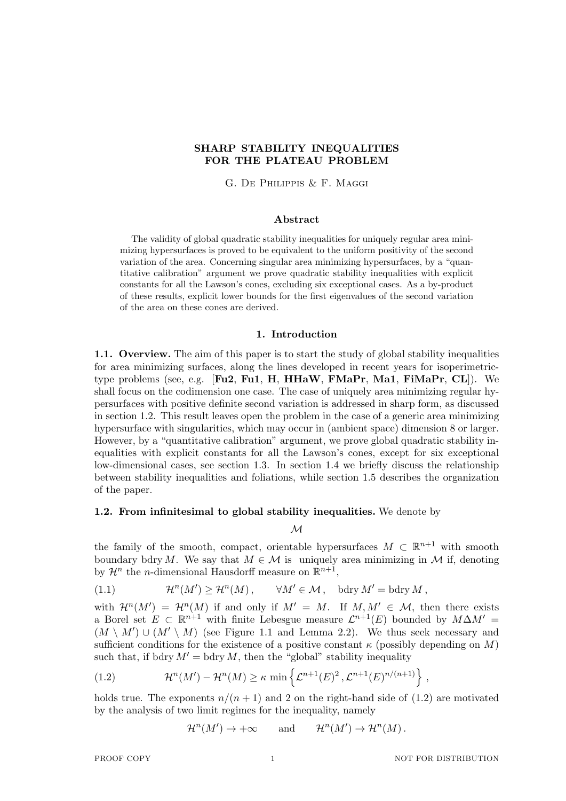# **SHARP STABILITY INEQUALITIES FOR THE PLATEAU PROBLEM**

G. De Philippis & F. Maggi

## **Abstract**

The validity of global quadratic stability inequalities for uniquely regular area minimizing hypersurfaces is proved to be equivalent to the uniform positivity of the second variation of the area. Concerning singular area minimizing hypersurfaces, by a "quantitative calibration" argument we prove quadratic stability inequalities with explicit constants for all the Lawson's cones, excluding six exceptional cases. As a by-product of these results, explicit lower bounds for the first eigenvalues of the second variation of the area on these cones are derived.

## **1. Introduction**

**1.1. Overview.** The aim of this paper is to start the study of global stability inequalities for area minimizing surfaces, along the lines developed in recent years for isoperimetrictype problems (see, e.g. [**Fu2**, **Fu1**, **H**, **HHaW**, **FMaPr**, **Ma1**, **FiMaPr**, **CL**]). We shall focus on the codimension one case. The case of uniquely area minimizing regular hypersurfaces with positive definite second variation is addressed in sharp form, as discussed in section 1.2. This result leaves open the problem in the case of a generic area minimizing hypersurface with singularities, which may occur in (ambient space) dimension 8 or larger. However, by a "quantitative calibration" argument, we prove global quadratic stability inequalities with explicit constants for all the Lawson's cones, except for six exceptional low-dimensional cases, see section 1.3. In section 1.4 we briefly discuss the relationship between stability inequalities and foliations, while section 1.5 describes the organization of the paper.

## **1.2. From infinitesimal to global stability inequalities.** We denote by

*M*

the family of the smooth, compact, orientable hypersurfaces  $M \subset \mathbb{R}^{n+1}$  with smooth boundary bdry *M*. We say that  $M \in \mathcal{M}$  is uniquely area minimizing in  $\mathcal M$  if, denoting by  $\mathcal{H}^n$  the *n*-dimensional Hausdorff measure on  $\mathbb{R}^{n+1}$ ,

(1.1) 
$$
\mathcal{H}^n(M') \geq \mathcal{H}^n(M), \qquad \forall M' \in \mathcal{M}, \quad \text{bdry } M' = \text{bdry } M,
$$

with  $\mathcal{H}^n(M') = \mathcal{H}^n(M)$  if and only if  $M' = M$ . If  $M, M' \in \mathcal{M}$ , then there exists a Borel set  $E \subset \mathbb{R}^{n+1}$  with finite Lebesgue measure  $\mathcal{L}^{n+1}(E)$  bounded by  $M\Delta M' =$  $(M \setminus M') \cup (M' \setminus M)$  (see Figure 1.1 and Lemma 2.2). We thus seek necessary and sufficient conditions for the existence of a positive constant  $\kappa$  (possibly depending on *M*) such that, if bdry  $M' = b$ dry *M*, then the "global" stability inequality

(1.2) 
$$
\mathcal{H}^{n}(M') - \mathcal{H}^{n}(M) \geq \kappa \min \left\{ \mathcal{L}^{n+1}(E)^{2}, \mathcal{L}^{n+1}(E)^{n/(n+1)} \right\},
$$

holds true. The exponents  $n/(n+1)$  and 2 on the right-hand side of  $(1.2)$  are motivated by the analysis of two limit regimes for the inequality, namely

 $\mathcal{H}^n(M') \to +\infty$  and  $\mathcal{H}^n(M') \to \mathcal{H}^n(M)$ .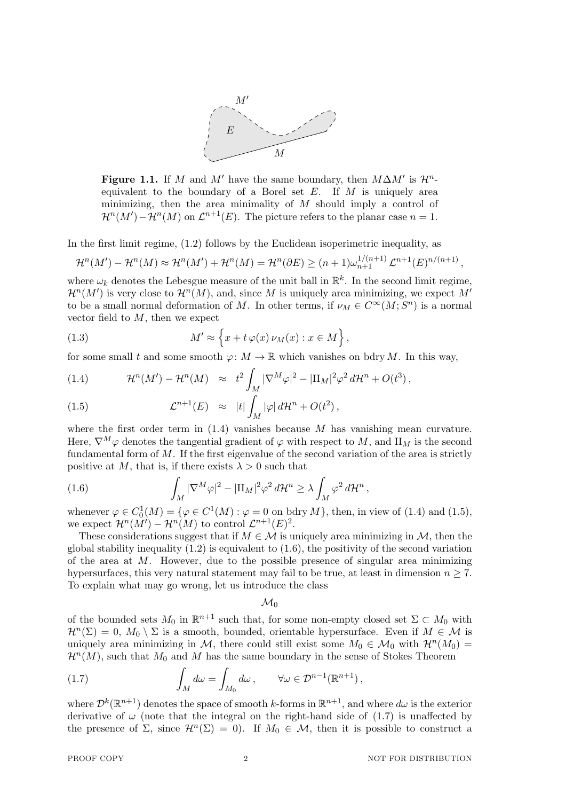

**Figure 1.1.** If *M* and *M'* have the same boundary, then  $M\Delta M'$  is  $\mathcal{H}^n$ equivalent to the boundary of a Borel set *E*. If *M* is uniquely area minimizing, then the area minimality of *M* should imply a control of  $\mathcal{H}^n(M') - \mathcal{H}^n(M)$  on  $\mathcal{L}^{n+1}(E)$ . The picture refers to the planar case  $n = 1$ .

In the first limit regime, (1.2) follows by the Euclidean isoperimetric inequality, as

$$
\mathcal{H}^n(M') - \mathcal{H}^n(M) \approx \mathcal{H}^n(M') + \mathcal{H}^n(M) = \mathcal{H}^n(\partial E) \ge (n+1)\omega_{n+1}^{1/(n+1)} \mathcal{L}^{n+1}(E)^{n/(n+1)},
$$

where  $\omega_k$  denotes the Lebesgue measure of the unit ball in  $\mathbb{R}^k$ . In the second limit regime,  $\mathcal{H}^n(M')$  is very close to  $\mathcal{H}^n(M)$ , and, since M is uniquely area minimizing, we expect M' to be a small normal deformation of *M*. In other terms, if  $\nu_M \in C^\infty(M; S^n)$  is a normal vector field to *M*, then we expect

(1.3) 
$$
M' \approx \left\{ x + t \varphi(x) \nu_M(x) : x \in M \right\},\,
$$

for some small *t* and some smooth  $\varphi: M \to \mathbb{R}$  which vanishes on bdry *M*. In this way,

(1.4) 
$$
\mathcal{H}^n(M') - \mathcal{H}^n(M) \approx t^2 \int_M |\nabla^M \varphi|^2 - |\Pi_M|^2 \varphi^2 d\mathcal{H}^n + O(t^3),
$$

(1.5) 
$$
\mathcal{L}^{n+1}(E) \approx |t| \int_M |\varphi| d\mathcal{H}^n + O(t^2),
$$

where the first order term in  $(1.4)$  vanishes because *M* has vanishing mean curvature. Here,  $\nabla^M \varphi$  denotes the tangential gradient of  $\varphi$  with respect to *M*, and II<sub>*M*</sub> is the second fundamental form of *M*. If the first eigenvalue of the second variation of the area is strictly positive at *M*, that is, if there exists  $\lambda > 0$  such that

(1.6) 
$$
\int_M |\nabla^M \varphi|^2 - |\Pi_M|^2 \varphi^2 d\mathcal{H}^n \ge \lambda \int_M \varphi^2 d\mathcal{H}^n,
$$

whenever  $\varphi \in C_0^1(M) = {\varphi \in C^1(M) : \varphi = 0 \text{ on bdry } M}$ , then, in view of (1.4) and (1.5), we expect  $\mathcal{H}^n(M') - \mathcal{H}^n(M)$  to control  $\mathcal{L}^{n+1}(E)^2$ .

These considerations suggest that if  $M \in \mathcal{M}$  is uniquely area minimizing in  $\mathcal{M}$ , then the global stability inequality  $(1.2)$  is equivalent to  $(1.6)$ , the positivity of the second variation of the area at *M*. However, due to the possible presence of singular area minimizing hypersurfaces, this very natural statement may fail to be true, at least in dimension  $n \geq 7$ . To explain what may go wrong, let us introduce the class

 $\mathcal{M}_0$ 

of the bounded sets  $M_0$  in  $\mathbb{R}^{n+1}$  such that, for some non-empty closed set  $\Sigma \subset M_0$  with  $\mathcal{H}^n(\Sigma) = 0$ ,  $M_0 \setminus \Sigma$  is a smooth, bounded, orientable hypersurface. Even if  $M \in \mathcal{M}$  is uniquely area minimizing in *M*, there could still exist some  $M_0 \in \mathcal{M}_0$  with  $\mathcal{H}^n(M_0) =$  $\mathcal{H}^n(M)$ , such that  $M_0$  and  $M$  has the same boundary in the sense of Stokes Theorem

(1.7) 
$$
\int_M d\omega = \int_{M_0} d\omega, \qquad \forall \omega \in \mathcal{D}^{n-1}(\mathbb{R}^{n+1}),
$$

where  $\mathcal{D}^k(\mathbb{R}^{n+1})$  denotes the space of smooth *k*-forms in  $\mathbb{R}^{n+1}$ , and where  $d\omega$  is the exterior derivative of  $\omega$  (note that the integral on the right-hand side of (1.7) is unaffected by the presence of  $\Sigma$ , since  $\mathcal{H}^n(\Sigma) = 0$ . If  $M_0 \in \mathcal{M}$ , then it is possible to construct a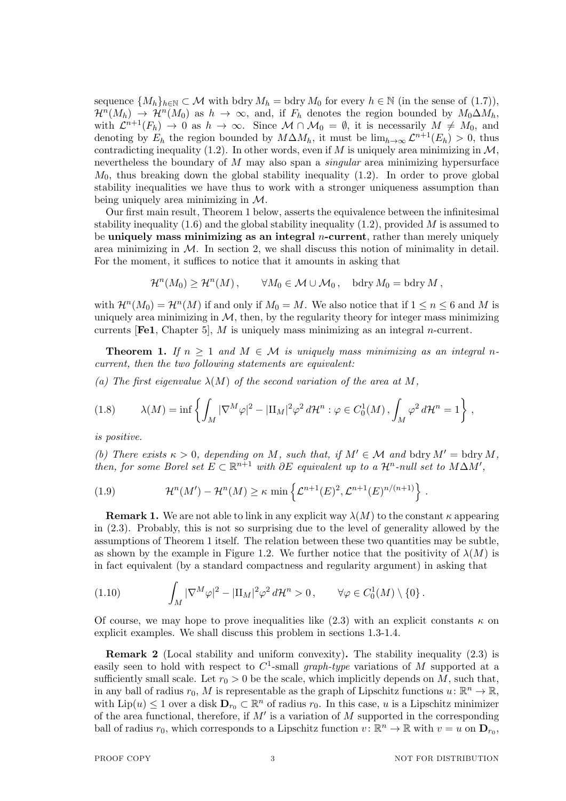sequence  $\{M_h\}_{h\in\mathbb{N}}\subset\mathcal{M}$  with bdry  $M_h$  = bdry  $M_0$  for every  $h\in\mathbb{N}$  (in the sense of (1.7)),  $\mathcal{H}^n(M_h) \to \mathcal{H}^n(M_0)$  as  $h \to \infty$ , and, if  $F_h$  denotes the region bounded by  $M_0 \Delta M_h$ , with  $\mathcal{L}^{n+1}(F_h) \to 0$  as  $h \to \infty$ . Since  $\mathcal{M} \cap \mathcal{M}_0 = \emptyset$ , it is necessarily  $M \neq M_0$ , and denoting by  $E_h$  the region bounded by  $M\Delta M_h$ , it must be  $\lim_{h\to\infty} \mathcal{L}^{n+1}(E_h) > 0$ , thus contradicting inequality (1.2). In other words, even if  $M$  is uniquely area minimizing in  $M$ , nevertheless the boundary of *M* may also span a *singular* area minimizing hypersurface  $M<sub>0</sub>$ , thus breaking down the global stability inequality  $(1.2)$ . In order to prove global stability inequalities we have thus to work with a stronger uniqueness assumption than being uniquely area minimizing in *M*.

Our first main result, Theorem 1 below, asserts the equivalence between the infinitesimal stability inequality (1.6) and the global stability inequality (1.2), provided *M* is assumed to be **uniquely mass minimizing as an integral** *n***-current**, rather than merely uniquely area minimizing in  $M$ . In section 2, we shall discuss this notion of minimality in detail. For the moment, it suffices to notice that it amounts in asking that

$$
\mathcal{H}^n(M_0) \ge \mathcal{H}^n(M) \,, \qquad \forall M_0 \in \mathcal{M} \cup \mathcal{M}_0 \,, \quad \text{bdry } M_0 = \text{bdry } M \,,
$$

with  $\mathcal{H}^n(M_0) = \mathcal{H}^n(M)$  if and only if  $M_0 = M$ . We also notice that if  $1 \leq n \leq 6$  and M is uniquely area minimizing in  $M$ , then, by the regularity theory for integer mass minimizing currents [**Fe1**, Chapter 5], *M* is uniquely mass minimizing as an integral *n*-current.

**Theorem 1.** If  $n \geq 1$  and  $M \in \mathcal{M}$  is uniquely mass minimizing as an integral n*current, then the two following statements are equivalent:*

*(a)* The first eigenvalue  $\lambda(M)$  of the second variation of the area at  $M$ .

$$
(1.8) \qquad \lambda(M) = \inf \left\{ \int_M |\nabla^M \varphi|^2 - |\Pi_M|^2 \varphi^2 d\mathcal{H}^n : \varphi \in C_0^1(M) \,, \int_M \varphi^2 d\mathcal{H}^n = 1 \right\} \,,
$$

*is positive.*

*(b)* There exists  $\kappa > 0$ , depending on *M*, such that, if  $M' \in \mathcal{M}$  and bdry  $M' = \text{bdry } M$ , *then, for some Borel set*  $E \subset \mathbb{R}^{n+1}$  *with*  $\partial E$  *equivalent up to a*  $\mathcal{H}^n$ -*null set to*  $M\Delta M'$ ,

(1.9) 
$$
\mathcal{H}^n(M') - \mathcal{H}^n(M) \geq \kappa \min \left\{ \mathcal{L}^{n+1}(E)^2, \mathcal{L}^{n+1}(E)^{n/(n+1)} \right\}.
$$

**Remark 1.** We are not able to link in any explicit way  $\lambda(M)$  to the constant  $\kappa$  appearing in (2.3). Probably, this is not so surprising due to the level of generality allowed by the assumptions of Theorem 1 itself. The relation between these two quantities may be subtle, as shown by the example in Figure 1.2. We further notice that the positivity of  $\lambda(M)$  is in fact equivalent (by a standard compactness and regularity argument) in asking that

(1.10) 
$$
\int_M |\nabla^M \varphi|^2 - |\Pi_M|^2 \varphi^2 d\mathcal{H}^n > 0, \qquad \forall \varphi \in C_0^1(M) \setminus \{0\}.
$$

Of course, we may hope to prove inequalities like  $(2.3)$  with an explicit constants  $\kappa$  on explicit examples. We shall discuss this problem in sections 1.3-1.4.

**Remark 2** (Local stability and uniform convexity). The stability inequality (2.3) is easily seen to hold with respect to  $C^1$ -small *graph-type* variations of *M* supported at a sufficiently small scale. Let  $r_0 > 0$  be the scale, which implicitly depends on *M*, such that, in any ball of radius  $r_0$ , M is representable as the graph of Lipschitz functions  $u: \mathbb{R}^n \to \mathbb{R}$ , with  $\text{Lip}(u) \leq 1$  over a disk  $\mathbf{D}_{r_0} \subset \mathbb{R}^n$  of radius  $r_0$ . In this case, *u* is a Lipschitz minimizer of the area functional, therefore, if *M′* is a variation of *M* supported in the corresponding ball of radius  $r_0$ , which corresponds to a Lipschitz function  $v: \mathbb{R}^n \to \mathbb{R}$  with  $v = u$  on  $\mathbf{D}_{r_0}$ ,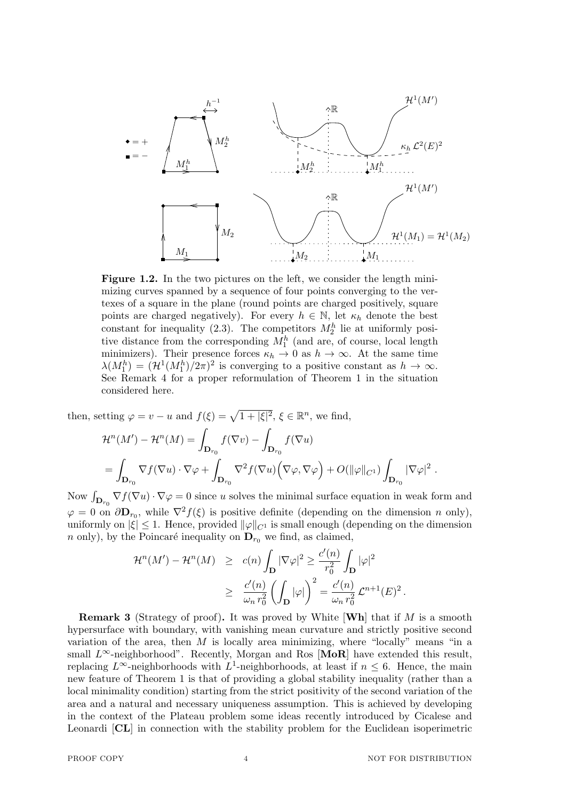

**Figure 1.2.** In the two pictures on the left, we consider the length minimizing curves spanned by a sequence of four points converging to the vertexes of a square in the plane (round points are charged positively, square points are charged negatively). For every  $h \in \mathbb{N}$ , let  $\kappa_h$  denote the best constant for inequality (2.3). The competitors  $M_2^h$  lie at uniformly positive distance from the corresponding  $M_1^h$  (and are, of course, local length minimizers). Their presence forces  $\kappa_h \to 0$  as  $h \to \infty$ . At the same time  $\lambda(M_1^h) = (\mathcal{H}^1(M_1^h)/2\pi)^2$  is converging to a positive constant as  $h \to \infty$ . See Remark 4 for a proper reformulation of Theorem 1 in the situation considered here.

then, setting  $\varphi = v - u$  and  $f(\xi) = \sqrt{1 + |\xi|^2}, \xi \in \mathbb{R}^n$ , we find,

$$
\mathcal{H}^{n}(M') - \mathcal{H}^{n}(M) = \int_{\mathbf{D}_{r_{0}}} f(\nabla v) - \int_{\mathbf{D}_{r_{0}}} f(\nabla u)
$$
  
= 
$$
\int_{\mathbf{D}_{r_{0}}} \nabla f(\nabla u) \cdot \nabla \varphi + \int_{\mathbf{D}_{r_{0}}} \nabla^{2} f(\nabla u) (\nabla \varphi, \nabla \varphi) + O(||\varphi||_{C^{1}}) \int_{\mathbf{D}_{r_{0}}} |\nabla \varphi|^{2}.
$$

Now  $\int_{\mathbf{D}_{r_0}} \nabla f(\nabla u) \cdot \nabla \varphi = 0$  since *u* solves the minimal surface equation in weak form and  $\varphi = 0$  on  $\partial \mathbf{D}_{r_0}$ , while  $\nabla^2 f(\xi)$  is positive definite (depending on the dimension *n* only), uniformly on  $|\xi| \leq 1$ . Hence, provided  $\|\varphi\|_{C^1}$  is small enough (depending on the dimension *n* only), by the Poincaré inequality on  $\mathbf{D}_{r_0}$  we find, as claimed,

$$
\mathcal{H}^n(M') - \mathcal{H}^n(M) \ge c(n) \int_{\mathbf{D}} |\nabla \varphi|^2 \ge \frac{c'(n)}{r_0^2} \int_{\mathbf{D}} |\varphi|^2
$$
  
 
$$
\ge \frac{c'(n)}{\omega_n r_0^2} \left( \int_{\mathbf{D}} |\varphi| \right)^2 = \frac{c'(n)}{\omega_n r_0^2} \mathcal{L}^{n+1}(E)^2.
$$

**Remark 3** (Strategy of proof)**.** It was proved by White [**Wh**] that if *M* is a smooth hypersurface with boundary, with vanishing mean curvature and strictly positive second variation of the area, then  $M$  is locally area minimizing, where "locally" means "in a small  $L^\infty$ -neighborhood". Recently, Morgan and Ros [MoR] have extended this result, replacing  $L^{\infty}$ -neighborhoods with  $L^{1}$ -neighborhoods, at least if  $n \leq 6$ . Hence, the main new feature of Theorem 1 is that of providing a global stability inequality (rather than a local minimality condition) starting from the strict positivity of the second variation of the area and a natural and necessary uniqueness assumption. This is achieved by developing in the context of the Plateau problem some ideas recently introduced by Cicalese and Leonardi [**CL**] in connection with the stability problem for the Euclidean isoperimetric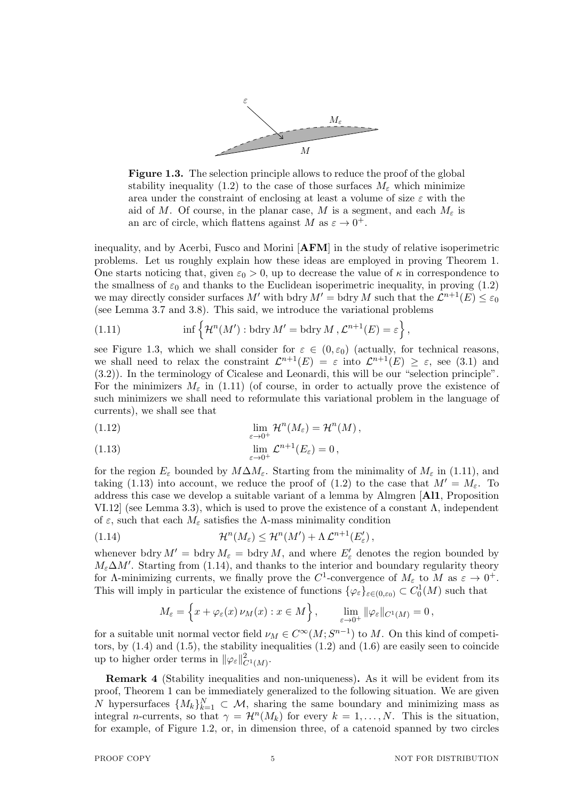

**Figure 1.3.** The selection principle allows to reduce the proof of the global stability inequality (1.2) to the case of those surfaces  $M_{\varepsilon}$  which minimize area under the constraint of enclosing at least a volume of size *ε* with the aid of *M*. Of course, in the planar case, *M* is a segment, and each  $M_{\varepsilon}$  is an arc of circle, which flattens against *M* as  $\varepsilon \to 0^+$ .

inequality, and by Acerbi, Fusco and Morini [**AFM**] in the study of relative isoperimetric problems. Let us roughly explain how these ideas are employed in proving Theorem 1. One starts noticing that, given  $\varepsilon_0 > 0$ , up to decrease the value of  $\kappa$  in correspondence to the smallness of  $\varepsilon_0$  and thanks to the Euclidean isoperimetric inequality, in proving (1.2) we may directly consider surfaces  $M'$  with bdry  $M' =$  bdry  $M$  such that the  $\mathcal{L}^{n+1}(E) \leq \varepsilon_0$ (see Lemma 3.7 and 3.8). This said, we introduce the variational problems

(1.11) 
$$
\inf \left\{ \mathcal{H}^n(M') : \text{bdry } M' = \text{bdry } M , \mathcal{L}^{n+1}(E) = \varepsilon \right\},
$$

see Figure 1.3, which we shall consider for  $\varepsilon \in (0, \varepsilon_0)$  (actually, for technical reasons, we shall need to relax the constraint  $\mathcal{L}^{n+1}(E) = \varepsilon$  into  $\mathcal{L}^{n+1}(E) \geq \varepsilon$ , see (3.1) and (3.2)). In the terminology of Cicalese and Leonardi, this will be our "selection principle". For the minimizers  $M_{\varepsilon}$  in (1.11) (of course, in order to actually prove the existence of such minimizers we shall need to reformulate this variational problem in the language of currents), we shall see that

(1.12) 
$$
\lim_{\varepsilon \to 0^+} \mathcal{H}^n(M_\varepsilon) = \mathcal{H}^n(M),
$$

(1.13) 
$$
\lim_{\varepsilon \to 0^+} \mathcal{L}^{n+1}(E_{\varepsilon}) = 0,
$$

for the region  $E_{\varepsilon}$  bounded by  $M\Delta M_{\varepsilon}$ . Starting from the minimality of  $M_{\varepsilon}$  in (1.11), and taking (1.13) into account, we reduce the proof of (1.2) to the case that  $M' = M_{\varepsilon}$ . To address this case we develop a suitable variant of a lemma by Almgren [**Al1**, Proposition VI.12 (see Lemma 3.3), which is used to prove the existence of a constant  $\Lambda$ , independent of  $\varepsilon$ , such that each  $M_{\varepsilon}$  satisfies the  $\Lambda$ -mass minimality condition

(1.14) 
$$
\mathcal{H}^n(M_{\varepsilon}) \leq \mathcal{H}^n(M') + \Lambda \mathcal{L}^{n+1}(E'_{\varepsilon}),
$$

whenever bdry  $M' =$  bdry  $M_\varepsilon =$  bdry  $M$ , and where  $E'_\varepsilon$  denotes the region bounded by  $M_{\varepsilon} \Delta M'$ . Starting from (1.14), and thanks to the interior and boundary regularity theory for  $\Lambda$ -minimizing currents, we finally prove the  $C^1$ -convergence of  $M_\varepsilon$  to  $M$  as  $\varepsilon \to 0^+$ . This will imply in particular the existence of functions  $\{\varphi_{\varepsilon}\}_{\varepsilon\in(0,\varepsilon_0)} \subset C_0^1(M)$  such that

$$
M_{\varepsilon} = \left\{ x + \varphi_{\varepsilon}(x) \, \nu_M(x) : x \in M \right\}, \qquad \lim_{\varepsilon \to 0^+} \|\varphi_{\varepsilon}\|_{C^1(M)} = 0 \,,
$$

for a suitable unit normal vector field  $\nu_M \in C^\infty(M; S^{n-1})$  to M. On this kind of competitors, by  $(1.4)$  and  $(1.5)$ , the stability inequalities  $(1.2)$  and  $(1.6)$  are easily seen to coincide up to higher order terms in  $\|\varphi_{\varepsilon}\|_{C^1(M)}^2$ .

**Remark 4** (Stability inequalities and non-uniqueness)**.** As it will be evident from its proof, Theorem 1 can be immediately generalized to the following situation. We are given *N* hypersurfaces  $\{M_k\}_{k=1}^N \subset \mathcal{M}$ , sharing the same boundary and minimizing mass as integral *n*-currents, so that  $\gamma = \mathcal{H}^n(M_k)$  for every  $k = 1, ..., N$ . This is the situation, for example, of Figure 1.2, or, in dimension three, of a catenoid spanned by two circles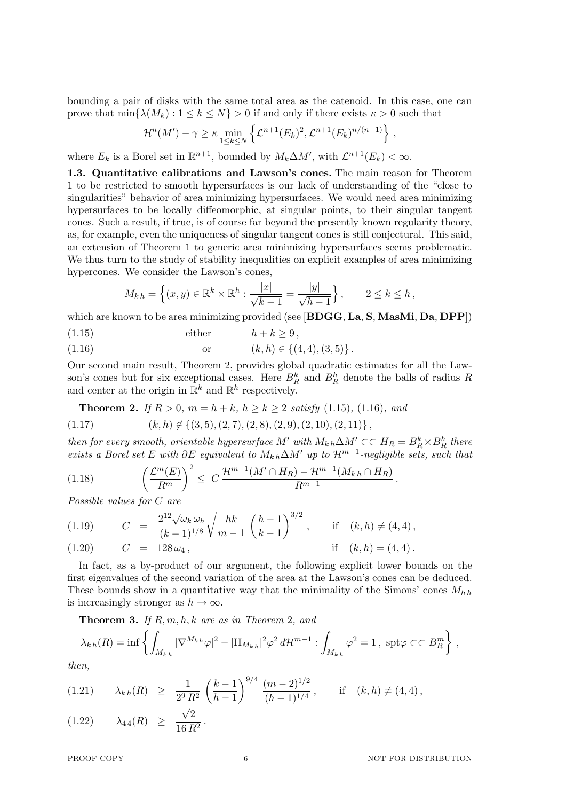bounding a pair of disks with the same total area as the catenoid. In this case, one can prove that  $\min\{\lambda(M_k):1\leq k\leq N\}>0$  if and only if there exists  $\kappa>0$  such that

$$
\mathcal{H}^n(M') - \gamma \geq \kappa \min_{1 \leq k \leq N} \left\{ \mathcal{L}^{n+1}(E_k)^2, \mathcal{L}^{n+1}(E_k)^{n/(n+1)} \right\},
$$

where  $E_k$  is a Borel set in  $\mathbb{R}^{n+1}$ , bounded by  $M_k \Delta M'$ , with  $\mathcal{L}^{n+1}(E_k) < \infty$ .

**1.3. Quantitative calibrations and Lawson's cones.** The main reason for Theorem 1 to be restricted to smooth hypersurfaces is our lack of understanding of the "close to singularities" behavior of area minimizing hypersurfaces. We would need area minimizing hypersurfaces to be locally diffeomorphic, at singular points, to their singular tangent cones. Such a result, if true, is of course far beyond the presently known regularity theory, as, for example, even the uniqueness of singular tangent cones is still conjectural. This said, an extension of Theorem 1 to generic area minimizing hypersurfaces seems problematic. We thus turn to the study of stability inequalities on explicit examples of area minimizing hypercones. We consider the Lawson's cones,

$$
M_{kh} = \left\{ (x, y) \in \mathbb{R}^k \times \mathbb{R}^h : \frac{|x|}{\sqrt{k-1}} = \frac{|y|}{\sqrt{h-1}} \right\}, \qquad 2 \le k \le h,
$$

which are known to be area minimizing provided (see [**BDGG**, **La**, **S**, **MasMi**, **Da**, **DPP**])

- (1.15) either  $h + k > 9$ ,
- (1.16) or  $(k, h) \in \{(4, 4), (3, 5)\}\.$

Our second main result, Theorem 2, provides global quadratic estimates for all the Lawson's cones but for six exceptional cases. Here  $B_R^k$  and  $B_R^h$  denote the balls of radius *R* and center at the origin in  $\mathbb{R}^k$  and  $\mathbb{R}^h$  respectively.

**Theorem 2.** *If*  $R > 0$ *,*  $m = h + k$ *,*  $h \ge k \ge 2$  *satisfy* (1.15)*,* (1.16)*, and* 

$$
(1.17) \qquad (k,h) \notin \{(3,5), (2,7), (2,8), (2,9), (2,10), (2,11)\},
$$

*then for every smooth, orientable hypersurface*  $M'$  *with*  $M_{k,h} \Delta M' \subset H_R = B_R^k \times B_R^h$  *there exists a Borel set E with*  $\partial E$  *equivalent to*  $M_k$ <sub>*h*</sub>∆ $M'$  *up to*  $\mathcal{H}^{m-1}$ -*negligible sets, such that* 

(1.18) 
$$
\left(\frac{\mathcal{L}^m(E)}{R^m}\right)^2 \leq C \frac{\mathcal{H}^{m-1}(M' \cap H_R) - \mathcal{H}^{m-1}(M_{k,h} \cap H_R)}{R^{m-1}}.
$$

*Possible values for C are*

(1.19) 
$$
C = \frac{2^{12}\sqrt{\omega_k \omega_h}}{(k-1)^{1/8}} \sqrt{\frac{hk}{m-1}} \left(\frac{h-1}{k-1}\right)^{3/2}, \quad \text{if } (k, h) \neq (4, 4),
$$
  
(1.20) 
$$
C = 128 \omega_4, \quad \text{if } (k, h) = (4, 4).
$$

In fact, as a by-product of our argument, the following explicit lower bounds on the first eigenvalues of the second variation of the area at the Lawson's cones can be deduced. These bounds show in a quantitative way that the minimality of the Simons' cones *Mh h* is increasingly stronger as  $h \to \infty$ .

**Theorem 3.** *If R, m, h, k are as in Theorem* 2*, and*

$$
\lambda_{k h}(R) = \inf \left\{ \int_{M_{k h}} |\nabla^{M_{k h}} \varphi|^2 - |\Pi_{M_{k h}}|^2 \varphi^2 d\mathcal{H}^{m-1} : \int_{M_{k h}} \varphi^2 = 1, \text{ spt } \varphi \subset \subset B_R^m \right\},
$$

*then,*

$$
(1.21) \qquad \lambda_{k\,h}(R) \geq \frac{1}{2^9 R^2} \left(\frac{k-1}{h-1}\right)^{9/4} \frac{(m-2)^{1/2}}{(h-1)^{1/4}}, \qquad \text{if} \quad (k,h) \neq (4,4),
$$

$$
(1.22) \qquad \lambda_{44}(R) \geq \frac{\sqrt{2}}{16 R^2}.
$$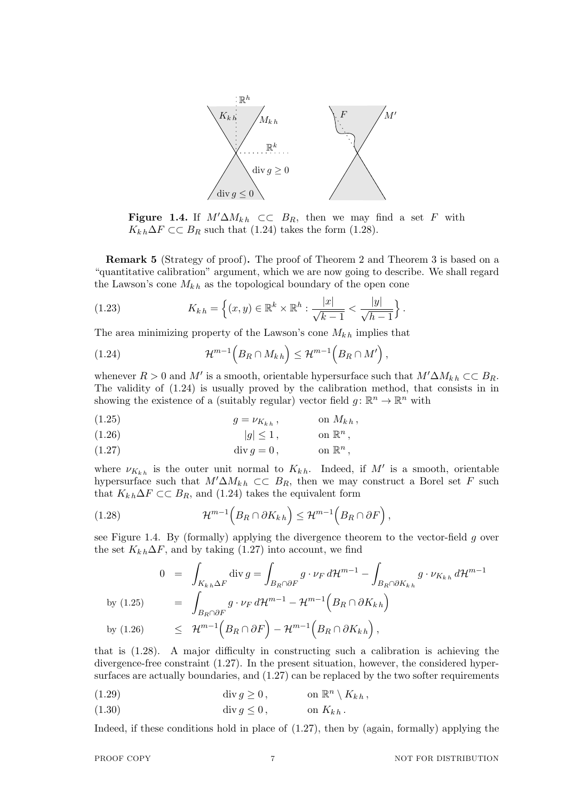

**Figure 1.4.** If  $M' \Delta M_{kh} \subset\subset B_R$ , then we may find a set *F* with  $K_{k h} \Delta F \subset C$  *B<sub>R</sub>* such that (1.24) takes the form (1.28).

**Remark 5** (Strategy of proof)**.** The proof of Theorem 2 and Theorem 3 is based on a "quantitative calibration" argument, which we are now going to describe. We shall regard the Lawson's cone  $M_{kh}$  as the topological boundary of the open cone

(1.23) 
$$
K_{k,h} = \left\{ (x,y) \in \mathbb{R}^k \times \mathbb{R}^h : \frac{|x|}{\sqrt{k-1}} < \frac{|y|}{\sqrt{h-1}} \right\}.
$$

The area minimizing property of the Lawson's cone  $M_{k,h}$  implies that

$$
(1.24) \t\t \mathcal{H}^{m-1}\Big(B_R \cap M_{kh}\Big) \leq \mathcal{H}^{m-1}\Big(B_R \cap M'\Big)\,,
$$

whenever  $R > 0$  and  $M'$  is a smooth, orientable hypersurface such that  $M' \Delta M_{kh} \subset \subset B_R$ . The validity of (1.24) is usually proved by the calibration method, that consists in in showing the existence of a (suitably regular) vector field  $g: \mathbb{R}^n \to \mathbb{R}^n$  with

$$
(1.25) \t\t g = \nu_{K_{kh}} , \t\t on M_{kh} ,
$$

$$
(1.26) \t\t |g| \le 1, \t\t \text{on } \mathbb{R}^n,
$$

(1.27) 
$$
\operatorname{div} g = 0, \qquad \text{on } \mathbb{R}^n,
$$

where  $\nu_{K_{k,h}}$  is the outer unit normal to  $K_{k,h}$ . Indeed, if  $M'$  is a smooth, orientable hypersurface such that  $M' \Delta M_{kh} \subset C$   $B_R$ , then we may construct a Borel set *F* such that  $K_{kh} \Delta F \subset \subset B_R$ , and (1.24) takes the equivalent form

(1.28) 
$$
\mathcal{H}^{m-1}\left(B_R \cap \partial K_{kh}\right) \leq \mathcal{H}^{m-1}\left(B_R \cap \partial F\right),
$$

see Figure 1.4. By (formally) applying the divergence theorem to the vector-field *g* over the set  $K_{k h} \Delta F$ , and by taking (1.27) into account, we find

$$
0 = \int_{K_{k,h}\Delta F} \text{div}\,g = \int_{B_R \cap \partial F} g \cdot \nu_F d\mathcal{H}^{m-1} - \int_{B_R \cap \partial K_{k,h}} g \cdot \nu_{K_{k,h}} d\mathcal{H}^{m-1}
$$
  
by (1.25)  

$$
= \int_{B_R \cap \partial F} g \cdot \nu_F d\mathcal{H}^{m-1} - \mathcal{H}^{m-1} (B_R \cap \partial K_{k,h})
$$
  
by (1.26)  

$$
\leq \mathcal{H}^{m-1} (B_R \cap \partial F) - \mathcal{H}^{m-1} (B_R \cap \partial K_{k,h}),
$$

that is (1.28). A major difficulty in constructing such a calibration is achieving the divergence-free constraint (1.27). In the present situation, however, the considered hypersurfaces are actually boundaries, and  $(1.27)$  can be replaced by the two softer requirements

- (1.29)  $\qquad \qquad \text{div } g \geq 0, \qquad \qquad \text{on } \mathbb{R}^n \setminus K_{kh},$
- (1.30) div  $g \le 0$ , on  $K_{k h}$ .

Indeed, if these conditions hold in place of (1.27), then by (again, formally) applying the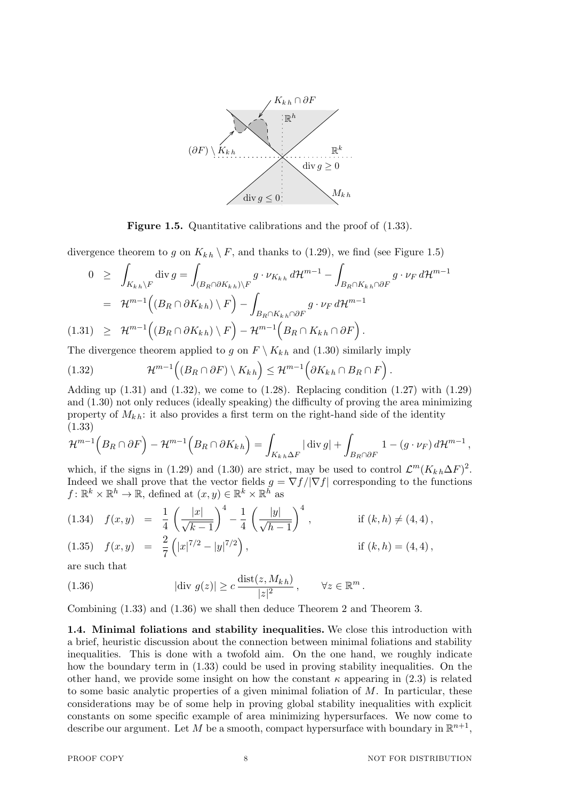

**Figure 1.5.** Quantitative calibrations and the proof of  $(1.33)$ .

divergence theorem to g on  $K_{kh} \setminus F$ , and thanks to (1.29), we find (see Figure 1.5)

$$
0 \geq \int_{K_{k,h}\backslash F} \operatorname{div} g = \int_{(B_R \cap \partial K_{k,h})\backslash F} g \cdot \nu_{K_{k,h}} d\mathcal{H}^{m-1} - \int_{B_R \cap K_{k,h} \cap \partial F} g \cdot \nu_F d\mathcal{H}^{m-1}
$$
  

$$
= \mathcal{H}^{m-1} \Big( (B_R \cap \partial K_{k,h}) \setminus F \Big) - \int_{B_R \cap K_{k,h} \cap \partial F} g \cdot \nu_F d\mathcal{H}^{m-1}
$$
  
(1.31) 
$$
\geq \mathcal{H}^{m-1} \Big( (B_R \cap \partial K_{k,h}) \setminus F \Big) - \mathcal{H}^{m-1} \Big( B_R \cap K_{k,h} \cap \partial F \Big).
$$

The divergence theorem applied to *g* on  $F \setminus K_{kh}$  and (1.30) similarly imply

(1.32) 
$$
\mathcal{H}^{m-1}\Big((B_R \cap \partial F) \setminus K_{kh}\Big) \leq \mathcal{H}^{m-1}\Big(\partial K_{kh} \cap B_R \cap F\Big).
$$

Adding up  $(1.31)$  and  $(1.32)$ , we come to  $(1.28)$ . Replacing condition  $(1.27)$  with  $(1.29)$ and (1.30) not only reduces (ideally speaking) the difficulty of proving the area minimizing property of  $M_{kh}$ : it also provides a first term on the right-hand side of the identity (1.33)

$$
\mathcal{H}^{m-1}\Big(B_R \cap \partial F\Big) - \mathcal{H}^{m-1}\Big(B_R \cap \partial K_{kh}\Big) = \int_{K_{kh}\Delta F} |\operatorname{div} g| + \int_{B_R \cap \partial F} 1 - (g \cdot \nu_F) d\mathcal{H}^{m-1},
$$

which, if the signs in (1.29) and (1.30) are strict, may be used to control  $\mathcal{L}^m(K_{k,h}\Delta F)^2$ . Indeed we shall prove that the vector fields  $g = \nabla f / |\nabla f|$  corresponding to the functions  $f: \mathbb{R}^k \times \mathbb{R}^h \to \mathbb{R}$ , defined at  $(x, y) \in \mathbb{R}^k \times \mathbb{R}^h$  as

$$
(1.34) \quad f(x,y) = \frac{1}{4} \left( \frac{|x|}{\sqrt{k-1}} \right)^4 - \frac{1}{4} \left( \frac{|y|}{\sqrt{h-1}} \right)^4, \qquad \text{if } (k,h) \neq (4,4),
$$

(1.35) 
$$
f(x,y) = \frac{2}{7} (|x|^{7/2} - |y|^{7/2}),
$$
 if  $(k, h) = (4, 4),$ 

are such that

(1.36) 
$$
|\text{div } g(z)| \ge c \frac{\text{dist}(z, M_{kh})}{|z|^2}, \qquad \forall z \in \mathbb{R}^m.
$$

Combining (1.33) and (1.36) we shall then deduce Theorem 2 and Theorem 3.

**1.4. Minimal foliations and stability inequalities.** We close this introduction with a brief, heuristic discussion about the connection between minimal foliations and stability inequalities. This is done with a twofold aim. On the one hand, we roughly indicate how the boundary term in (1.33) could be used in proving stability inequalities. On the other hand, we provide some insight on how the constant  $\kappa$  appearing in (2.3) is related to some basic analytic properties of a given minimal foliation of *M*. In particular, these considerations may be of some help in proving global stability inequalities with explicit constants on some specific example of area minimizing hypersurfaces. We now come to describe our argument. Let M be a smooth, compact hypersurface with boundary in  $\mathbb{R}^{n+1}$ ,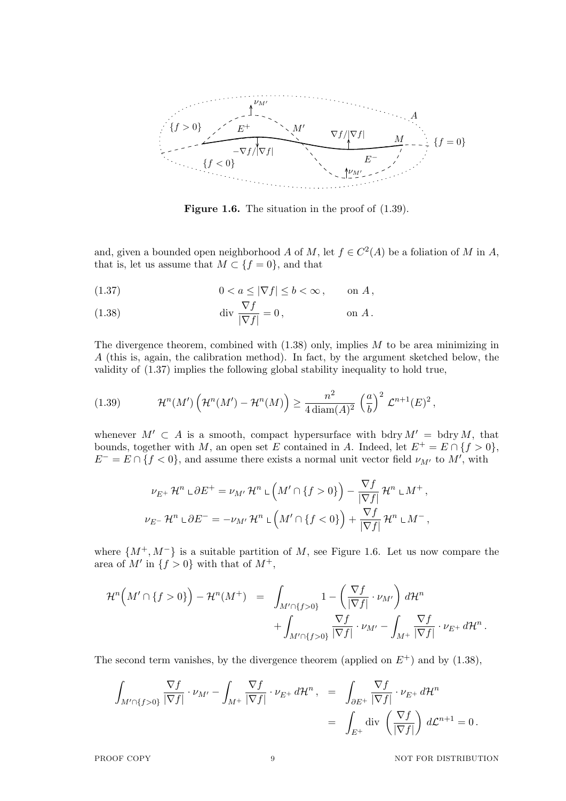

**Figure 1.6.** The situation in the proof of  $(1.39)$ .

and, given a bounded open neighborhood *A* of *M*, let  $f \in C^2(A)$  be a foliation of *M* in *A*, that is, let us assume that  $M \subset \{f = 0\}$ , and that

$$
(1.37) \t\t 0 < a \le |\nabla f| \le b < \infty , \t\t \text{on } A,
$$

(1.38) 
$$
\operatorname{div} \frac{\nabla f}{|\nabla f|} = 0, \qquad \text{on } A.
$$

The divergence theorem, combined with (1.38) only, implies *M* to be area minimizing in *A* (this is, again, the calibration method). In fact, by the argument sketched below, the validity of (1.37) implies the following global stability inequality to hold true,

(1.39) 
$$
\mathcal{H}^n(M')\left(\mathcal{H}^n(M')-\mathcal{H}^n(M)\right)\geq \frac{n^2}{4\operatorname{diam}(A)^2}\left(\frac{a}{b}\right)^2\mathcal{L}^{n+1}(E)^2,
$$

whenever  $M' \subset A$  is a smooth, compact hypersurface with bdry  $M' = \text{bdry } M$ , that bounds, together with *M*, an open set *E* contained in *A*. Indeed, let  $E^+ = E \cap \{f > 0\}$ ,  $E^- = E \cap \{f < 0\}$ , and assume there exists a normal unit vector field  $\nu_{M'}$  to  $M'$ , with

$$
\nu_{E^+} \mathcal{H}^n \cup \partial E^+ = \nu_{M'} \mathcal{H}^n \cup \left( M' \cap \{f > 0\} \right) - \frac{\nabla f}{|\nabla f|} \mathcal{H}^n \cup M^+,
$$
  

$$
\nu_{E^-} \mathcal{H}^n \cup \partial E^- = -\nu_{M'} \mathcal{H}^n \cup \left( M' \cap \{f < 0\} \right) + \frac{\nabla f}{|\nabla f|} \mathcal{H}^n \cup M^-,
$$

where  $\{M^+, M^-\}$  is a suitable partition of *M*, see Figure 1.6. Let us now compare the area of  $M'$  in  $\{f > 0\}$  with that of  $M^+$ ,

$$
\mathcal{H}^n\left(M'\cap\{f>0\}\right)-\mathcal{H}^n(M^+) = \int_{M'\cap\{f>0\}}1-\left(\frac{\nabla f}{|\nabla f|}\cdot\nu_{M'}\right)d\mathcal{H}^n + \int_{M'\cap\{f>0\}}\frac{\nabla f}{|\nabla f|}\cdot\nu_{M'}-\int_{M^+}\frac{\nabla f}{|\nabla f|}\cdot\nu_{E^+}d\mathcal{H}^n.
$$

The second term vanishes, by the divergence theorem (applied on  $E^+$ ) and by (1.38),

$$
\int_{M'\cap\{f>0\}} \frac{\nabla f}{|\nabla f|} \cdot \nu_{M'} - \int_{M^+} \frac{\nabla f}{|\nabla f|} \cdot \nu_{E^+} d\mathcal{H}^n, = \int_{\partial E^+} \frac{\nabla f}{|\nabla f|} \cdot \nu_{E^+} d\mathcal{H}^n
$$

$$
= \int_{E^+} \text{div } \left(\frac{\nabla f}{|\nabla f|}\right) d\mathcal{L}^{n+1} = 0.
$$

PROOF COPY 9 9 NOT FOR DISTRIBUTION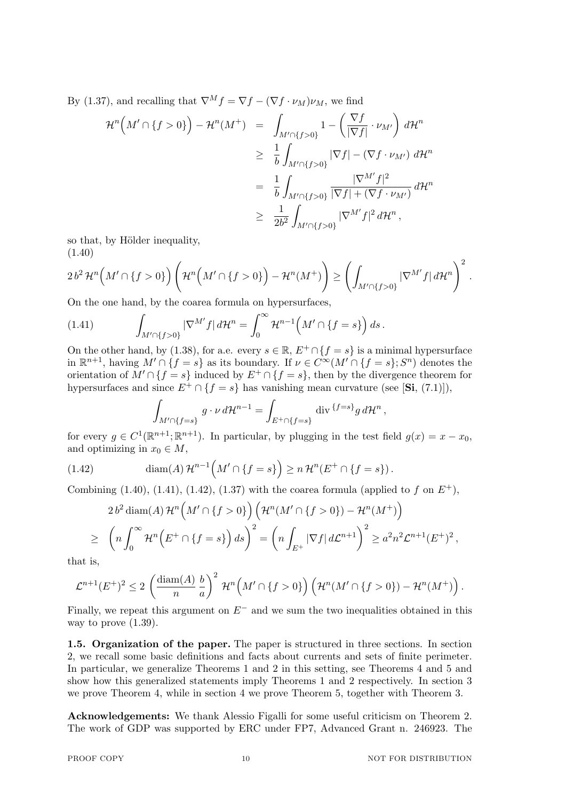By (1.37), and recalling that  $\nabla^M f = \nabla f - (\nabla f \cdot \nu_M)\nu_M$ , we find

$$
\mathcal{H}^{n}\left(M'\cap\{f>0\}\right)-\mathcal{H}^{n}(M^{+}) = \int_{M'\cap\{f>0\}}1-\left(\frac{\nabla f}{|\nabla f|}\cdot\nu_{M'}\right)d\mathcal{H}^{n}
$$
  
\n
$$
\geq \frac{1}{b}\int_{M'\cap\{f>0\}}|\nabla f|-(\nabla f\cdot\nu_{M'}) d\mathcal{H}^{n}
$$
  
\n
$$
= \frac{1}{b}\int_{M'\cap\{f>0\}}\frac{|\nabla^{M'}f|^{2}}{|\nabla f|+(\nabla f\cdot\nu_{M'})} d\mathcal{H}^{n}
$$
  
\n
$$
\geq \frac{1}{2b^{2}}\int_{M'\cap\{f>0\}}|\nabla^{M'}f|^{2} d\mathcal{H}^{n},
$$

so that, by Hölder inequality, (1.40)

$$
2 b^2 \mathcal{H}^n \Big( M' \cap \{f > 0\} \Big) \left( \mathcal{H}^n \Big( M' \cap \{f > 0\} \Big) - \mathcal{H}^n (M^+) \right) \ge \left( \int_{M' \cap \{f > 0\}} |\nabla^{M'} f| \, d\mathcal{H}^n \right)^2.
$$

On the one hand, by the coarea formula on hypersurfaces,

(1.41) 
$$
\int_{M'\cap\{f>0\}} |\nabla^{M'} f| d\mathcal{H}^n = \int_0^\infty \mathcal{H}^{n-1}\Big(M'\cap\{f=s\}\Big) ds.
$$

On the other hand, by (1.38), for a.e. every  $s \in \mathbb{R}$ ,  $E^+ \cap \{f = s\}$  is a minimal hypersurface in  $\mathbb{R}^{n+1}$ , having  $M' \cap \{f = s\}$  as its boundary. If  $\nu \in C^{\infty}(M' \cap \{f = s\}; S^n)$  denotes the orientation of  $M' \cap \{f = s\}$  induced by  $E^+ \cap \{f = s\}$ , then by the divergence theorem for hypersurfaces and since  $E^+ \cap \{f = s\}$  has vanishing mean curvature (see [Si, (7.1)]),

$$
\int_{M'\cap\{f=s\}} g\cdot\nu\,d\mathcal{H}^{n-1} = \int_{E^+\cap\{f=s\}} \operatorname{div}^{\{f=s\}} g\,d\mathcal{H}^n,
$$

for every  $g \in C^1(\mathbb{R}^{n+1}; \mathbb{R}^{n+1})$ . In particular, by plugging in the test field  $g(x) = x - x_0$ , and optimizing in  $x_0 \in M$ ,

(1.42) 
$$
\operatorname{diam}(A)\mathcal{H}^{n-1}\left(M'\cap\{f=s\}\right)\geq n\,\mathcal{H}^n(E^+\cap\{f=s\})\,.
$$

Combining (1.40), (1.41), (1.42), (1.37) with the coarea formula (applied to  $f$  on  $E^+$ ),

$$
2 b2 \operatorname{diam}(A) \mathcal{H}^{n}\left(M' \cap \{f > 0\}\right) \left(\mathcal{H}^{n}\left(M' \cap \{f > 0\}\right) - \mathcal{H}^{n}\left(M^{+}\right)\right)
$$
  
\n
$$
\geq \left(n \int_{0}^{\infty} \mathcal{H}^{n}\left(E^{+} \cap \{f = s\}\right) ds\right)^{2} = \left(n \int_{E^{+}} |\nabla f| d\mathcal{L}^{n+1}\right)^{2} \geq a^{2} n^{2} \mathcal{L}^{n+1}\left(E^{+}\right)^{2},
$$

that is,

$$
\mathcal{L}^{n+1}(E^+)^2 \leq 2\left(\frac{\text{diam}(A)}{n}\frac{b}{a}\right)^2 \mathcal{H}^n\left(M'\cap\{f>0\}\right)\left(\mathcal{H}^n(M'\cap\{f>0\})-\mathcal{H}^n(M^+)\right).
$$

Finally, we repeat this argument on *E<sup>−</sup>* and we sum the two inequalities obtained in this way to prove  $(1.39)$ .

**1.5. Organization of the paper.** The paper is structured in three sections. In section 2, we recall some basic definitions and facts about currents and sets of finite perimeter. In particular, we generalize Theorems 1 and 2 in this setting, see Theorems 4 and 5 and show how this generalized statements imply Theorems 1 and 2 respectively. In section 3 we prove Theorem 4, while in section 4 we prove Theorem 5, together with Theorem 3.

**Acknowledgements:** We thank Alessio Figalli for some useful criticism on Theorem 2. The work of GDP was supported by ERC under FP7, Advanced Grant n. 246923. The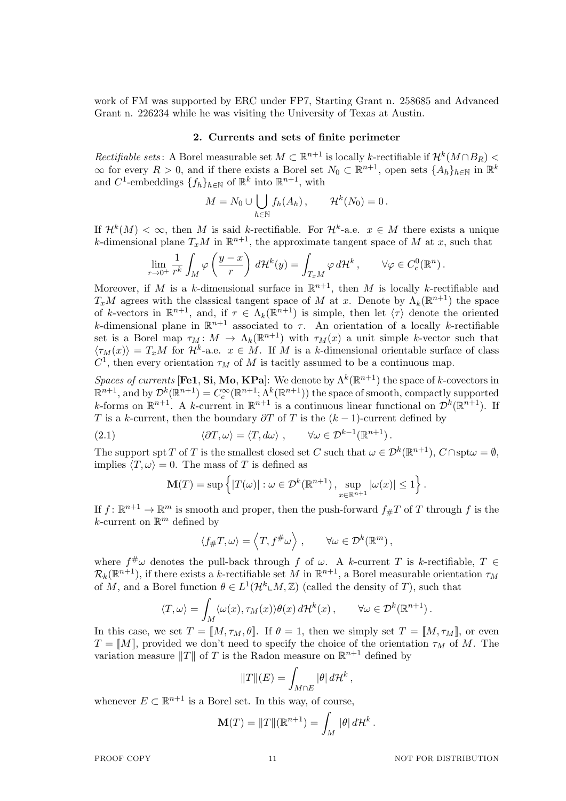work of FM was supported by ERC under FP7, Starting Grant n. 258685 and Advanced Grant n. 226234 while he was visiting the University of Texas at Austin.

## **2. Currents and sets of finite perimeter**

*Rectifiable sets*: A Borel measurable set  $M \subset \mathbb{R}^{n+1}$  is locally *k*-rectifiable if  $\mathcal{H}^k(M \cap B_R)$  $\infty$  for every *R* > 0, and if there exists a Borel set *N*<sub>0</sub> ⊂  $\mathbb{R}^{n+1}$ , open sets  $\{A_h\}_{h\in\mathbb{N}}$  in  $\mathbb{R}^k$ and  $C^1$ -embeddings  $\{f_h\}_{h \in \mathbb{N}}$  of  $\mathbb{R}^k$  into  $\mathbb{R}^{n+1}$ , with

$$
M = N_0 \cup \bigcup_{h \in \mathbb{N}} f_h(A_h), \qquad \mathcal{H}^k(N_0) = 0.
$$

If  $\mathcal{H}^k(M) < \infty$ , then *M* is said *k*-rectifiable. For  $\mathcal{H}^k$ -a.e.  $x \in M$  there exists a unique *k*-dimensional plane  $T_xM$  in  $\mathbb{R}^{n+1}$ , the approximate tangent space of *M* at *x*, such that

$$
\lim_{r \to 0^+} \frac{1}{r^k} \int_M \varphi \left( \frac{y - x}{r} \right) d\mathcal{H}^k(y) = \int_{T_x M} \varphi d\mathcal{H}^k, \qquad \forall \varphi \in C_c^0(\mathbb{R}^n).
$$

Moreover, if *M* is a *k*-dimensional surface in  $\mathbb{R}^{n+1}$ , then *M* is locally *k*-rectifiable and *T<sub>x</sub>M* agrees with the classical tangent space of *M* at *x*. Denote by  $\Lambda_k(\mathbb{R}^{n+1})$  the space of *k*-vectors in  $\mathbb{R}^{n+1}$ , and, if  $\tau \in \Lambda_k(\mathbb{R}^{n+1})$  is simple, then let  $\langle \tau \rangle$  denote the oriented *k*-dimensional plane in  $\mathbb{R}^{n+1}$  associated to  $\tau$ . An orientation of a locally *k*-rectifiable set is a Borel map  $\tau_M: M \to \Lambda_k(\mathbb{R}^{n+1})$  with  $\tau_M(x)$  a unit simple *k*-vector such that  $\langle \tau_M(x) \rangle = T_x M$  for  $\mathcal{H}^k$ -a.e.  $x \in M$ . If *M* is a *k*-dimensional orientable surface of class  $C^1$ , then every orientation  $\tau_M$  of M is tacitly assumed to be a continuous map.

*Spaces of currents* [**Fe1**, **Si**, **Mo**, **KPa**]: We denote by  $\Lambda^k(\mathbb{R}^{n+1})$  the space of *k*-covectors in  $\mathbb{R}^{n+1}$ , and by  $\mathcal{D}^k(\mathbb{R}^{n+1}) = C_c^{\infty}(\mathbb{R}^{n+1}; \Lambda^k(\mathbb{R}^{n+1}))$  the space of smooth, compactly supported *k*-forms on  $\mathbb{R}^{n+1}$ . A *k*-current in  $\mathbb{R}^{n+1}$  is a continuous linear functional on  $\mathcal{D}^k(\mathbb{R}^{n+1})$ . If *T* is a *k*-current, then the boundary  $\partial T$  of *T* is the  $(k-1)$ -current defined by

(2.1) 
$$
\langle \partial T, \omega \rangle = \langle T, d\omega \rangle, \qquad \forall \omega \in \mathcal{D}^{k-1}(\mathbb{R}^{n+1}).
$$

The support spt *T* of *T* is the smallest closed set *C* such that  $\omega \in \mathcal{D}^k(\mathbb{R}^{n+1})$ ,  $C \cap \text{spt } \omega = \emptyset$ , implies  $\langle T, \omega \rangle = 0$ . The mass of *T* is defined as

$$
\mathbf{M}(T) = \sup \left\{ |T(\omega)| : \omega \in \mathcal{D}^k(\mathbb{R}^{n+1}), \sup_{x \in \mathbb{R}^{n+1}} |\omega(x)| \le 1 \right\}.
$$

If  $f: \mathbb{R}^{n+1} \to \mathbb{R}^m$  is smooth and proper, then the push-forward  $f_{\#}T$  of  $T$  through  $f$  is the  $k$ -current on  $\mathbb{R}^m$  defined by

$$
\langle f_{\#}T,\omega\rangle=\left\langle T,f^{\#}\omega\right\rangle ,\qquad\forall\omega\in\mathcal{D}^k(\mathbb{R}^m)\,,
$$

where  $f^{\#}\omega$  denotes the pull-back through *f* of  $\omega$ . A *k*-current *T* is *k*-rectifiable, *T*  $\in$  $\mathcal{R}_k(\mathbb{R}^{n+1})$ , if there exists a *k*-rectifiable set *M* in  $\mathbb{R}^{n+1}$ , a Borel measurable orientation  $\tau_M$ of *M*, and a Borel function  $\theta \in L^1(\mathcal{H}^k \llcorner M, \mathbb{Z})$  (called the density of *T*), such that

$$
\langle T, \omega \rangle = \int_M \langle \omega(x), \tau_M(x) \rangle \theta(x) d\mathcal{H}^k(x), \qquad \forall \omega \in \mathcal{D}^k(\mathbb{R}^{n+1}).
$$

In this case, we set  $T = [M, \tau_M, \theta]$ . If  $\theta = 1$ , then we simply set  $T = [M, \tau_M]$ , or even  $T = \llbracket M \rrbracket$ , provided we don't need to specify the choice of the orientation  $\tau_M$  of *M*. The variation measure  $||T||$  of *T* is the Radon measure on  $\mathbb{R}^{n+1}$  defined by

$$
||T||(E) = \int_{M \cap E} |\theta| d\mathcal{H}^k,
$$

whenever  $E \subset \mathbb{R}^{n+1}$  is a Borel set. In this way, of course,

$$
\mathbf{M}(T) = ||T||(\mathbb{R}^{n+1}) = \int_M |\theta| d\mathcal{H}^k.
$$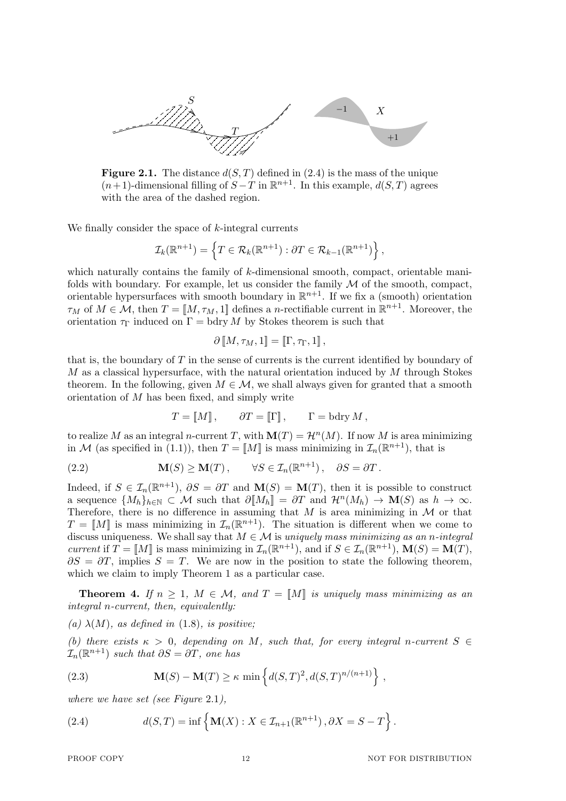

**Figure 2.1.** The distance  $d(S, T)$  defined in (2.4) is the mass of the unique  $(n+1)$ -dimensional filling of  $S-T$  in  $\mathbb{R}^{n+1}$ . In this example,  $d(S,T)$  agrees with the area of the dashed region.

We finally consider the space of *k*-integral currents

$$
\mathcal{I}_k(\mathbb{R}^{n+1}) = \left\{ T \in \mathcal{R}_k(\mathbb{R}^{n+1}) : \partial T \in \mathcal{R}_{k-1}(\mathbb{R}^{n+1}) \right\},\
$$

which naturally contains the family of *k*-dimensional smooth, compact, orientable manifolds with boundary. For example, let us consider the family *M* of the smooth, compact, orientable hypersurfaces with smooth boundary in  $\mathbb{R}^{n+1}$ . If we fix a (smooth) orientation  $\tau_M$  of  $M \in \mathcal{M}$ , then  $T = [M, \tau_M, 1]$  defines a *n*-rectifiable current in  $\mathbb{R}^{n+1}$ . Moreover, the orientation  $\tau_{\Gamma}$  induced on  $\Gamma = \text{bdry } M$  by Stokes theorem is such that

$$
\partial \llbracket M, \tau_M, 1 \rrbracket = \llbracket \Gamma, \tau_\Gamma, 1 \rrbracket \, ,
$$

that is, the boundary of *T* in the sense of currents is the current identified by boundary of *M* as a classical hypersurface, with the natural orientation induced by *M* through Stokes theorem. In the following, given  $M \in \mathcal{M}$ , we shall always given for granted that a smooth orientation of *M* has been fixed, and simply write

$$
T = [[M]], \t \partial T = [[\Gamma]], \t \Gamma = bdry M,
$$

to realize *M* as an integral *n*-current *T*, with  $\mathbf{M}(T) = \mathcal{H}^n(M)$ . If now *M* is area minimizing in *M* (as specified in (1.1)), then  $T = [M]$  is mass minimizing in  $\mathcal{I}_n(\mathbb{R}^{n+1})$ , that is

(2.2) 
$$
\mathbf{M}(S) \geq \mathbf{M}(T), \qquad \forall S \in \mathcal{I}_n(\mathbb{R}^{n+1}), \quad \partial S = \partial T.
$$

Indeed, if  $S \in \mathcal{I}_n(\mathbb{R}^{n+1})$ ,  $\partial S = \partial T$  and  $\mathbf{M}(S) = \mathbf{M}(T)$ , then it is possible to construct a sequence  ${M_h}_{h \in \mathbb{N}} \subset \mathcal{M}$  such that  $\partial [M_h] = \partial T$  and  $\mathcal{H}^n(M_h) \to \mathbf{M}(S)$  as  $h \to \infty$ . Therefore, there is no difference in assuming that  $M$  is area minimizing in  $M$  or that  $T = [M]$  is mass minimizing in  $\mathcal{I}_n(\mathbb{R}^{n+1})$ . The situation is different when we come to discuss uniqueness. We shall say that  $M \in \mathcal{M}$  is *uniquely mass minimizing as an n-integral current* if  $T = [M]$  is mass minimizing in  $\mathcal{I}_n(\mathbb{R}^{n+1})$ , and if  $S \in \mathcal{I}_n(\mathbb{R}^{n+1})$ ,  $\mathbf{M}(S) = \mathbf{M}(T)$ ,  $\partial S = \partial T$ , implies  $S = T$ . We are now in the position to state the following theorem, which we claim to imply Theorem 1 as a particular case.

**Theorem 4.** If  $n \geq 1$ ,  $M \in \mathcal{M}$ , and  $T = \llbracket M \rrbracket$  is uniquely mass minimizing as an *integral n-current, then, equivalently:*

 $(a)$   $\lambda(M)$ *, as defined in* (1.8)*, is positive;* 

*(b)* there exists  $\kappa > 0$ , depending on *M*, such that, for every integral *n*-current  $S \in$  $\mathcal{I}_n(\mathbb{R}^{n+1})$  *such that*  $\partial S = \partial T$ *, one has* 

(2.3) 
$$
\mathbf{M}(S) - \mathbf{M}(T) \ge \kappa \min \left\{ d(S,T)^2, d(S,T)^{n/(n+1)} \right\},
$$

*where we have set (see Figure* 2.1*),*

(2.4) 
$$
d(S,T) = \inf \left\{ \mathbf{M}(X) : X \in \mathcal{I}_{n+1}(\mathbb{R}^{n+1}), \partial X = S - T \right\}.
$$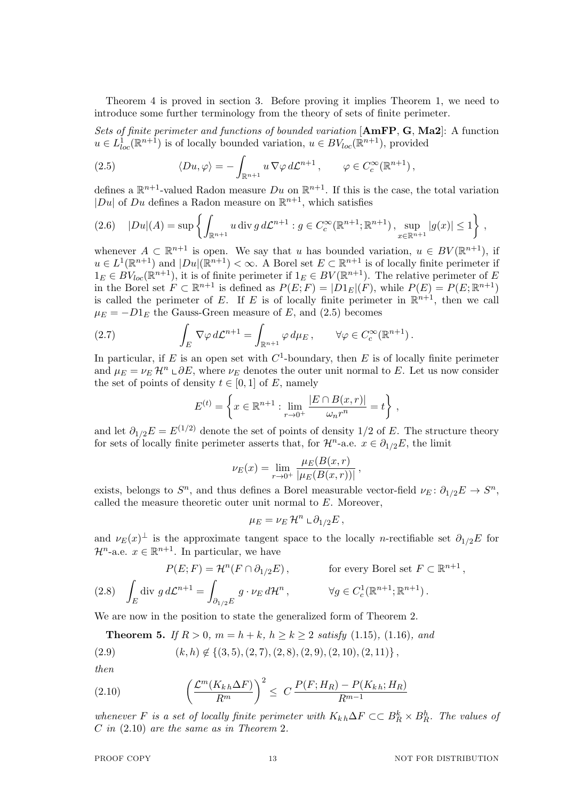Theorem 4 is proved in section 3. Before proving it implies Theorem 1, we need to introduce some further terminology from the theory of sets of finite perimeter.

*Sets of finite perimeter and functions of bounded variation* [**AmFP**, **G**, **Ma2**]: A function  $u \in L^1_{loc}(\mathbb{R}^{n+1})$  is of locally bounded variation,  $u \in BV_{loc}(\mathbb{R}^{n+1})$ , provided

(2.5) 
$$
\langle Du, \varphi \rangle = - \int_{\mathbb{R}^{n+1}} u \nabla \varphi \, d\mathcal{L}^{n+1}, \qquad \varphi \in C_c^{\infty}(\mathbb{R}^{n+1}),
$$

defines a  $\mathbb{R}^{n+1}$ -valued Radon measure *Du* on  $\mathbb{R}^{n+1}$ . If this is the case, the total variation | $Du$ | of  $Du$  defines a Radon measure on  $\mathbb{R}^{n+1}$ , which satisfies

$$
(2.6) \quad |Du|(A) = \sup \left\{ \int_{\mathbb{R}^{n+1}} u \, \text{div} \, g \, d\mathcal{L}^{n+1} : g \in C_c^{\infty}(\mathbb{R}^{n+1}; \mathbb{R}^{n+1}), \sup_{x \in \mathbb{R}^{n+1}} |g(x)| \le 1 \right\} \, ,
$$

whenever  $A \subset \mathbb{R}^{n+1}$  is open. We say that *u* has bounded variation,  $u \in BV(\mathbb{R}^{n+1})$ , if  $u \in L^1(\mathbb{R}^{n+1})$  and  $|Du|(\mathbb{R}^{n+1}) < \infty$ . A Borel set  $E \subset \mathbb{R}^{n+1}$  is of locally finite perimeter if  $1_E \in BV_{loc}(\mathbb{R}^{n+1})$ , it is of finite perimeter if  $1_E \in BV(\mathbb{R}^{n+1})$ . The relative perimeter of *E* in the Borel set  $F \subset \mathbb{R}^{n+1}$  is defined as  $P(E; F) = |D1_E|(F)$ , while  $P(E) = P(E; \mathbb{R}^{n+1})$ is called the perimeter of  $E$ . If  $E$  is of locally finite perimeter in  $\mathbb{R}^{n+1}$ , then we call  $\mu_E = -D1_E$  the Gauss-Green measure of *E*, and (2.5) becomes

(2.7) 
$$
\int_E \nabla \varphi \, d\mathcal{L}^{n+1} = \int_{\mathbb{R}^{n+1}} \varphi \, d\mu_E, \qquad \forall \varphi \in C_c^{\infty}(\mathbb{R}^{n+1}).
$$

In particular, if  $E$  is an open set with  $C^1$ -boundary, then  $E$  is of locally finite perimeter and  $\mu_E = \nu_E \mathcal{H}^n \cup \partial E$ , where  $\nu_E$  denotes the outer unit normal to *E*. Let us now consider the set of points of density  $t \in [0, 1]$  of *E*, namely

$$
E^{(t)} = \left\{ x \in \mathbb{R}^{n+1} : \lim_{r \to 0^+} \frac{|E \cap B(x,r)|}{\omega_n r^n} = t \right\},\,
$$

and let  $\partial_{1/2}E = E^{(1/2)}$  denote the set of points of density 1/2 of *E*. The structure theory for sets of locally finite perimeter asserts that, for  $\mathcal{H}^n$ -a.e.  $x \in \partial_{1/2}E$ , the limit

$$
\nu_E(x) = \lim_{r \to 0^+} \frac{\mu_E(B(x, r))}{|\mu_E(B(x, r))|},
$$

exists, belongs to  $S^n$ , and thus defines a Borel measurable vector-field  $\nu_E$ :  $\partial_{1/2}E \to S^n$ , called the measure theoretic outer unit normal to *E*. Moreover,

$$
\mu_E = \nu_E \mathcal{H}^n \sqcup \partial_{1/2} E,
$$

and  $\nu_E(x)$ <sup> $\perp$ </sup> is the approximate tangent space to the locally *n*-rectifiable set  $\partial_{1/2}E$  for  $\mathcal{H}^n$ -a.e.  $x \in \mathbb{R}^{n+1}$ . In particular, we have

$$
P(E; F) = \mathcal{H}^n(F \cap \partial_{1/2} E), \qquad \text{for every Borel set } F \subset \mathbb{R}^{n+1},
$$

$$
(2.8) \quad \int_E \operatorname{div} g \, d\mathcal{L}^{n+1} = \int_{\partial_{1/2} E} g \cdot \nu_E \, d\mathcal{H}^n, \qquad \forall g \in C_c^1(\mathbb{R}^{n+1}; \mathbb{R}^{n+1}).
$$

We are now in the position to state the generalized form of Theorem 2.

**Theorem 5.** *If*  $R > 0$ *,*  $m = h + k$ *,*  $h \ge k \ge 2$  *satisfy* (1.15)*,* (1.16*), and* 

$$
(2.9) \qquad (k,h) \notin \{(3,5), (2,7), (2,8), (2,9), (2,10), (2,11)\},\
$$

*then*

(2.10) 
$$
\left(\frac{\mathcal{L}^m(K_{k,h}\Delta F)}{R^m}\right)^2 \leq C \frac{P(F;H_R) - P(K_{k,h};H_R)}{R^{m-1}}
$$

*whenever F is a set of locally finite perimeter with*  $K_{k,h} \Delta F \subset C \cdot B_R^k \times B_R^h$ . The values of *C in* (2.10) *are the same as in Theorem* 2*.*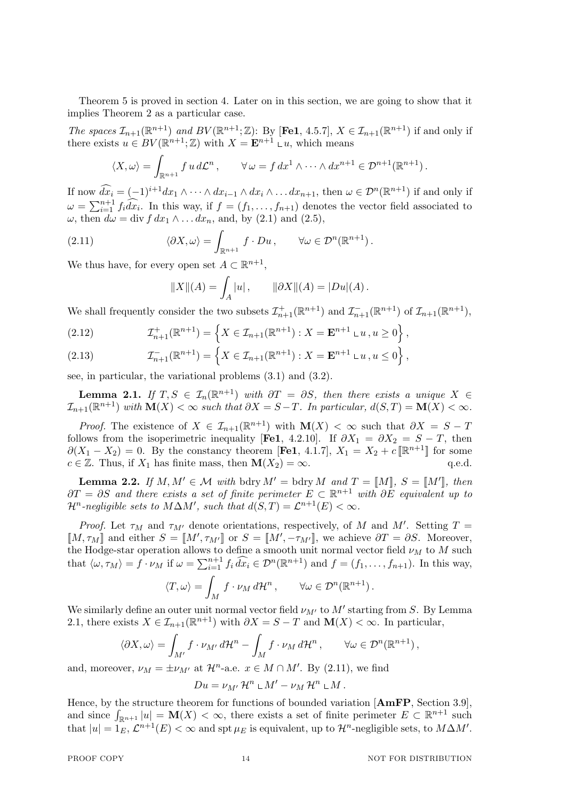Theorem 5 is proved in section 4. Later on in this section, we are going to show that it implies Theorem 2 as a particular case.

*The spaces*  $\mathcal{I}_{n+1}(\mathbb{R}^{n+1})$  *and*  $BV(\mathbb{R}^{n+1}; \mathbb{Z})$ : By [Fe1, 4.5.7],  $X \in \mathcal{I}_{n+1}(\mathbb{R}^{n+1})$  if and only if there exists  $u \in BV(\mathbb{R}^{n+1}; \mathbb{Z})$  with  $X = \mathbf{E}^{n+1} \cup u$ , which means

$$
\langle X, \omega \rangle = \int_{\mathbb{R}^{n+1}} f u \, d\mathcal{L}^n, \qquad \forall \, \omega = f \, dx^1 \wedge \cdots \wedge dx^{n+1} \in \mathcal{D}^{n+1}(\mathbb{R}^{n+1}).
$$

If now  $\widehat{dx_i} = (-1)^{i+1} dx_1 \wedge \cdots \wedge dx_{i-1} \wedge dx_i \wedge \ldots dx_{n+1}$ , then  $\omega \in \mathcal{D}^n(\mathbb{R}^{n+1})$  if and only if  $\omega = \sum_{i=1}^{n+1} f_i \widehat{dx_i}$ . In this way, if  $f = (f_1, \ldots, f_{n+1})$  denotes the vector field associated to  $\omega$ , then  $d\omega = \text{div } f \, dx_1 \wedge \ldots dx_n$ , and, by (2.1) and (2.5),

(2.11) 
$$
\langle \partial X, \omega \rangle = \int_{\mathbb{R}^{n+1}} f \cdot Du, \qquad \forall \omega \in \mathcal{D}^n(\mathbb{R}^{n+1}).
$$

We thus have, for every open set  $A \subset \mathbb{R}^{n+1}$ ,

$$
||X||(A) = \int_A |u|, \qquad ||\partial X||(A) = |Du|(A).
$$

We shall frequently consider the two subsets  $\mathcal{I}_{n+1}^+(\mathbb{R}^{n+1})$  and  $\mathcal{I}_{n+1}^-(\mathbb{R}^{n+1})$  of  $\mathcal{I}_{n+1}(\mathbb{R}^{n+1})$ ,

(2.12) 
$$
\mathcal{I}_{n+1}^{+}(\mathbb{R}^{n+1}) = \left\{ X \in \mathcal{I}_{n+1}(\mathbb{R}^{n+1}) : X = \mathbf{E}^{n+1} \cup u, u \ge 0 \right\},
$$

(2.13) 
$$
\mathcal{I}_{n+1}^{-}(\mathbb{R}^{n+1}) = \left\{ X \in \mathcal{I}_{n+1}(\mathbb{R}^{n+1}) : X = \mathbf{E}^{n+1} \cup u, u \leq 0 \right\},
$$

see, in particular, the variational problems (3.1) and (3.2).

**Lemma 2.1.** *If*  $T, S \in \mathcal{I}_n(\mathbb{R}^{n+1})$  *with*  $\partial T = \partial S$ *, then there exists a unique*  $X \in$  $\mathcal{I}_{n+1}(\mathbb{R}^{n+1})$  with  $\mathbf{M}(X) < \infty$  such that  $\partial X = S - T$ . In particular,  $d(S,T) = \mathbf{M}(X) < \infty$ .

*Proof.* The existence of  $X \in \mathcal{I}_{n+1}(\mathbb{R}^{n+1})$  with  $\mathbf{M}(X) < \infty$  such that  $\partial X = S - T$ follows from the isoperimetric inequality [Fe1, 4.2.10]. If  $\partial X_1 = \partial X_2 = S - T$ , then  $∂(X₁ - X₂) = 0$ . By the constancy theorem [**Fe1**, 4.1.7],  $X₁ = X₂ + c$  [ $\mathbb{R}^{n+1}$ ] for some  $c \in \mathbb{Z}$ . Thus, if  $X_1$  has finite mass, then  $\mathbf{M}(X_2) = \infty$ . q.e.d.

**Lemma 2.2.** *If*  $M, M' \in \mathcal{M}$  *with* bdry  $M' =$  bdry  $M$  *and*  $T = [M]$ *,*  $S = [M']$ *, then*  $∂T = ∂S$  *and there exists a set of finite perimeter*  $E ⊂ \mathbb{R}^{n+1}$  *with*  $∂E$  *equivalent up to*  $\mathcal{H}^n$ -negligible sets to  $M\Delta M'$ , such that  $d(S,T) = \mathcal{L}^{n+1}(E) < \infty$ .

*Proof.* Let  $\tau_M$  and  $\tau_{M'}$  denote orientations, respectively, of *M* and *M'*. Setting *T* =  $[M, \tau_M]$  and either  $S = [M', \tau_{M'}]$  or  $S = [M', -\tau_{M'}]$ , we achieve  $\partial T = \partial S$ . Moreover, the Hodge-star operation allows to define a smooth unit normal vector field *ν<sup>M</sup>* to *M* such that  $\langle \omega, \tau_M \rangle = f \cdot \nu_M$  if  $\omega = \sum_{i=1}^{n+1} f_i \widehat{dx_i} \in \mathcal{D}^n(\mathbb{R}^{n+1})$  and  $f = (f_1, \ldots, f_{n+1})$ . In this way,

$$
\langle T, \omega \rangle = \int_M f \cdot \nu_M d\mathcal{H}^n, \qquad \forall \omega \in \mathcal{D}^n(\mathbb{R}^{n+1}).
$$

We similarly define an outer unit normal vector field *νM′* to *M′* starting from *S*. By Lemma 2.1, there exists  $X \in \mathcal{I}_{n+1}(\mathbb{R}^{n+1})$  with  $\partial X = S - T$  and  $\mathbf{M}(X) < \infty$ . In particular,

$$
\langle \partial X, \omega \rangle = \int_{M'} f \cdot \nu_{M'} d\mathcal{H}^n - \int_M f \cdot \nu_M d\mathcal{H}^n, \qquad \forall \omega \in \mathcal{D}^n(\mathbb{R}^{n+1}),
$$

and, moreover,  $\nu_M = \pm \nu_{M'}$  at  $\mathcal{H}^n$ -a.e.  $x \in M \cap M'$ . By (2.11), we find

$$
Du=\nu_{M'}\mathcal{H}^n\mathop{\llcorner} M'-\nu_M\mathcal{H}^n\mathop{\llcorner} M.
$$

Hence, by the structure theorem for functions of bounded variation [**AmFP**, Section 3.9], and since  $\int_{\mathbb{R}^{n+1}} |u| = M(X) < \infty$ , there exists a set of finite perimeter  $E \subset \mathbb{R}^{n+1}$  such that  $|u| = 1$ *E*,  $\mathcal{L}^{n+1}(E) < \infty$  and spt  $\mu_E$  is equivalent, up to  $\mathcal{H}^n$ -negligible sets, to  $M\Delta M'$ .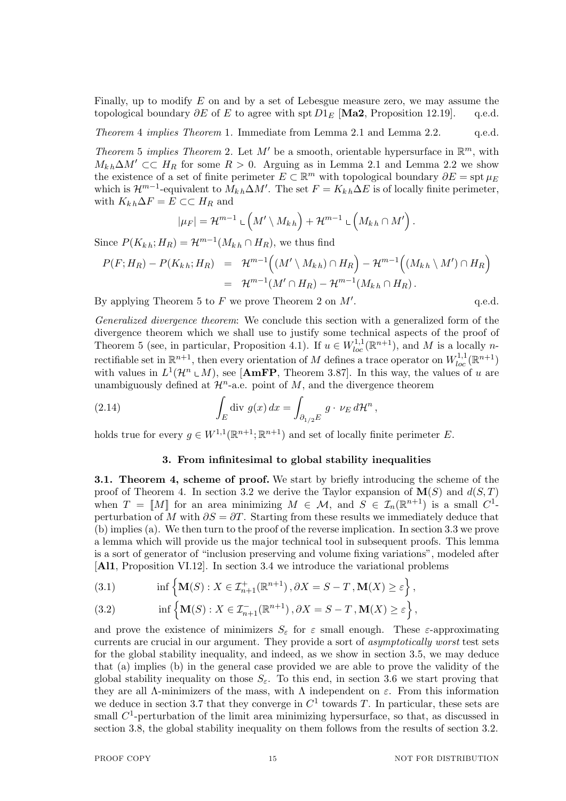Finally, up to modify *E* on and by a set of Lebesgue measure zero, we may assume the topological boundary *∂E* of *E* to agree with spt *D*1*<sup>E</sup>* [**Ma2**, Proposition 12.19]. q.e.d.

*Theorem* 4 *implies Theorem* 1*.* Immediate from Lemma 2.1 and Lemma 2.2. q.e.d.

*Theorem* 5 *implies Theorem* 2. Let  $M'$  be a smooth, orientable hypersurface in  $\mathbb{R}^m$ , with  $M_{k,h}$ ∆*M'* ⊂⊂ *H<sub>R</sub>* for some  $R > 0$ . Arguing as in Lemma 2.1 and Lemma 2.2 we show the existence of a set of finite perimeter  $E \subset \mathbb{R}^m$  with topological boundary  $\partial E = \mathrm{spt} \mu_E$ which is  $\mathcal{H}^{m-1}$ -equivalent to  $M_{kh} \Delta M'$ . The set  $F = K_{kh} \Delta E$  is of locally finite perimeter, with  $K_{k h} \Delta F = E \subset L H_R$  and

$$
|\mu_F| = \mathcal{H}^{m-1} \mathop{\llcorner} \left( M' \setminus M_{kh} \right) + \mathcal{H}^{m-1} \mathop{\llcorner} \left( M_{kh} \cap M' \right).
$$

Since  $P(K_{kh}; H_R) = \mathcal{H}^{m-1}(M_{kh} \cap H_R)$ , we thus find

$$
P(F;H_R) - P(K_{kh};H_R) = \mathcal{H}^{m-1}((M' \setminus M_{kh}) \cap H_R) - \mathcal{H}^{m-1}((M_{kh} \setminus M') \cap H_R)
$$
  
= 
$$
\mathcal{H}^{m-1}(M' \cap H_R) - \mathcal{H}^{m-1}(M_{kh} \cap H_R).
$$

By applying Theorem 5 to *F* we prove Theorem 2 on *M′*

*Generalized divergence theorem*: We conclude this section with a generalized form of the divergence theorem which we shall use to justify some technical aspects of the proof of Theorem 5 (see, in particular, Proposition 4.1). If  $u \in W_{loc}^{1,1}(\mathbb{R}^{n+1})$ , and M is a locally *n*rectifiable set in  $\mathbb{R}^{n+1}$ , then every orientation of *M* defines a trace operator on  $W^{1,1}_{loc}(\mathbb{R}^{n+1})$ with values in  $L^1(\mathcal{H}^n \text{ }\mathbb{L}[M])$ , see [AmFP, Theorem 3.87]. In this way, the values of *u* are unambiguously defined at  $\mathcal{H}^n$ -a.e. point of  $M$ , and the divergence theorem

(2.14) 
$$
\int_{E} \operatorname{div} g(x) dx = \int_{\partial_{1/2} E} g \cdot \nu_{E} d\mathcal{H}^{n},
$$

holds true for every  $g \in W^{1,1}(\mathbb{R}^{n+1}; \mathbb{R}^{n+1})$  and set of locally finite perimeter *E*.

## **3. From infinitesimal to global stability inequalities**

**3.1. Theorem 4, scheme of proof.** We start by briefly introducing the scheme of the proof of Theorem 4. In section 3.2 we derive the Taylor expansion of  $\mathbf{M}(S)$  and  $d(S,T)$ when  $T = [M]$  for an area minimizing  $M \in \mathcal{M}$ , and  $S \in \mathcal{I}_n(\mathbb{R}^{n+1})$  is a small  $C^1$ perturbation of *M* with  $\partial S = \partial T$ . Starting from these results we immediately deduce that (b) implies (a). We then turn to the proof of the reverse implication. In section 3.3 we prove a lemma which will provide us the major technical tool in subsequent proofs. This lemma is a sort of generator of "inclusion preserving and volume fixing variations", modeled after [**Al1**, Proposition VI.12]. In section 3.4 we introduce the variational problems

(3.1) 
$$
\inf \left\{ \mathbf{M}(S) : X \in \mathcal{I}_{n+1}^{+}(\mathbb{R}^{n+1}), \partial X = S - T, \mathbf{M}(X) \ge \varepsilon \right\},\
$$

(3.2) 
$$
\inf \left\{ \mathbf{M}(S) : X \in \mathcal{I}_{n+1}^{-}(\mathbb{R}^{n+1}), \partial X = S - T, \mathbf{M}(X) \geq \varepsilon \right\},\
$$

and prove the existence of minimizers  $S_{\varepsilon}$  for  $\varepsilon$  small enough. These  $\varepsilon$ -approximating currents are crucial in our argument. They provide a sort of *asymptotically worst* test sets for the global stability inequality, and indeed, as we show in section 3.5, we may deduce that (a) implies (b) in the general case provided we are able to prove the validity of the global stability inequality on those  $S_{\varepsilon}$ . To this end, in section 3.6 we start proving that they are all  $Λ$ -minimizers of the mass, with  $Λ$  independent on  $ε$ . From this information we deduce in section 3.7 that they converge in  $C<sup>1</sup>$  towards T. In particular, these sets are small  $C^1$ -perturbation of the limit area minimizing hypersurface, so that, as discussed in section 3.8, the global stability inequality on them follows from the results of section 3.2.

. q.e.d.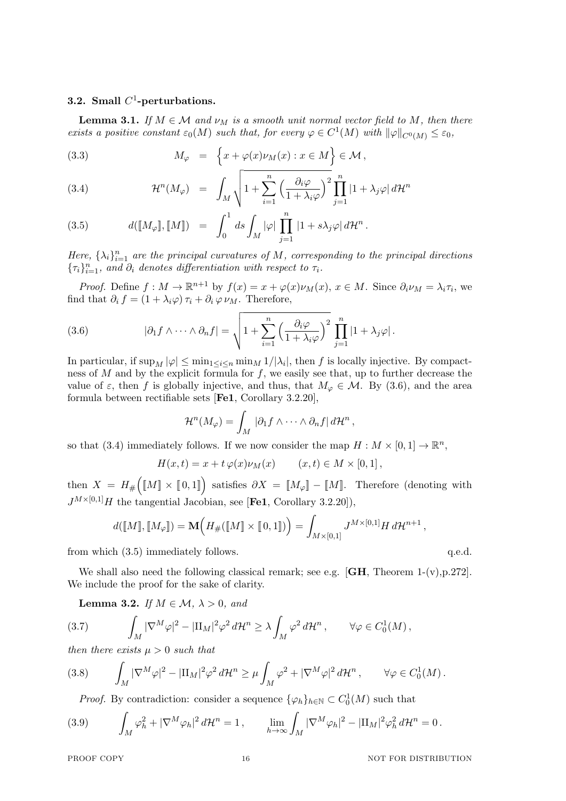# **3.2. Small** *C* 1 **-perturbations.**

**Lemma 3.1.** *If*  $M \in \mathcal{M}$  *and*  $\nu_M$  *is a smooth unit normal vector field to*  $M$ *, then there exists a positive constant*  $\varepsilon_0(M)$  *such that, for every*  $\varphi \in C^1(M)$  *with*  $\|\varphi\|_{C^0(M)} \leq \varepsilon_0$ *,* 

(3.3) 
$$
M_{\varphi} = \left\{ x + \varphi(x)\nu_M(x) : x \in M \right\} \in \mathcal{M},
$$

(3.4) 
$$
\mathcal{H}^{n}(M_{\varphi}) = \int_{M} \sqrt{1 + \sum_{i=1}^{n} \left(\frac{\partial_{i} \varphi}{1 + \lambda_{i} \varphi}\right)^{2}} \prod_{j=1}^{n} |1 + \lambda_{j} \varphi| d\mathcal{H}^{n}
$$

(3.5) 
$$
d([M_{\varphi}], [M]) = \int_0^1 ds \int_M |\varphi| \prod_{j=1}^n |1 + s\lambda_j \varphi| d\mathcal{H}^n.
$$

*Here,*  $\{\lambda_i\}_{i=1}^n$  *are the principal curvatures of*  $M$ *, corresponding to the principal directions*  ${\{\tau_i\}}_{i=1}^n$ , and  $\partial_i$  denotes differentiation with respect to  $\tau_i$ .

*Proof.* Define  $f : M \to \mathbb{R}^{n+1}$  by  $f(x) = x + \varphi(x)\nu_M(x)$ ,  $x \in M$ . Since  $\partial_i \nu_M = \lambda_i \tau_i$ , we find that  $\partial_i f = (1 + \lambda_i \varphi) \tau_i + \partial_i \varphi \nu_M$ . Therefore,

(3.6) 
$$
|\partial_1 f \wedge \cdots \wedge \partial_n f| = \sqrt{1 + \sum_{i=1}^n \left( \frac{\partial_i \varphi}{1 + \lambda_i \varphi} \right)^2} \prod_{j=1}^n |1 + \lambda_j \varphi|.
$$

In particular, if  $\sup_M |\varphi| \le \min_{1 \le i \le n} \min_M 1/|\lambda_i|$ , then *f* is locally injective. By compactness of *M* and by the explicit formula for *f*, we easily see that, up to further decrease the value of  $\varepsilon$ , then  $f$  is globally injective, and thus, that  $M_{\varphi} \in \mathcal{M}$ . By (3.6), and the area formula between rectifiable sets [**Fe1**, Corollary 3.2.20],

$$
\mathcal{H}^n(M_\varphi)=\int_M |\partial_1 f \wedge \cdots \wedge \partial_n f| \, d\mathcal{H}^n,
$$

so that (3.4) immediately follows. If we now consider the map  $H : M \times [0,1] \to \mathbb{R}^n$ ,

$$
H(x,t) = x + t \varphi(x)\nu_M(x) \qquad (x,t) \in M \times [0,1],
$$

then  $X = H_{\#}([M] \times [0,1])$  satisfies  $\partial X = [M_{\varphi}] - [M]$ . Therefore (denoting with  $J^{M\times[0,1]}H$  the tangential Jacobian, see [**Fe1**, Corollary 3.2.20]),

$$
d([\![M]\!], [\![M_\varphi]\!]) = \mathbf{M}\Big(H_\#([\![M]\!]) \times [\![0,1]\!])\Big) = \int_{M \times [0,1]} J^{M \times [0,1]} H \, d\mathcal{H}^{n+1} ,
$$

from which  $(3.5)$  immediately follows.  $q.e.d.$ 

We shall also need the following classical remark; see e.g.  $[\text{GH}, \text{Theorem 1-(v)}, p.272]$ . We include the proof for the sake of clarity.

**Lemma 3.2.** *If*  $M \in \mathcal{M}, \lambda > 0$ *, and* 

$$
(3.7) \qquad \int_M |\nabla^M \varphi|^2 - |\Pi_M|^2 \varphi^2 d\mathcal{H}^n \ge \lambda \int_M \varphi^2 d\mathcal{H}^n, \qquad \forall \varphi \in C_0^1(M) \,,
$$

*then there exists*  $\mu > 0$  *such that* 

$$
(3.8) \qquad \int_M |\nabla^M \varphi|^2 - |\Pi_M|^2 \varphi^2 d\mathcal{H}^n \ge \mu \int_M \varphi^2 + |\nabla^M \varphi|^2 d\mathcal{H}^n, \qquad \forall \varphi \in C_0^1(M).
$$

*Proof.* By contradiction: consider a sequence  $\{\varphi_h\}_{h \in \mathbb{N}} \subset C_0^1(M)$  such that

(3.9) 
$$
\int_M \varphi_h^2 + |\nabla^M \varphi_h|^2 d\mathcal{H}^n = 1, \qquad \lim_{h \to \infty} \int_M |\nabla^M \varphi_h|^2 - |\Pi_M|^2 \varphi_h^2 d\mathcal{H}^n = 0.
$$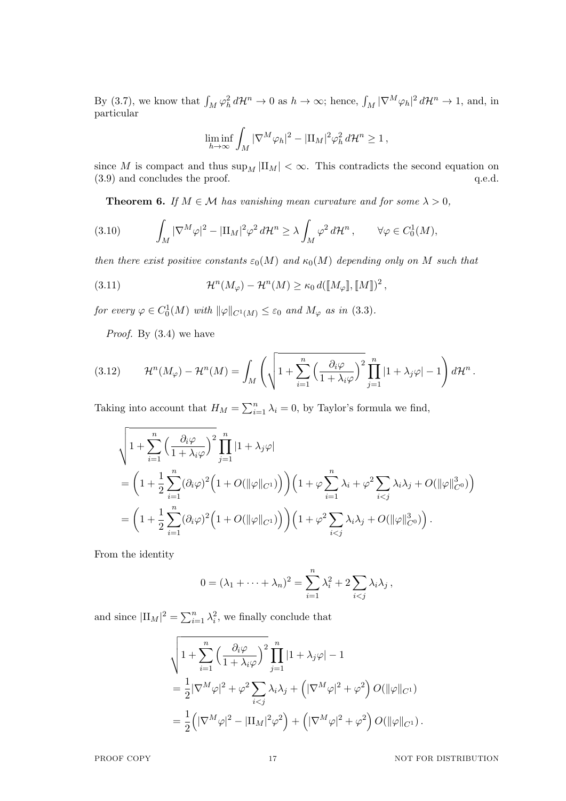By (3.7), we know that  $\int_M \varphi_h^2 d\mathcal{H}^n \to 0$  as  $h \to \infty$ ; hence,  $\int_M |\nabla^M \varphi_h|^2 d\mathcal{H}^n \to 1$ , and, in particular

$$
\liminf_{h\to\infty}\int_M|\nabla^M\varphi_h|^2-|\Pi_M|^2\varphi_h^2\,d\mathcal{H}^n\geq 1\,,
$$

since *M* is compact and thus  $\sup_M |II_M| < \infty$ . This contradicts the second equation on  $(3.9)$  and concludes the proof.  $q.e.d.$ 

**Theorem 6.** *If*  $M \in \mathcal{M}$  *has vanishing mean curvature and for some*  $\lambda > 0$ *,* 

(3.10) 
$$
\int_M |\nabla^M \varphi|^2 - |\Pi_M|^2 \varphi^2 d\mathcal{H}^n \ge \lambda \int_M \varphi^2 d\mathcal{H}^n, \qquad \forall \varphi \in C_0^1(M),
$$

*then there exist positive constants*  $\varepsilon_0(M)$  *and*  $\kappa_0(M)$  *depending only on M such that* 

(3.11) 
$$
\mathcal{H}^n(M_\varphi) - \mathcal{H}^n(M) \geq \kappa_0 d([\![M_\varphi]\!],[\![M]\!])^2,
$$

*for every*  $\varphi \in C_0^1(M)$  *with*  $\|\varphi\|_{C^1(M)} \leq \varepsilon_0$  *and*  $M_\varphi$  *as in* (3.3).

*Proof.* By (3.4) we have

(3.12) 
$$
\mathcal{H}^n(M_\varphi) - \mathcal{H}^n(M) = \int_M \left( \sqrt{1 + \sum_{i=1}^n \left( \frac{\partial_i \varphi}{1 + \lambda_i \varphi} \right)^2} \prod_{j=1}^n |1 + \lambda_j \varphi| - 1 \right) d\mathcal{H}^n.
$$

Taking into account that  $H_M = \sum_{i=1}^n \lambda_i = 0$ , by Taylor's formula we find,

$$
\sqrt{1 + \sum_{i=1}^{n} \left(\frac{\partial_i \varphi}{1 + \lambda_i \varphi}\right)^2} \prod_{j=1}^{n} |1 + \lambda_j \varphi|
$$
  
= 
$$
\left(1 + \frac{1}{2} \sum_{i=1}^{n} (\partial_i \varphi)^2 \left(1 + O(\|\varphi\|_{C^1})\right)\right) \left(1 + \varphi \sum_{i=1}^{n} \lambda_i + \varphi^2 \sum_{i < j} \lambda_i \lambda_j + O(\|\varphi\|_{C^0}^3)\right)
$$
  
= 
$$
\left(1 + \frac{1}{2} \sum_{i=1}^{n} (\partial_i \varphi)^2 \left(1 + O(\|\varphi\|_{C^1})\right)\right) \left(1 + \varphi^2 \sum_{i < j} \lambda_i \lambda_j + O(\|\varphi\|_{C^0}^3)\right).
$$

From the identity

$$
0 = (\lambda_1 + \dots + \lambda_n)^2 = \sum_{i=1}^n \lambda_i^2 + 2 \sum_{i < j} \lambda_i \lambda_j,
$$

and since  $|II_M|^2 = \sum_{i=1}^n \lambda_i^2$ , we finally conclude that

$$
\sqrt{1 + \sum_{i=1}^{n} \left(\frac{\partial_i \varphi}{1 + \lambda_i \varphi}\right)^2} \prod_{j=1}^{n} |1 + \lambda_j \varphi| - 1
$$
  
= 
$$
\frac{1}{2} |\nabla^M \varphi|^2 + \varphi^2 \sum_{i < j} \lambda_i \lambda_j + \left(|\nabla^M \varphi|^2 + \varphi^2\right) O(\|\varphi\|_{C^1})
$$
  
= 
$$
\frac{1}{2} \left( |\nabla^M \varphi|^2 - |\Pi_M|^2 \varphi^2 \right) + \left( |\nabla^M \varphi|^2 + \varphi^2 \right) O(\|\varphi\|_{C^1}).
$$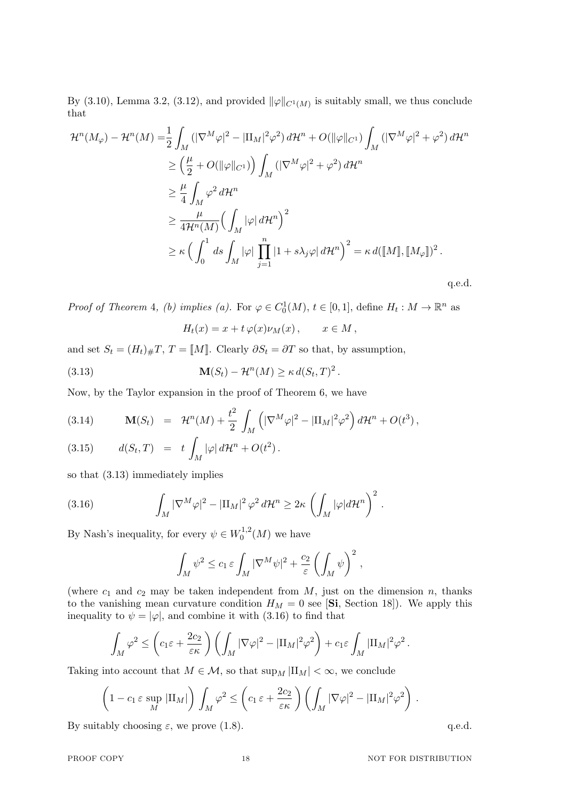By (3.10), Lemma 3.2, (3.12), and provided  $\|\varphi\|_{C^1(M)}$  is suitably small, we thus conclude that

$$
\mathcal{H}^{n}(M_{\varphi}) - \mathcal{H}^{n}(M) = \frac{1}{2} \int_{M} \left( |\nabla^{M} \varphi|^{2} - |\Pi_{M}|^{2} \varphi^{2} \right) d\mathcal{H}^{n} + O(||\varphi||_{C^{1}}) \int_{M} \left( |\nabla^{M} \varphi|^{2} + \varphi^{2} \right) d\mathcal{H}^{n}
$$
  
\n
$$
\geq \left( \frac{\mu}{2} + O(||\varphi||_{C^{1}}) \right) \int_{M} \left( |\nabla^{M} \varphi|^{2} + \varphi^{2} \right) d\mathcal{H}^{n}
$$
  
\n
$$
\geq \frac{\mu}{4} \int_{M} \varphi^{2} d\mathcal{H}^{n}
$$
  
\n
$$
\geq \frac{\mu}{4 \mathcal{H}^{n}(M)} \left( \int_{M} |\varphi| d\mathcal{H}^{n} \right)^{2}
$$
  
\n
$$
\geq \kappa \left( \int_{0}^{1} ds \int_{M} |\varphi| \prod_{j=1}^{n} |1 + s\lambda_{j} \varphi| d\mathcal{H}^{n} \right)^{2} = \kappa d([M], [M_{\varphi}])^{2}.
$$

q.e.d.

*Proof of Theorem 4, (b) implies (a).* For  $\varphi \in C_0^1(M)$ ,  $t \in [0,1]$ , define  $H_t : M \to \mathbb{R}^n$  as

$$
H_t(x) = x + t \varphi(x) \nu_M(x) , \qquad x \in M ,
$$

and set  $S_t = (H_t)_\# T$ ,  $T = [M]$ . Clearly  $\partial S_t = \partial T$  so that, by assumption,

(3.13) 
$$
\mathbf{M}(S_t) - \mathcal{H}^n(M) \geq \kappa d(S_t, T)^2.
$$

Now, by the Taylor expansion in the proof of Theorem 6, we have

(3.14) 
$$
\mathbf{M}(S_t) = \mathcal{H}^n(M) + \frac{t^2}{2} \int_M \left( |\nabla^M \varphi|^2 - |\Pi_M|^2 \varphi^2 \right) d\mathcal{H}^n + O(t^3),
$$

(3.15) 
$$
d(S_t,T) = t \int_M |\varphi| d\mathcal{H}^n + O(t^2).
$$

so that (3.13) immediately implies

(3.16) 
$$
\int_M |\nabla^M \varphi|^2 - |\Pi_M|^2 \varphi^2 d\mathcal{H}^n \geq 2\kappa \left( \int_M |\varphi| d\mathcal{H}^n \right)^2.
$$

By Nash's inequality, for every  $\psi \in W_0^{1,2}$  $\binom{1}{0}^{\prime}$  (*M*) we have

$$
\int_M \psi^2 \leq c_1 \,\varepsilon \int_M |\nabla^M \psi|^2 + \frac{c_2}{\varepsilon} \left( \int_M \psi \right)^2,
$$

(where  $c_1$  and  $c_2$  may be taken independent from  $M$ , just on the dimension  $n$ , thanks to the vanishing mean curvature condition  $H_M = 0$  see [Si, Section 18]). We apply this inequality to  $\psi = |\varphi|$ , and combine it with (3.16) to find that

$$
\int_M \varphi^2 \le \left(c_1 \varepsilon + \frac{2c_2}{\varepsilon \kappa}\right) \left(\int_M |\nabla \varphi|^2 - |\Pi_M|^2 \varphi^2\right) + c_1 \varepsilon \int_M |\Pi_M|^2 \varphi^2.
$$

Taking into account that  $M \in \mathcal{M}$ , so that  $\sup_M |II_M| < \infty$ , we conclude

$$
\left(1 - c_1 \,\varepsilon \sup_M |\Pi_M|\right) \int_M \varphi^2 \le \left(c_1 \,\varepsilon + \frac{2c_2}{\varepsilon \kappa}\right) \left(\int_M |\nabla \varphi|^2 - |\Pi_M|^2 \varphi^2\right) \,.
$$

By suitably choosing  $\varepsilon$ , we prove (1.8). q.e.d.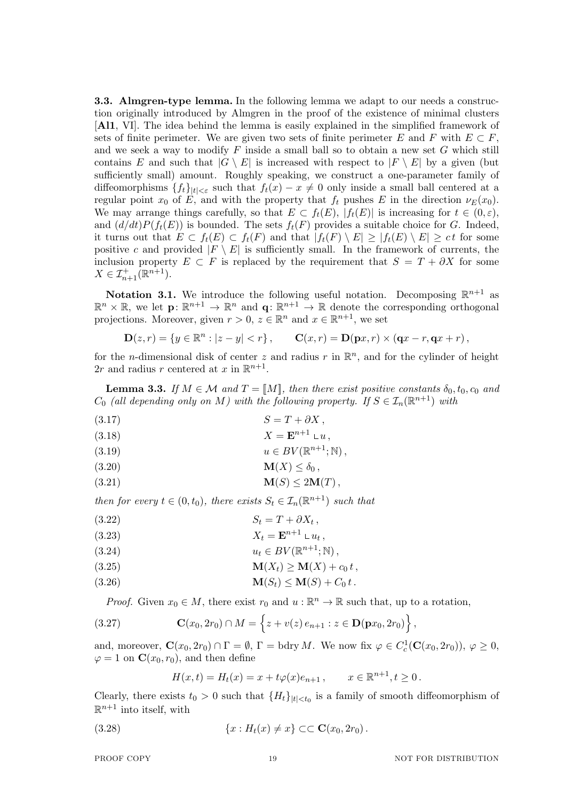**3.3. Almgren-type lemma.** In the following lemma we adapt to our needs a construction originally introduced by Almgren in the proof of the existence of minimal clusters [**Al1**, VI]. The idea behind the lemma is easily explained in the simplified framework of sets of finite perimeter. We are given two sets of finite perimeter  $E$  and  $F$  with  $E \subset F$ , and we seek a way to modify *F* inside a small ball so to obtain a new set *G* which still contains *E* and such that  $|G \setminus E|$  is increased with respect to  $|F \setminus E|$  by a given (but sufficiently small) amount. Roughly speaking, we construct a one-parameter family of diffeomorphisms  ${f_t}_{t\leq \varepsilon}$  such that  $f_t(x) - x \neq 0$  only inside a small ball centered at a regular point  $x_0$  of *E*, and with the property that  $f_t$  pushes *E* in the direction  $\nu_E(x_0)$ . We may arrange things carefully, so that  $E \subset f_t(E)$ ,  $|f_t(E)|$  is increasing for  $t \in (0, \varepsilon)$ , and  $(d/dt)P(f_t(E))$  is bounded. The sets  $f_t(F)$  provides a suitable choice for *G*. Indeed, it turns out that  $E \subset f_t(E) \subset f_t(F)$  and that  $|f_t(F) \setminus E| \geq |f_t(E) \setminus E| \geq ct$  for some positive *c* and provided  $|F \setminus E|$  is sufficiently small. In the framework of currents, the inclusion property  $E \subset F$  is replaced by the requirement that  $S = T + \partial X$  for some  $X \in \mathcal{I}_{n+1}^{+}(\mathbb{R}^{n+1}).$ 

**Notation 3.1.** We introduce the following useful notation. Decomposing  $\mathbb{R}^{n+1}$  as  $\mathbb{R}^n \times \mathbb{R}$ , we let  $\mathbf{p} \colon \mathbb{R}^{n+1} \to \mathbb{R}^n$  and  $\mathbf{q} \colon \mathbb{R}^{n+1} \to \mathbb{R}$  denote the corresponding orthogonal projections. Moreover, given  $r > 0$ ,  $z \in \mathbb{R}^n$  and  $x \in \mathbb{R}^{n+1}$ , we set

$$
D(z,r) = \{ y \in \mathbb{R}^n : |z - y| < r \}, \qquad C(x,r) = D(px,r) \times (qx - r, qx + r),
$$

for the *n*-dimensional disk of center  $z$  and radius  $r$  in  $\mathbb{R}^n$ , and for the cylinder of height 2*r* and radius *r* centered at *x* in  $\mathbb{R}^{n+1}$ .

**Lemma 3.3.** *If*  $M \in \mathcal{M}$  *and*  $T = [M]$ *, then there exist positive constants*  $\delta_0, t_0, c_0$  *and C*<sub>0</sub> (all depending only on *M*) with the following property. If  $S \in I_n(\mathbb{R}^{n+1})$  with

$$
(3.17) \t\t S = T + \partial X,
$$

$$
(3.18) \t\t X = \mathbf{E}^{n+1} \mathbf{L} u,
$$

$$
(3.19) \t u \in BV(\mathbb{R}^{n+1}; \mathbb{N}),
$$

$$
\mathbf{M}(X) \leq \delta_0 \,,
$$

$$
\mathbf{M}(S) \le 2\mathbf{M}(T)
$$

*then for every*  $t \in (0, t_0)$ *, there exists*  $S_t \in \mathcal{I}_n(\mathbb{R}^{n+1})$  *such that* 

$$
(3.22) \t\t S_t = T + \partial X_t,
$$

$$
(3.23) \t\t X_t = \mathbf{E}^{n+1} \mathbf{u}_t,
$$

$$
(3.24) \t\t u_t \in BV(\mathbb{R}^{n+1}; \mathbb{N}),
$$

$$
\mathbf{M}(X_t) \ge \mathbf{M}(X) + c_0 t,
$$

$$
\mathbf{M}(S_t) \leq \mathbf{M}(S) + C_0 t.
$$

*Proof.* Given  $x_0 \in M$ , there exist  $r_0$  and  $u : \mathbb{R}^n \to \mathbb{R}$  such that, up to a rotation,

(3.27) 
$$
\mathbf{C}(x_0, 2r_0) \cap M = \left\{ z + v(z) e_{n+1} : z \in \mathbf{D}(\mathbf{p}x_0, 2r_0) \right\},
$$

and, moreover,  $\mathbf{C}(x_0, 2r_0) \cap \Gamma = \emptyset$ ,  $\Gamma =$  bdry *M*. We now fix  $\varphi \in C_c^1(\mathbf{C}(x_0, 2r_0)), \varphi \ge 0$ ,  $\varphi = 1$  on  $\mathbf{C}(x_0, r_0)$ , and then define

$$
H(x,t) = H_t(x) = x + t\varphi(x)e_{n+1}, \qquad x \in \mathbb{R}^{n+1}, t \ge 0.
$$

Clearly, there exists  $t_0 > 0$  such that  ${H_t}_{t \mid t \mid \langle t_0 \rangle}$  is a family of smooth diffeomorphism of  $\mathbb{R}^{n+1}$  into itself, with

(3.28) 
$$
\{x : H_t(x) \neq x\} \subset \mathbf{C}(x_0, 2r_0).
$$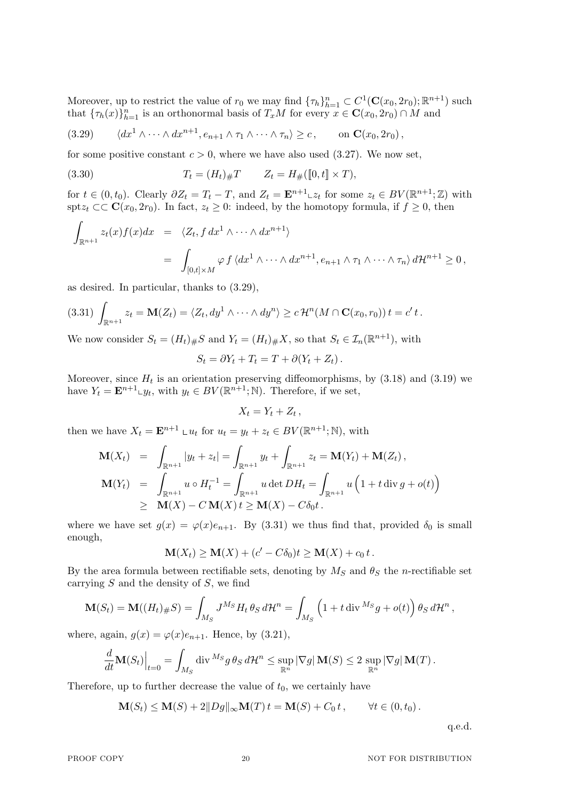Moreover, up to restrict the value of  $r_0$  we may find  $\{\tau_h\}_{h=1}^n \subset C^1(\mathbf{C}(x_0, 2r_0); \mathbb{R}^{n+1})$  such that  ${\{\tau_h(x)\}}_{h=1}^n$  is an orthonormal basis of  $T_xM$  for every  $x \in \mathbf{C}(x_0, 2r_0) \cap M$  and

$$
(3.29) \qquad \langle dx^1 \wedge \cdots \wedge dx^{n+1}, e_{n+1} \wedge \tau_1 \wedge \cdots \wedge \tau_n \rangle \geq c, \qquad \text{on } \mathbf{C}(x_0, 2r_0),
$$

for some positive constant  $c > 0$ , where we have also used  $(3.27)$ . We now set,

(3.30) 
$$
T_t = (H_t)_{\#} T \qquad Z_t = H_{\#}([0, t] \times T),
$$

for  $t \in (0, t_0)$ . Clearly  $\partial Z_t = T_t - T$ , and  $Z_t = \mathbf{E}^{n+1} \text{L} z_t$  for some  $z_t \in BV(\mathbb{R}^{n+1}; \mathbb{Z})$  with spt $z_t$  ⊂⊂ **C**( $x_0, 2r_0$ ). In fact,  $z_t$  ≥ 0: indeed, by the homotopy formula, if  $f$  ≥ 0, then

$$
\int_{\mathbb{R}^{n+1}} z_t(x) f(x) dx = \langle Z_t, f dx^1 \wedge \cdots \wedge dx^{n+1} \rangle
$$
  
= 
$$
\int_{[0,t] \times M} \varphi f \langle dx^1 \wedge \cdots \wedge dx^{n+1}, e_{n+1} \wedge \tau_1 \wedge \cdots \wedge \tau_n \rangle d\mathcal{H}^{n+1} \geq 0,
$$

as desired. In particular, thanks to (3.29),

$$
(3.31) \int_{\mathbb{R}^{n+1}} z_t = \mathbf{M}(Z_t) = \langle Z_t, dy^1 \wedge \cdots \wedge dy^n \rangle \ge c \mathcal{H}^n(M \cap \mathbf{C}(x_0, r_0)) t = c' t.
$$

We now consider  $S_t = (H_t)_\# S$  and  $Y_t = (H_t)_\# X$ , so that  $S_t \in \mathcal{I}_n(\mathbb{R}^{n+1})$ , with

$$
S_t = \partial Y_t + T_t = T + \partial (Y_t + Z_t).
$$

Moreover, since  $H_t$  is an orientation preserving diffeomorphisms, by  $(3.18)$  and  $(3.19)$  we have  $Y_t = \mathbf{E}^{n+1} \cup y_t$ , with  $y_t \in BV(\mathbb{R}^{n+1}; \mathbb{N})$ . Therefore, if we set,

$$
X_t = Y_t + Z_t
$$

*,*

then we have  $X_t = \mathbf{E}^{n+1} \cup u_t$  for  $u_t = y_t + z_t \in BV(\mathbb{R}^{n+1}; \mathbb{N})$ , with

$$
\mathbf{M}(X_t) = \int_{\mathbb{R}^{n+1}} |y_t + z_t| = \int_{\mathbb{R}^{n+1}} y_t + \int_{\mathbb{R}^{n+1}} z_t = \mathbf{M}(Y_t) + \mathbf{M}(Z_t),
$$
  
\n
$$
\mathbf{M}(Y_t) = \int_{\mathbb{R}^{n+1}} u \circ H_t^{-1} = \int_{\mathbb{R}^{n+1}} u \det DH_t = \int_{\mathbb{R}^{n+1}} u \left( 1 + t \operatorname{div} g + o(t) \right)
$$
  
\n
$$
\geq \mathbf{M}(X) - C \mathbf{M}(X) t \geq \mathbf{M}(X) - C \delta_0 t.
$$

where we have set  $g(x) = \varphi(x)e_{n+1}$ . By (3.31) we thus find that, provided  $\delta_0$  is small enough,

$$
\mathbf{M}(X_t) \ge \mathbf{M}(X) + (c' - C\delta_0)t \ge \mathbf{M}(X) + c_0 t.
$$

By the area formula between rectifiable sets, denoting by  $M_S$  and  $\theta_S$  the *n*-rectifiable set carrying *S* and the density of *S*, we find

$$
\mathbf{M}(S_t) = \mathbf{M}((H_t)_{\#}S) = \int_{M_S} J^{M_S} H_t \, \theta_S \, d\mathcal{H}^n = \int_{M_S} \left(1 + t \operatorname{div}^{M_S} g + o(t)\right) \theta_S \, d\mathcal{H}^n,
$$

where, again,  $g(x) = \varphi(x)e_{n+1}$ . Hence, by (3.21),

$$
\frac{d}{dt}\mathbf{M}(S_t)\Big|_{t=0} = \int_{M_S} \operatorname{div}^{M_S} g \, \theta_S \, d\mathcal{H}^n \le \sup_{\mathbb{R}^n} |\nabla g| \, \mathbf{M}(S) \le 2 \, \sup_{\mathbb{R}^n} |\nabla g| \, \mathbf{M}(T) \, .
$$

Therefore, up to further decrease the value of  $t_0$ , we certainly have

$$
\mathbf{M}(S_t) \le \mathbf{M}(S) + 2||Dg||_{\infty} \mathbf{M}(T) t = \mathbf{M}(S) + C_0 t, \qquad \forall t \in (0, t_0).
$$

q.e.d.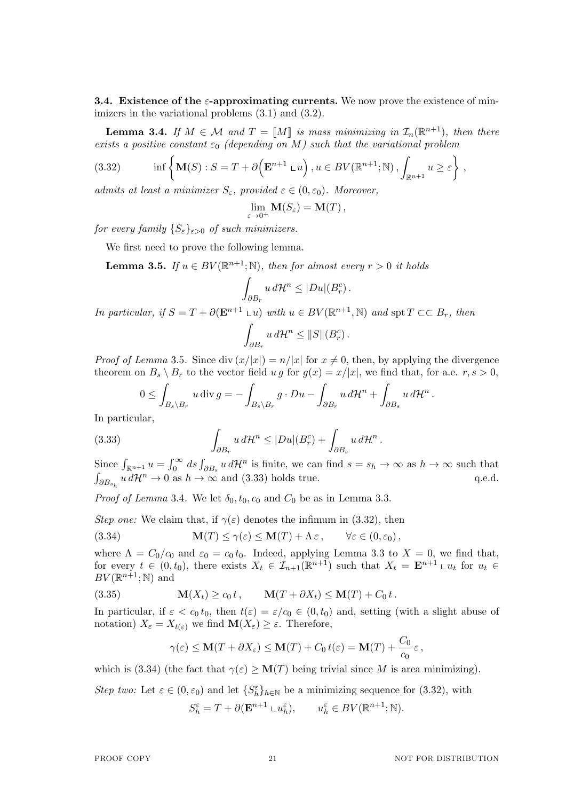**3.4. Existence of the** *ε***-approximating currents.** We now prove the existence of minimizers in the variational problems  $(3.1)$  and  $(3.2)$ .

**Lemma 3.4.** *If*  $M \in \mathcal{M}$  *and*  $T = [M]$  *is mass minimizing in*  $\mathcal{I}_n(\mathbb{R}^{n+1})$ *, then there exists a positive constant*  $\varepsilon_0$  *(depending on M)* such that the variational problem

(3.32) 
$$
\inf \left\{ \mathbf{M}(S) : S = T + \partial \left( \mathbf{E}^{n+1} \cup u \right), u \in BV(\mathbb{R}^{n+1}; \mathbb{N}), \int_{\mathbb{R}^{n+1}} u \geq \varepsilon \right\},
$$

*admits at least a minimizer*  $S_{\varepsilon}$ , provided  $\varepsilon \in (0, \varepsilon_0)$ . Moreover,

$$
\lim_{\varepsilon \to 0^+} \mathbf{M}(S_{\varepsilon}) = \mathbf{M}(T) ,
$$

*for every family*  ${S_{\varepsilon}}_{\varepsilon>0}$  *of such minimizers.* 

We first need to prove the following lemma.

**Lemma 3.5.** *If*  $u \in BV(\mathbb{R}^{n+1}; \mathbb{N})$ *, then for almost every*  $r > 0$  *it holds* 

*∂Br*

$$
\int_{\partial B_r} u \, d\mathcal{H}^n \le |Du|(B_r^c) .
$$

*In particular, if*  $S = T + \partial(\mathbf{E}^{n+1} \cup u)$  *with*  $u \in BV(\mathbb{R}^{n+1}, \mathbb{N})$  *and* spt  $T \subset\subset B_r$ *, then* ∫  $u d\mathcal{H}^n \leq ||S||(B_r^c)$ .

*Proof of Lemma* 3.5. Since div  $(x/|x|) = n/|x|$  for  $x \neq 0$ , then, by applying the divergence theorem on  $B_s \setminus B_r$  to the vector field  $u \circ g$  for  $g(x) = x/|x|$ , we find that, for a.e.  $r, s > 0$ ,

$$
0 \leq \int_{B_s \setminus B_r} u \operatorname{div} g = - \int_{B_s \setminus B_r} g \cdot Du - \int_{\partial B_r} u \, d\mathcal{H}^n + \int_{\partial B_s} u \, d\mathcal{H}^n.
$$

In particular,

(3.33) 
$$
\int_{\partial B_r} u \, d\mathcal{H}^n \le |Du|(B_r^c) + \int_{\partial B_s} u \, d\mathcal{H}^n.
$$

Since  $\int_{\mathbb{R}^{n+1}} u = \int_0^\infty ds \int_{\partial B_s} u d\mathcal{H}^n$  is finite, we can find  $s = s_h \to \infty$  as  $h \to \infty$  such that  $\int_{\partial B_{s_h}} u d\mathcal{H}^n \to 0$  as  $h \to \infty$  and (3.33) holds true. q.e.d.

*Proof of Lemma* 3.4. We let  $\delta_0$ ,  $t_0$ ,  $c_0$  and  $C_0$  be as in Lemma 3.3.

*Step one:* We claim that, if  $\gamma(\varepsilon)$  denotes the infimum in (3.32), then

(3.34) 
$$
\mathbf{M}(T) \le \gamma(\varepsilon) \le \mathbf{M}(T) + \Lambda \varepsilon, \qquad \forall \varepsilon \in (0, \varepsilon_0),
$$

where  $\Lambda = C_0/c_0$  and  $\varepsilon_0 = c_0 t_0$ . Indeed, applying Lemma 3.3 to  $X = 0$ , we find that, for every  $t \in (0, t_0)$ , there exists  $X_t \in \mathcal{I}_{n+1}(\mathbb{R}^{n+1})$  such that  $X_t = \mathbf{E}^{n+1} \cup \mathcal{I}_t$  for  $u_t \in$  $BV(\mathbb{R}^{n+1}; \mathbb{N})$  and

(3.35) 
$$
\mathbf{M}(X_t) \geq c_0 t, \qquad \mathbf{M}(T + \partial X_t) \leq \mathbf{M}(T) + C_0 t.
$$

In particular, if  $\varepsilon < c_0 t_0$ , then  $t(\varepsilon) = \varepsilon/c_0 \in (0, t_0)$  and, setting (with a slight abuse of notation)  $X_{\varepsilon} = X_{t(\varepsilon)}$  we find  $\mathbf{M}(X_{\varepsilon}) \geq \varepsilon$ . Therefore,

$$
\gamma(\varepsilon) \le \mathbf{M}(T + \partial X_{\varepsilon}) \le \mathbf{M}(T) + C_0 t(\varepsilon) = \mathbf{M}(T) + \frac{C_0}{c_0} \varepsilon,
$$

which is (3.34) (the fact that  $\gamma(\varepsilon) \geq \mathbf{M}(T)$  being trivial since *M* is area minimizing).

*Step two:* Let  $\varepsilon \in (0, \varepsilon_0)$  and let  $\{S_h^{\varepsilon}\}_{h \in \mathbb{N}}$  be a minimizing sequence for (3.32), with  $S_h^{\varepsilon} = T + \partial(\mathbf{E}^{n+1} \cup u_h^{\varepsilon}), \qquad u_h^{\varepsilon} \in BV(\mathbb{R}^{n+1}; \mathbb{N}).$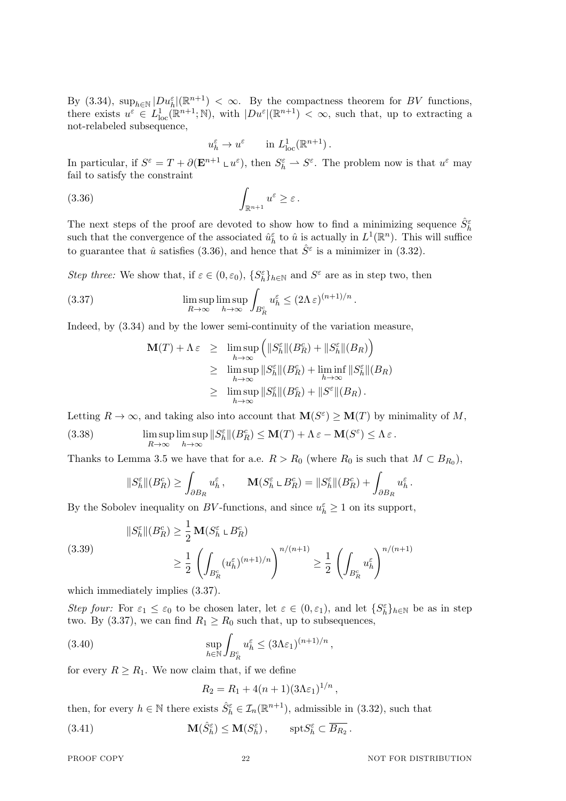By (3.34),  $\sup_{h \in \mathbb{N}} |Du_h^{\varepsilon}|(\mathbb{R}^{n+1}) < \infty$ . By the compactness theorem for *BV* functions, there exists  $u^{\varepsilon} \in L^1_{loc}(\mathbb{R}^{n+1}; \mathbb{N})$ , with  $|Du^{\varepsilon}|(\mathbb{R}^{n+1}) < \infty$ , such that, up to extracting a not-relabeled subsequence,

$$
u_h^{\varepsilon} \to u^{\varepsilon} \qquad \text{in } L^1_{\text{loc}}(\mathbb{R}^{n+1}).
$$

In particular, if  $S^{\varepsilon} = T + \partial(\mathbf{E}^{n+1} \mathbf{L} u^{\varepsilon})$ , then  $S^{\varepsilon}_h \to S^{\varepsilon}$ . The problem now is that  $u^{\varepsilon}$  may fail to satisfy the constraint

$$
\int_{\mathbb{R}^{n+1}} u^{\varepsilon} \geq \varepsilon.
$$

The next steps of the proof are devoted to show how to find a minimizing sequence  $\hat{S}_h^{\varepsilon}$ such that the convergence of the associated  $\hat{u}_h^{\varepsilon}$  to  $\hat{u}$  is actually in  $L^1(\mathbb{R}^n)$ . This will suffice to guarantee that  $\hat{u}$  satisfies (3.36), and hence that  $\hat{S}^{\varepsilon}$  is a minimizer in (3.32).

*Step three:* We show that, if  $\varepsilon \in (0, \varepsilon_0)$ ,  $\{S_h^{\varepsilon}\}_{h \in \mathbb{N}}$  and  $S^{\varepsilon}$  are as in step two, then

(3.37) 
$$
\limsup_{R \to \infty} \limsup_{h \to \infty} \int_{B_R^c} u_h^{\varepsilon} \leq (2\Lambda \varepsilon)^{(n+1)/n}.
$$

Indeed, by (3.34) and by the lower semi-continuity of the variation measure,

$$
\mathbf{M}(T) + \Lambda \varepsilon \geq \limsup_{h \to \infty} \left( \|S_h^{\varepsilon}\| (B_R^c) + \|S_h^{\varepsilon}\| (B_R) \right)
$$
  
\n
$$
\geq \limsup_{h \to \infty} \|S_h^{\varepsilon}\| (B_R^c) + \liminf_{h \to \infty} \|S_h^{\varepsilon}\| (B_R)
$$
  
\n
$$
\geq \limsup_{h \to \infty} \|S_h^{\varepsilon}\| (B_R^c) + \|S^{\varepsilon}\| (B_R) .
$$

Letting  $R \to \infty$ , and taking also into account that  $\mathbf{M}(S^{\varepsilon}) \geq \mathbf{M}(T)$  by minimality of M,

(3.38) 
$$
\limsup_{R \to \infty} \limsup_{h \to \infty} ||S_h^{\varepsilon}||(B_R^c) \le \mathbf{M}(T) + \Lambda \varepsilon - \mathbf{M}(S^{\varepsilon}) \le \Lambda \varepsilon.
$$

Thanks to Lemma 3.5 we have that for a.e.  $R > R_0$  (where  $R_0$  is such that  $M \subset B_{R_0}$ ),

$$
||S_h^{\varepsilon}||(B_R^c) \ge \int_{\partial B_R} u_h^{\varepsilon}, \qquad \mathbf{M}(S_h^{\varepsilon} \cup B_R^c) = ||S_h^{\varepsilon}||(B_R^c) + \int_{\partial B_R} u_h^{\varepsilon}.
$$

By the Sobolev inequality on *BV*-functions, and since  $u_h^{\varepsilon} \geq 1$  on its support,

(3.39)  

$$
\|S_h^{\varepsilon}\|(B_R^c) \ge \frac{1}{2} \mathbf{M}(S_h^{\varepsilon} \cup B_R^c)
$$

$$
\ge \frac{1}{2} \left( \int_{B_R^c} (u_h^{\varepsilon})^{(n+1)/n} \right)^{n/(n+1)} \ge \frac{1}{2} \left( \int_{B_R^c} u_h^{\varepsilon} \right)^{n/(n+1)}
$$

which immediately implies (3.37).

*Step four:* For  $\varepsilon_1 \leq \varepsilon_0$  to be chosen later, let  $\varepsilon \in (0, \varepsilon_1)$ , and let  $\{S_h^{\varepsilon}\}_{h \in \mathbb{N}}$  be as in step two. By (3.37), we can find  $R_1 \ge R_0$  such that, up to subsequences,

(3.40) 
$$
\sup_{h \in \mathbb{N}} \int_{B_R^c} u_h^{\varepsilon} \leq (3\Lambda \varepsilon_1)^{(n+1)/n},
$$

for every  $R \geq R_1$ . We now claim that, if we define

$$
R_2 = R_1 + 4(n+1)(3\Lambda \varepsilon_1)^{1/n},
$$

then, for every  $h \in \mathbb{N}$  there exists  $\hat{S}_h^{\varepsilon} \in \mathcal{I}_n(\mathbb{R}^{n+1})$ , admissible in (3.32), such that

(3.41)  $\mathbf{M}(\hat{S}_h^{\varepsilon}) \leq \mathbf{M}(S_h^{\varepsilon}), \quad \text{spt}S_h^{\varepsilon} \subset \overline{B_{R_2}}.$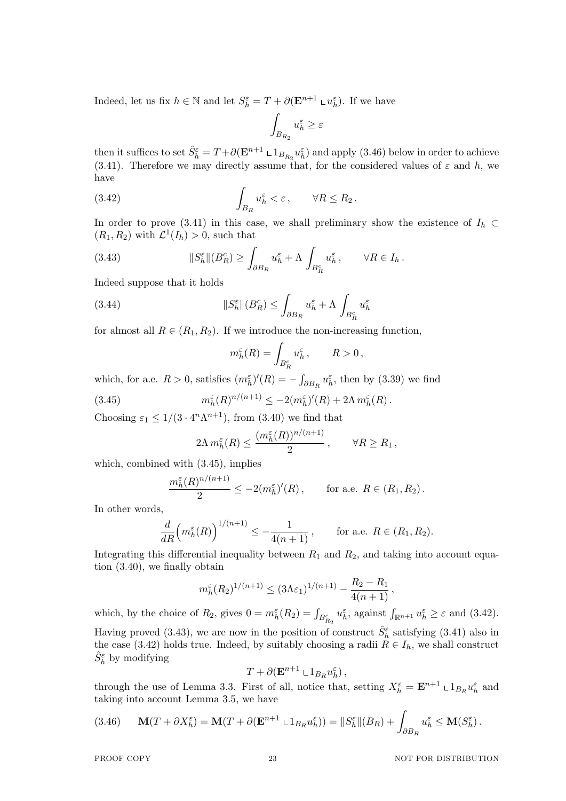Indeed, let us fix  $h \in \mathbb{N}$  and let  $S_h^{\varepsilon} = T + \partial(\mathbf{E}^{n+1} \cup \mathbf{u}_h^{\varepsilon})$ . If we have

$$
\int_{B_{R_2}} u_h^{\varepsilon} \ge \varepsilon
$$

then it suffices to set  $\hat{S}_h^{\varepsilon} = T + \partial(\mathbf{E}^{n+1} \cup 1_{B_{R_2}} u_h^{\varepsilon})$  and apply (3.46) below in order to achieve (3.41). Therefore we may directly assume that, for the considered values of  $\varepsilon$  and  $h$ , we have

(3.42) 
$$
\int_{B_R} u_h^{\varepsilon} < \varepsilon, \qquad \forall R \leq R_2.
$$

In order to prove (3.41) in this case, we shall preliminary show the existence of  $I_h \subset$  $(R_1, R_2)$  with  $\mathcal{L}^1(I_h) > 0$ , such that

(3.43) 
$$
||S_h^{\varepsilon}||(B_R^c) \geq \int_{\partial B_R} u_h^{\varepsilon} + \Lambda \int_{B_R^c} u_h^{\varepsilon}, \qquad \forall R \in I_h.
$$

Indeed suppose that it holds

(3.44) 
$$
||S_h^{\varepsilon}||(B_R^c) \leq \int_{\partial B_R} u_h^{\varepsilon} + \Lambda \int_{B_R^c} u_h^{\varepsilon}
$$

for almost all  $R \in (R_1, R_2)$ . If we introduce the non-increasing function,

$$
m_h^{\varepsilon}(R) = \int_{B_R^c} u_h^{\varepsilon}, \qquad R > 0,
$$

which, for a.e.  $R > 0$ , satisfies  $(m_h^{\varepsilon})'(R) = -\int_{\partial B_R} u_h^{\varepsilon}$ , then by (3.39) we find

(3.45) 
$$
m_h^{\varepsilon}(R)^{n/(n+1)} \leq -2(m_h^{\varepsilon})'(R) + 2\Lambda m_h^{\varepsilon}(R).
$$

Choosing  $\varepsilon_1 \leq 1/(3 \cdot 4^n \Lambda^{n+1})$ , from (3.40) we find that

$$
2\Lambda m_h^{\varepsilon}(R) \le \frac{(m_h^{\varepsilon}(R))^{n/(n+1)}}{2}, \qquad \forall R \ge R_1,
$$

which, combined with (3.45), implies

$$
\frac{m_h^{\varepsilon}(R)^{n/(n+1)}}{2} \le -2(m_h^{\varepsilon})'(R) , \quad \text{for a.e. } R \in (R_1, R_2) .
$$

In other words,

$$
\frac{d}{dR} \left( m_h^{\varepsilon}(R) \right)^{1/(n+1)} \le -\frac{1}{4(n+1)}, \quad \text{for a.e. } R \in (R_1, R_2).
$$

Integrating this differential inequality between  $R_1$  and  $R_2$ , and taking into account equation (3.40), we finally obtain

$$
m_h^{\varepsilon}(R_2)^{1/(n+1)} \le (3\Lambda \varepsilon_1)^{1/(n+1)} - \frac{R_2 - R_1}{4(n+1)},
$$

which, by the choice of  $R_2$ , gives  $0 = m_h^{\varepsilon}(R_2) = \int_{B_{R_2}^c} u_h^{\varepsilon}$ , against  $\int_{\mathbb{R}^{n+1}} u_h^{\varepsilon} \geq \varepsilon$  and (3.42). Having proved (3.43), we are now in the position of construct  $\hat{S}_h^{\varepsilon}$  satisfying (3.41) also in the case (3.42) holds true. Indeed, by suitably choosing a radii  $\tilde{R} \in I_h$ , we shall construct  $\hat{S}_h^{\varepsilon}$  by modifying

$$
T+\partial(\mathbf{E}^{n+1}\sqcup 1_{B_R}u_h^{\varepsilon}),
$$

through the use of Lemma 3.3. First of all, notice that, setting  $X_h^{\varepsilon} = \mathbf{E}^{n+1} \cup 1_{B_R} u_h^{\varepsilon}$  and taking into account Lemma 3.5, we have

$$
(3.46) \qquad \mathbf{M}(T+\partial X_h^{\varepsilon}) = \mathbf{M}(T+\partial(\mathbf{E}^{n+1}\mathbf{L}\mathbf{1}_{B_R}u_h^{\varepsilon})) = \|S_h^{\varepsilon}\|(B_R) + \int_{\partial B_R} u_h^{\varepsilon} \leq \mathbf{M}(S_h^{\varepsilon}).
$$

PROOF COPY 23 NOT FOR DISTRIBUTION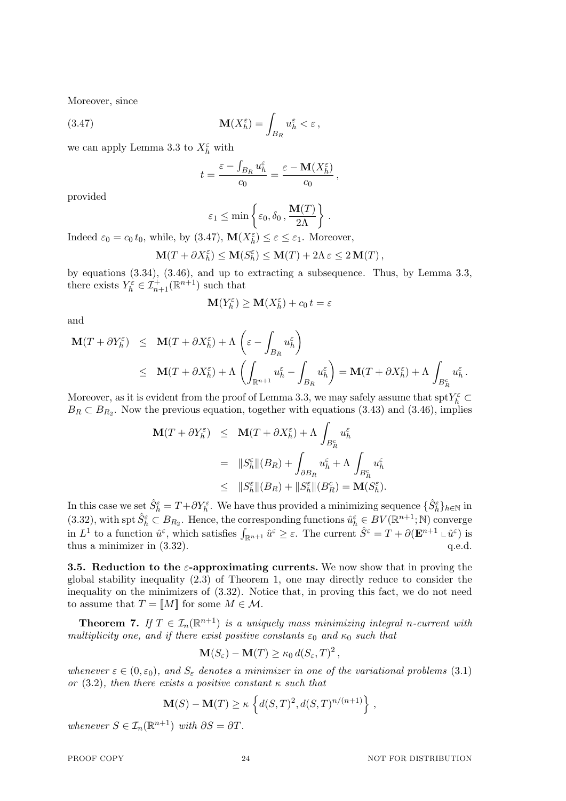Moreover, since

(3.47) 
$$
\mathbf{M}(X_h^{\varepsilon}) = \int_{B_R} u_h^{\varepsilon} < \varepsilon \,,
$$

we can apply Lemma 3.3 to  $X_h^{\varepsilon}$  with

$$
t = \frac{\varepsilon - \int_{B_R} u_h^{\varepsilon}}{c_0} = \frac{\varepsilon - \mathbf{M}(X_h^{\varepsilon})}{c_0},
$$

provided

$$
\varepsilon_1 \le \min\left\{\varepsilon_0, \delta_0, \frac{\mathbf{M}(T)}{2\Lambda}\right\}.
$$

Indeed  $\varepsilon_0 = c_0 t_0$ , while, by (3.47),  $\mathbf{M}(X_h^{\varepsilon}) \leq \varepsilon \leq \varepsilon_1$ . Moreover,

$$
\mathbf{M}(T+\partial X_h^\varepsilon)\leq \mathbf{M}(S_h^\varepsilon)\leq \mathbf{M}(T)+2\Lambda\,\varepsilon\leq 2\,\mathbf{M}(T)\,,
$$

by equations (3.34), (3.46), and up to extracting a subsequence. Thus, by Lemma 3.3, there exists  $Y_h^{\varepsilon} \in \mathcal{I}_{n+1}^+({\mathbb R}^{n+1})$  such that

$$
\mathbf{M}(Y_h^{\varepsilon}) \ge \mathbf{M}(X_h^{\varepsilon}) + c_0 t = \varepsilon
$$

and

$$
\mathbf{M}(T + \partial Y_h^{\varepsilon}) \leq \mathbf{M}(T + \partial X_h^{\varepsilon}) + \Lambda \left( \varepsilon - \int_{B_R} u_h^{\varepsilon} \right)
$$
  

$$
\leq \mathbf{M}(T + \partial X_h^{\varepsilon}) + \Lambda \left( \int_{\mathbb{R}^{n+1}} u_h^{\varepsilon} - \int_{B_R} u_h^{\varepsilon} \right) = \mathbf{M}(T + \partial X_h^{\varepsilon}) + \Lambda \int_{B_R^{\varepsilon}} u_h^{\varepsilon}.
$$

Moreover, as it is evident from the proof of Lemma 3.3, we may safely assume that  $\text{spt} Y_h^{\varepsilon} \subset$  $B_R \subset B_{R_2}$ . Now the previous equation, together with equations (3.43) and (3.46), implies

$$
\begin{array}{rcl} \mathbf{M}(T+\partial Y_{h}^{\varepsilon}) & \leq & \mathbf{M}(T+\partial X_{h}^{\varepsilon}) + \Lambda \, \int_{B_{R}^{c}} u_{h}^{\varepsilon} \\ \\ & = & \|S_{h}^{\varepsilon}\|(B_{R}) + \int_{\partial B_{R}} u_{h}^{\varepsilon} + \Lambda \, \int_{B_{R}^{c}} u_{h}^{\varepsilon} \\ \\ & \leq & \|S_{h}^{\varepsilon}\|(B_{R}) + \|S_{h}^{\varepsilon}\|(B_{R}^{\varepsilon}) = \mathbf{M}(S_{h}^{\varepsilon}). \end{array}
$$

In this case we set  $\hat{S}_h^{\varepsilon} = T + \partial Y_h^{\varepsilon}$ . We have thus provided a minimizing sequence  $\{\hat{S}_h^{\varepsilon}\}_{h \in \mathbb{N}}$  in  $(3.32)$ , with spt  $\hat{S}_h^{\varepsilon} \subset B_{R_2}$ . Hence, the corresponding functions  $\hat{u}_h^{\varepsilon} \in BV(\mathbb{R}^{n+1}; \mathbb{N})$  converge in  $L^1$  to a function  $\hat{u}^{\varepsilon}$ , which satisfies  $\int_{\mathbb{R}^{n+1}} \hat{u}^{\varepsilon} \geq \varepsilon$ . The current  $\hat{S}^{\varepsilon} = T + \partial(\mathbf{E}^{n+1} \cup \hat{u}^{\varepsilon})$  is thus a minimizer in  $(3.32)$ .

**3.5. Reduction to the** *ε***-approximating currents.** We now show that in proving the global stability inequality (2.3) of Theorem 1, one may directly reduce to consider the inequality on the minimizers of (3.32). Notice that, in proving this fact, we do not need to assume that  $T = [M]$  for some  $M \in \mathcal{M}$ .

**Theorem 7.** If  $T \in \mathcal{I}_n(\mathbb{R}^{n+1})$  *is a uniquely mass minimizing integral n*-current with *multiplicity one, and if there exist positive constants*  $\varepsilon_0$  *and*  $\kappa_0$  *such that* 

$$
\mathbf{M}(S_{\varepsilon}) - \mathbf{M}(T) \ge \kappa_0 d(S_{\varepsilon}, T)^2,
$$

*whenever*  $\varepsilon \in (0, \varepsilon_0)$ *, and*  $S_{\varepsilon}$  *denotes a minimizer in one of the variational problems* (3.1) *or* (3.2)*, then there exists a positive constant κ such that*

$$
\mathbf{M}(S) - \mathbf{M}(T) \ge \kappa \left\{ d(S,T)^2, d(S,T)^{n/(n+1)} \right\},\,
$$

*whenever*  $S \in \mathcal{I}_n(\mathbb{R}^{n+1})$  *with*  $\partial S = \partial T$ *.*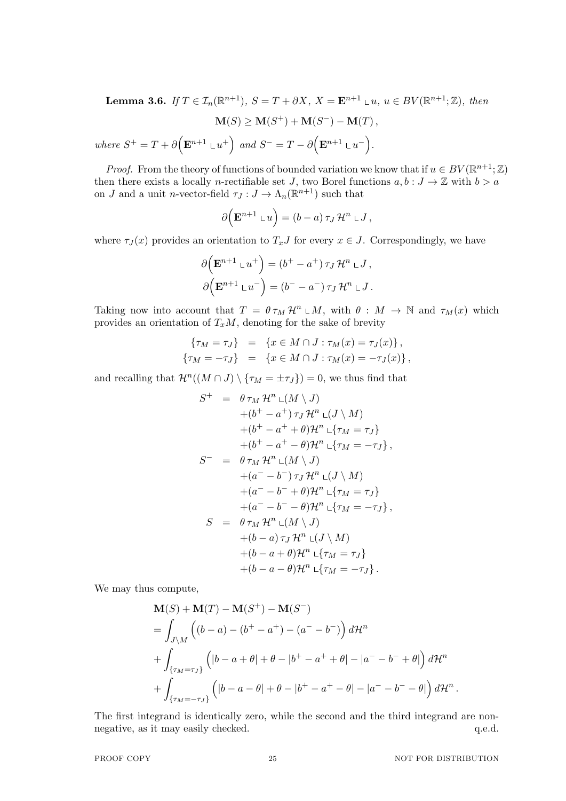**Lemma 3.6.** *If*  $T \in \mathcal{I}_n(\mathbb{R}^{n+1})$ *,*  $S = T + \partial X$ *,*  $X = \mathbf{E}^{n+1} \cup u$ *,*  $u \in BV(\mathbb{R}^{n+1}; \mathbb{Z})$ *, then*  $M(S) \geq M(S^+) + M(S^-) - M(T)$ ,  $where \ S^+ = T + \partial \left( \mathbf{E}^{n+1} \cup u^+ \right) \ and \ S^- = T - \partial \left( \mathbf{E}^{n+1} \cup u^- \right).$ 

*Proof.* From the theory of functions of bounded variation we know that if  $u \in BV(\mathbb{R}^{n+1}; \mathbb{Z})$ then there exists a locally *n*-rectifiable set *J*, two Borel functions  $a, b : J \to \mathbb{Z}$  with  $b > a$ on *J* and a unit *n*-vector-field  $\tau_J: J \to \Lambda_n(\mathbb{R}^{n+1})$  such that

$$
\partial \Big( \mathbf{E}^{n+1} \cup u \Big) = (b-a) \tau_J \mathcal{H}^n \cup J,
$$

where  $\tau_J(x)$  provides an orientation to  $T_xJ$  for every  $x \in J$ . Correspondingly, we have

$$
\partial \Big(\mathbf{E}^{n+1} \mathbf{L} u^+\Big) = (b^+ - a^+) \tau_J \mathcal{H}^n \mathbf{L} J,
$$

$$
\partial \Big(\mathbf{E}^{n+1} \mathbf{L} u^-\Big) = (b^- - a^-) \tau_J \mathcal{H}^n \mathbf{L} J.
$$

Taking now into account that  $T = \theta \tau_M \mathcal{H}^n \cup M$ , with  $\theta : M \to \mathbb{N}$  and  $\tau_M(x)$  which provides an orientation of  $T_xM$ , denoting for the sake of brevity

$$
\begin{aligned}\n\{\tau_M = \tau_J\} &= \{x \in M \cap J : \tau_M(x) = \tau_J(x)\}, \\
\{\tau_M = -\tau_J\} &= \{x \in M \cap J : \tau_M(x) = -\tau_J(x)\},\n\end{aligned}
$$

and recalling that  $\mathcal{H}^n((M \cap J) \setminus {\tau_M = \pm \tau_J}) = 0$ , we thus find that

$$
S^{+} = \theta \tau_M \mathcal{H}^n \mathop{\perp}(M \setminus J)
$$
  
\n
$$
+ (b^{+} - a^{+}) \tau_J \mathcal{H}^n \mathop{\perp}(J \setminus M)
$$
  
\n
$$
+ (b^{+} - a^{+} + \theta) \mathcal{H}^n \mathop{\perp} \{\tau_M = \tau_J\}
$$
  
\n
$$
+ (b^{+} - a^{+} - \theta) \mathcal{H}^n \mathop{\perp} \{\tau_M = -\tau_J\},
$$
  
\n
$$
S^{-} = \theta \tau_M \mathcal{H}^n \mathop{\perp}(M \setminus J)
$$
  
\n
$$
+ (a^{-} - b^{-}) \tau_J \mathcal{H}^n \mathop{\perp} \{\tau_M = \tau_J\}
$$
  
\n
$$
+ (a^{-} - b^{-} - \theta) \mathcal{H}^n \mathop{\perp} \{\tau_M = -\tau_J\},
$$
  
\n
$$
S = \theta \tau_M \mathcal{H}^n \mathop{\perp} (M \setminus J)
$$
  
\n
$$
+ (b - a) \tau_J \mathcal{H}^n \mathop{\perp} \{\tau_M = \tau_J\}
$$
  
\n
$$
+ (b - a + \theta) \mathcal{H}^n \mathop{\perp} \{\tau_M = \tau_J\}
$$
  
\n
$$
+ (b - a - \theta) \mathcal{H}^n \mathop{\perp} \{\tau_M = -\tau_J\}.
$$

We may thus compute,

$$
\mathbf{M}(S) + \mathbf{M}(T) - \mathbf{M}(S^{+}) - \mathbf{M}(S^{-})
$$
\n
$$
= \int_{J \setminus M} \left( (b - a) - (b^{+} - a^{+}) - (a^{-} - b^{-}) \right) d\mathcal{H}^{n}
$$
\n
$$
+ \int_{\{\tau_{M} = \tau_{J}\}} \left( |b - a + \theta| + \theta - |b^{+} - a^{+} + \theta| - |a^{-} - b^{-} + \theta| \right) d\mathcal{H}^{n}
$$
\n
$$
+ \int_{\{\tau_{M} = -\tau_{J}\}} \left( |b - a - \theta| + \theta - |b^{+} - a^{+} - \theta| - |a^{-} - b^{-} - \theta| \right) d\mathcal{H}^{n}
$$

The first integrand is identically zero, while the second and the third integrand are nonnegative, as it may easily checked.  $q.e.d.$ 

*.*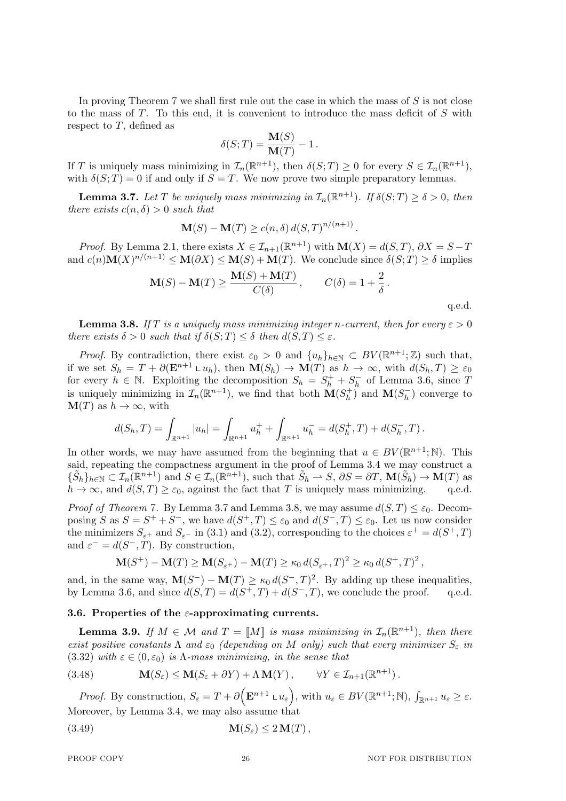In proving Theorem 7 we shall first rule out the case in which the mass of *S* is not close to the mass of *T*. To this end, it is convenient to introduce the mass deficit of *S* with respect to *T*, defined as

$$
\delta(S;T) = \frac{\mathbf{M}(S)}{\mathbf{M}(T)} - 1.
$$

If *T* is uniquely mass minimizing in  $\mathcal{I}_n(\mathbb{R}^{n+1})$ , then  $\delta(S; T) \geq 0$  for every  $S \in \mathcal{I}_n(\mathbb{R}^{n+1})$ , with  $\delta(S; T) = 0$  if and only if  $S = T$ . We now prove two simple preparatory lemmas.

**Lemma 3.7.** *Let T be uniquely mass minimizing in*  $\mathcal{I}_n(\mathbb{R}^{n+1})$ *. If*  $\delta(S; T) \geq \delta > 0$ *, then there exists*  $c(n, \delta) > 0$  *such that* 

$$
\mathbf{M}(S) - \mathbf{M}(T) \ge c(n, \delta) d(S, T)^{n/(n+1)}.
$$

*Proof.* By Lemma 2.1, there exists  $X \in \mathcal{I}_{n+1}(\mathbb{R}^{n+1})$  with  $\mathbf{M}(X) = d(S,T)$ ,  $\partial X = S - T$ and  $c(n)$ **M** $(X)^{n/(n+1)} \leq$ **M** $(\partial X) \leq$ **M** $(S)$ **+M** $(T)$ . We conclude since  $\delta(S; T) \geq \delta$  implies

$$
\mathbf{M}(S) - \mathbf{M}(T) \ge \frac{\mathbf{M}(S) + \mathbf{M}(T)}{C(\delta)}, \qquad C(\delta) = 1 + \frac{2}{\delta}.
$$

q.e.d.

**Lemma 3.8.** If T is a uniquely mass minimizing integer *n*-current, then for every  $\varepsilon > 0$ *there exists*  $\delta > 0$  *such that if*  $\delta(S; T) \leq \delta$  *then*  $d(S,T) \leq \varepsilon$ *.* 

*Proof.* By contradiction, there exist  $\varepsilon_0 > 0$  and  $\{u_h\}_{h \in \mathbb{N}} \subset BV(\mathbb{R}^{n+1}; \mathbb{Z})$  such that, if we set  $S_h = T + \partial(\mathbf{E}^{n+1} \n\perp u_h)$ , then  $\mathbf{M}(S_h) \to \mathbf{M}(T)$  as  $h \to \infty$ , with  $d(S_h, T) \geq \varepsilon_0$ for every  $h \in \mathbb{N}$ . Exploiting the decomposition  $S_h = S_h^+ + S_h^-$  of Lemma 3.6, since *T* is uniquely minimizing in  $\mathcal{I}_n(\mathbb{R}^{n+1})$ , we find that both  $\mathbf{M}(S_h^+)$  $h_h^{(+)}$  and  $\mathbf{M}(S_h^{-})$  converge to  $\mathbf{M}(T)$  as  $h \to \infty$ , with

$$
d(S_h, T) = \int_{\mathbb{R}^{n+1}} |u_h| = \int_{\mathbb{R}^{n+1}} u_h^+ + \int_{\mathbb{R}^{n+1}} u_h^- = d(S_h^+, T) + d(S_h^-, T).
$$

In other words, we may have assumed from the beginning that  $u \in BV(\mathbb{R}^{n+1}; \mathbb{N})$ . This said, repeating the compactness argument in the proof of Lemma 3.4 we may construct a  $\{\tilde{S}_h\}_{h\in\mathbb{N}}\subset \mathcal{I}_n(\mathbb{R}^{n+1})$  and  $S\in\mathcal{I}_n(\mathbb{R}^{n+1})$ , such that  $\tilde{S}_h\to S$ ,  $\partial S=\partial T$ ,  $\mathbf{M}(\tilde{S}_h)\to \mathbf{M}(T)$  as  $h \to \infty$ , and  $d(S,T) \geq \varepsilon_0$ , against the fact that *T* is uniquely mass minimizing. q.e.d.

*Proof of Theorem* 7. By Lemma 3.7 and Lemma 3.8, we may assume  $d(S,T) \leq \varepsilon_0$ . Decomposing *S* as  $S = S^+ + S^-$ , we have  $d(S^+, T) \leq \varepsilon_0$  and  $d(S^-, T) \leq \varepsilon_0$ . Let us now consider the minimizers  $S_{\varepsilon^+}$  and  $S_{\varepsilon^-}$  in (3.1) and (3.2), corresponding to the choices  $\varepsilon^+ = d(S^+, T)$ and  $\varepsilon^- = d(S^-, T)$ . By construction,

$$
\mathbf{M}(S^+) - \mathbf{M}(T) \ge \mathbf{M}(S_{\varepsilon^+}) - \mathbf{M}(T) \ge \kappa_0 d(S_{\varepsilon^+}, T)^2 \ge \kappa_0 d(S^+, T)^2,
$$

and, in the same way,  $\mathbf{M}(S^-) - \mathbf{M}(T) \ge \kappa_0 d(S^-, T)^2$ . By adding up these inequalities, by Lemma 3.6, and since  $d(S,T) = d(S^+,T) + d(S^-,T)$ , we conclude the proof. q.e.d.

# **3.6. Properties of the** *ε***-approximating currents.**

**Lemma 3.9.** *If*  $M \in \mathcal{M}$  and  $T = [M]$  *is mass minimizing in*  $\mathcal{I}_n(\mathbb{R}^{n+1})$ *, then there exist positive constants*  $\Lambda$  *and*  $\varepsilon_0$  *(depending on*  $M$  *only) such that every minimizer*  $S_{\varepsilon}$  *in* (3.32) with  $\varepsilon \in (0, \varepsilon_0)$  *is*  $\Lambda$ -mass minimizing, in the sense that

(3.48) 
$$
\mathbf{M}(S_{\varepsilon}) \leq \mathbf{M}(S_{\varepsilon} + \partial Y) + \Lambda \mathbf{M}(Y), \qquad \forall Y \in \mathcal{I}_{n+1}(\mathbb{R}^{n+1}).
$$

*Proof.* By construction,  $S_{\varepsilon} = T + \partial \left( \mathbf{E}^{n+1} \cup u_{\varepsilon} \right)$ , with  $u_{\varepsilon} \in BV(\mathbb{R}^{n+1}; \mathbb{N})$ ,  $\int_{\mathbb{R}^{n+1}} u_{\varepsilon} \geq \varepsilon$ . Moreover, by Lemma 3.4, we may also assume that

$$
\mathbf{M}(S_{\varepsilon}) \le 2\mathbf{M}(T),
$$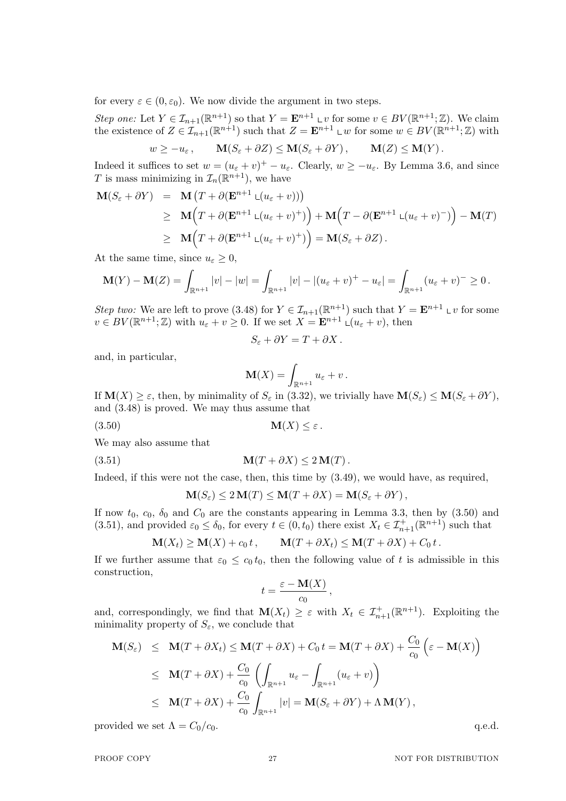for every  $\varepsilon \in (0, \varepsilon_0)$ . We now divide the argument in two steps.

*Step one:* Let  $Y \in \mathcal{I}_{n+1}(\mathbb{R}^{n+1})$  so that  $Y = \mathbf{E}^{n+1} \cup v$  for some  $v \in BV(\mathbb{R}^{n+1}; \mathbb{Z})$ . We claim the existence of  $Z \in \mathcal{I}_{n+1}(\mathbb{R}^{n+1})$  such that  $Z = \mathbf{E}^{n+1} \cup w$  for some  $w \in BV(\mathbb{R}^{n+1}; \mathbb{Z})$  with

$$
w \ge -u_{\varepsilon}
$$
,  $\mathbf{M}(S_{\varepsilon} + \partial Z) \le \mathbf{M}(S_{\varepsilon} + \partial Y)$ ,  $\mathbf{M}(Z) \le \mathbf{M}(Y)$ .

Indeed it suffices to set  $w = (u_{\varepsilon} + v)^+ - u_{\varepsilon}$ . Clearly,  $w \ge -u_{\varepsilon}$ . By Lemma 3.6, and since *T* is mass minimizing in  $\mathcal{I}_n(\mathbb{R}^{n+1})$ , we have

$$
\mathbf{M}(S_{\varepsilon} + \partial Y) = \mathbf{M} (T + \partial (\mathbf{E}^{n+1} \mathbf{L}(u_{\varepsilon} + v)))
$$
\n
$$
\geq \mathbf{M} (T + \partial (\mathbf{E}^{n+1} \mathbf{L}(u_{\varepsilon} + v)^+)) + \mathbf{M} (T - \partial (\mathbf{E}^{n+1} \mathbf{L}(u_{\varepsilon} + v)^-)) - \mathbf{M}(T)
$$
\n
$$
\geq \mathbf{M} (T + \partial (\mathbf{E}^{n+1} \mathbf{L}(u_{\varepsilon} + v)^+)) = \mathbf{M}(S_{\varepsilon} + \partial Z).
$$

At the same time, since  $u_{\varepsilon} \geq 0$ ,

$$
\mathbf{M}(Y) - \mathbf{M}(Z) = \int_{\mathbb{R}^{n+1}} |v| - |w| = \int_{\mathbb{R}^{n+1}} |v| - |(u_{\varepsilon} + v)^{+} - u_{\varepsilon}| = \int_{\mathbb{R}^{n+1}} (u_{\varepsilon} + v)^{-} \geq 0.
$$

*Step two:* We are left to prove (3.48) for  $Y \in \mathcal{I}_{n+1}(\mathbb{R}^{n+1})$  such that  $Y = \mathbf{E}^{n+1} \cup v$  for some  $v \in BV(\mathbb{R}^{n+1}; \mathbb{Z})$  with  $u_{\varepsilon} + v \geq 0$ . If we set  $X = \mathbf{E}^{n+1} \cup (u_{\varepsilon} + v)$ , then

$$
S_{\varepsilon} + \partial Y = T + \partial X.
$$

and, in particular,

$$
\mathbf{M}(X) = \int_{\mathbb{R}^{n+1}} u_{\varepsilon} + v \, .
$$

If  $\mathbf{M}(X) \geq \varepsilon$ , then, by minimality of  $S_{\varepsilon}$  in (3.32), we trivially have  $\mathbf{M}(S_{\varepsilon}) \leq \mathbf{M}(S_{\varepsilon} + \partial Y)$ , and (3.48) is proved. We may thus assume that

(3.50) **M**(*X*)  $\leq \varepsilon$ .

We may also assume that

(3.51) **M**( $T + \partial X$ )  $\leq 2$  **M**( $T$ ).

Indeed, if this were not the case, then, this time by (3.49), we would have, as required,

$$
\mathbf{M}(S_{\varepsilon}) \le 2 \mathbf{M}(T) \le \mathbf{M}(T + \partial X) = \mathbf{M}(S_{\varepsilon} + \partial Y),
$$

If now  $t_0$ ,  $c_0$ ,  $\delta_0$  and  $C_0$  are the constants appearing in Lemma 3.3, then by (3.50) and (3.51), and provided  $\varepsilon_0 \le \delta_0$ , for every  $t \in (0, t_0)$  there exist  $X_t \in \mathcal{I}_{n+1}^+(\mathbb{R}^{n+1})$  such that

$$
\mathbf{M}(X_t) \ge \mathbf{M}(X) + c_0 t, \qquad \mathbf{M}(T + \partial X_t) \le \mathbf{M}(T + \partial X) + C_0 t.
$$

If we further assume that  $\varepsilon_0 \leq c_0 t_0$ , then the following value of t is admissible in this construction,

$$
t=\frac{\varepsilon-\mathbf{M}(X)}{c_0},
$$

and, correspondingly, we find that  $\mathbf{M}(X_t) \geq \varepsilon$  with  $X_t \in \mathcal{I}_{n+1}^+(\mathbb{R}^{n+1})$ . Exploiting the minimality property of  $S_{\varepsilon}$ , we conclude that

$$
\mathbf{M}(S_{\varepsilon}) \leq \mathbf{M}(T + \partial X_t) \leq \mathbf{M}(T + \partial X) + C_0 t = \mathbf{M}(T + \partial X) + \frac{C_0}{c_0} \left( \varepsilon - \mathbf{M}(X) \right)
$$
  
\n
$$
\leq \mathbf{M}(T + \partial X) + \frac{C_0}{c_0} \left( \int_{\mathbb{R}^{n+1}} u_{\varepsilon} - \int_{\mathbb{R}^{n+1}} (u_{\varepsilon} + v) \right)
$$
  
\n
$$
\leq \mathbf{M}(T + \partial X) + \frac{C_0}{c_0} \int_{\mathbb{R}^{n+1}} |v| = \mathbf{M}(S_{\varepsilon} + \partial Y) + \Lambda \mathbf{M}(Y),
$$

provided we set  $\Lambda = C_0/c_0$ .  $q.e.d.$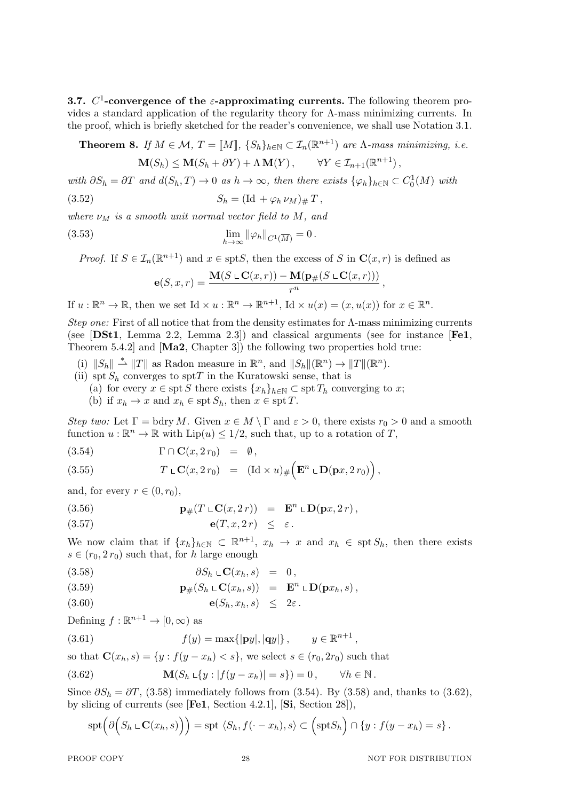**3.7.** *C* 1 **-convergence of the** *ε***-approximating currents.** The following theorem provides a standard application of the regularity theory for  $\Lambda$ -mass minimizing currents. In the proof, which is briefly sketched for the reader's convenience, we shall use Notation 3.1.

**Theorem 8.** *If*  $M \in \mathcal{M}$ ,  $T = [M]$ ,  $\{S_h\}_{h \in \mathbb{N}} \subset \mathcal{I}_n(\mathbb{R}^{n+1})$  *are*  $\Lambda$ *-mass minimizing, i.e.* 

$$
\mathbf{M}(S_h) \le \mathbf{M}(S_h + \partial Y) + \Lambda \mathbf{M}(Y), \qquad \forall Y \in \mathcal{I}_{n+1}(\mathbb{R}^{n+1}),
$$

with  $\partial S_h = \partial T$  and  $d(S_h, T) \to 0$  as  $h \to \infty$ , then there exists  $\{\varphi_h\}_{h \in \mathbb{N}} \subset C_0^1(M)$  with  $S_h = (\text{Id} + \varphi_h \nu_M)_{\#} T$ ,

*where*  $\nu_M$  *is a smooth unit normal vector field to*  $M$ *, and* 

(3.53) 
$$
\lim_{h \to \infty} \|\varphi_h\|_{C^1(\overline{M})} = 0.
$$

*Proof.* If  $S \in \mathcal{I}_n(\mathbb{R}^{n+1})$  and  $x \in \text{spt } S$ , then the excess of *S* in  $\mathbf{C}(x, r)$  is defined as

$$
\mathbf{e}(S,x,r)=\frac{\mathbf{M}(S\mathop{\llcorner}\mathbf{C}(x,r))-\mathbf{M}(\mathbf{p}_{\#}(S\mathop{\llcorner}\mathbf{C}(x,r)))}{r^{n}},
$$

If  $u : \mathbb{R}^n \to \mathbb{R}$ , then we set Id  $\times u : \mathbb{R}^n \to \mathbb{R}^{n+1}$ , Id  $\times u(x) = (x, u(x))$  for  $x \in \mathbb{R}^n$ .

*Step one:* First of all notice that from the density estimates for Λ-mass minimizing currents (see [**DSt1**, Lemma 2.2, Lemma 2.3]) and classical arguments (see for instance [**Fe1**, Theorem 5.4.2] and [**Ma2**, Chapter 3]) the following two properties hold true:

- (i)  $||S_h|| \stackrel{*}{\rightharpoonup} ||T||$  as Radon measure in  $\mathbb{R}^n$ , and  $||S_h||(\mathbb{R}^n) \to ||T||(\mathbb{R}^n)$ .
- (ii) spt  $S_h$  converges to sptT in the Kuratowski sense, that is
	- (a) for every  $x \in \text{spt } S$  there exists  $\{x_h\}_{h \in \mathbb{N}} \subset \text{spt } T_h$  converging to x;

(b) if  $x_h \to x$  and  $x_h \in \text{spt } S_h$ , then  $x \in \text{spt } T$ .

*Step two:* Let  $\Gamma = \text{bdry } M$ . Given  $x \in M \setminus \Gamma$  and  $\varepsilon > 0$ , there exists  $r_0 > 0$  and a smooth function  $u : \mathbb{R}^n \to \mathbb{R}$  with  $\text{Lip}(u) \leq 1/2$ , such that, up to a rotation of *T*,

(3.54) 
$$
\Gamma \cap \mathbf{C}(x, 2r_0) = \emptyset,
$$

(3.55) 
$$
T \mathop{\llcorner} \mathbf{C}(x, 2r_0) = (\mathrm{Id} \times u)_{\#} (\mathbf{E}^n \mathop{\llcorner} \mathbf{D}(\mathbf{p}x, 2r_0)),
$$

and, for every  $r \in (0, r_0)$ ,

(3.56) 
$$
\mathbf{p}_{\#}(T \cup \mathbf{C}(x, 2r)) = \mathbf{E}^{n} \cup \mathbf{D}(\mathbf{p}x, 2r),
$$

$$
e(T, x, 2r) \leq \varepsilon.
$$

We now claim that if  $\{x_h\}_{h\in\mathbb{N}} \subset \mathbb{R}^{n+1}$ ,  $x_h \to x$  and  $x_h \in \text{spt } S_h$ , then there exists  $s \in (r_0, 2r_0)$  such that, for *h* large enough

$$
(3.58) \t\t \t\t \partial S_h \cup \mathbf{C}(x_h, s) = 0,
$$

(3.59) 
$$
\mathbf{p}_{\#}(S_h \cup \mathbf{C}(x_h, s)) = \mathbf{E}^n \cup \mathbf{D}(\mathbf{p}x_h, s),
$$

$$
e(S_h, x_h, s) \leq 2\varepsilon.
$$

Defining  $f: \mathbb{R}^{n+1} \to [0, \infty)$  as

(3.61) 
$$
f(y) = \max\{|py|, |qy|\}, \qquad y \in \mathbb{R}^{n+1},
$$

so that  $\mathbf{C}(x_h, s) = \{y : f(y - x_h) < s\}$ , we select  $s \in (r_0, 2r_0)$  such that

(3.62) 
$$
\mathbf{M}(S_h \cup \{y : |f(y - x_h)| = s\}) = 0, \quad \forall h \in \mathbb{N}.
$$

Since  $\partial S_h = \partial T$ , (3.58) immediately follows from (3.54). By (3.58) and, thanks to (3.62), by slicing of currents (see [**Fe1**, Section 4.2.1], [**Si**, Section 28]),

$$
spt\big(\partial\Big(S_h\,\llcorner\,\mathbf{C}(x_h,s)\Big)\big)=spt\,\langle S_h,f(\cdot-x_h),s\rangle\subset\Big(sptS_h\Big)\cap\{y:f(y-x_h)=s\}\,.
$$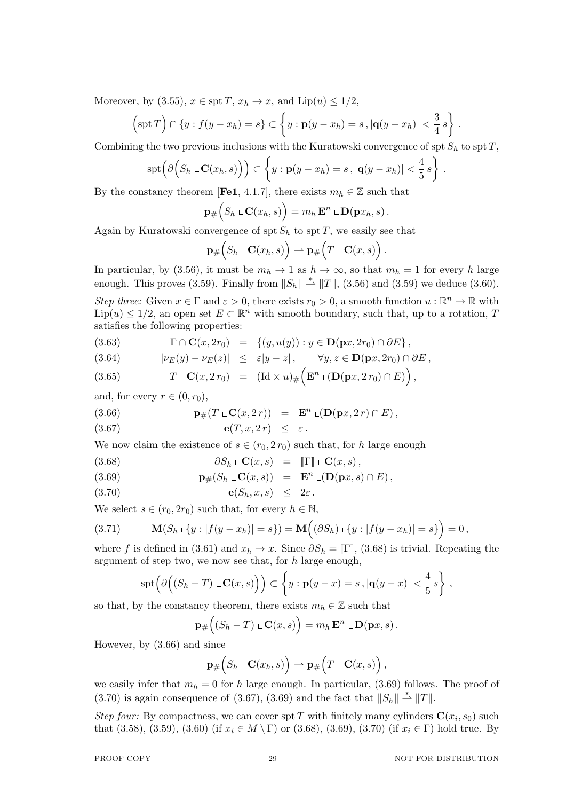Moreover, by (3.55),  $x \in \text{spt } T$ ,  $x_h \to x$ , and  $\text{Lip}(u) \leq 1/2$ ,

$$
\left(\operatorname{spt} T\right)\cap\left\{y:f(y-x_h)=s\right\}\subset\left\{y:\mathbf{p}(y-x_h)=s\,,\left|\mathbf{q}(y-x_h)\right|<\frac{3}{4}\,s\right\}\,.
$$

Combining the two previous inclusions with the Kuratowski convergence of spt  $S_h$  to spt  $T$ ,

$$
spt\left(\partial\Big(S_h\,\llcorner\,\mathbf{C}(x_h,s)\Big)\right)\subset\left\{y:\mathbf{p}(y-x_h)=s\,,|\mathbf{q}(y-x_h)|<\frac{4}{5}\,s\right\}\,.
$$

By the constancy theorem [**Fe1**, 4.1.7], there exists  $m_h \in \mathbb{Z}$  such that

$$
\mathbf{p}_{\#}\Big(S_h \,\mathop{\llcorner}\mathbf{C}(x_h,s)\Big) = m_h\,\mathbf{E}^n \,\mathop{\llcorner}\mathbf{D}(\mathbf{p}x_h,s)\,.
$$

Again by Kuratowski convergence of spt  $S_h$  to spt  $T$ , we easily see that

$$
\mathbf{p}_{\#}\Big(S_h \,\mathop{\llcorner}\, \mathbf{C}(x_h,s)\Big) \rightharpoonup \mathbf{p}_{\#}\Big(T \,\mathop{\llcorner}\, \mathbf{C}(x,s)\Big)\,.
$$

In particular, by (3.56), it must be  $m_h \to 1$  as  $h \to \infty$ , so that  $m_h = 1$  for every *h* large enough. This proves (3.59). Finally from  $||S_h|| \overset{*}{\rightharpoonup} ||T||$ , (3.56) and (3.59) we deduce (3.60).

*Step three:* Given  $x \in \Gamma$  and  $\varepsilon > 0$ , there exists  $r_0 > 0$ , a smooth function  $u : \mathbb{R}^n \to \mathbb{R}$  with  $\text{Lip}(u) \leq 1/2$ , an open set  $E \subset \mathbb{R}^n$  with smooth boundary, such that, up to a rotation, *T* satisfies the following properties:

$$
(3.63) \qquad \Gamma \cap \mathbf{C}(x, 2r_0) = \{(y, u(y)) : y \in \mathbf{D}(\mathbf{p}x, 2r_0) \cap \partial E\},
$$

$$
(3.64) \t\t |\nu_E(y) - \nu_E(z)| \leq \varepsilon |y - z|, \quad \forall y, z \in \mathbf{D}(\mathbf{p}x, 2r_0) \cap \partial E,
$$

(3.65) 
$$
T \mathop{\llcorner} \mathbf{C}(x, 2r_0) = (\mathrm{Id} \times u)_{\#} (\mathbf{E}^n \mathop{\llcorner} (\mathbf{D}(\mathbf{p}x, 2r_0) \cap E)),
$$

and, for every  $r \in (0, r_0)$ ,

(3.66) 
$$
\mathbf{p}_{\#}(T \sqcup \mathbf{C}(x, 2r)) = \mathbf{E}^{n} \sqcup (\mathbf{D}(\mathbf{p}x, 2r) \cap E),
$$

$$
e(T, x, 2r) \leq \varepsilon.
$$

We now claim the existence of  $s \in (r_0, 2r_0)$  such that, for *h* large enough

(3.68) 
$$
\partial S_h \mathop{\llcorner} \mathbf{C}(x,s) = \mathbf{I} \mathbf{I} \mathbf{I} \mathbf{C}(x,s),
$$

(3.69) 
$$
\mathbf{p}_{\#}(S_h \cup \mathbf{C}(x,s)) = \mathbf{E}^n \cup (\mathbf{D}(\mathbf{p}x,s) \cap E),
$$

$$
e(S_h, x, s) \leq 2\varepsilon.
$$

We select  $s \in (r_0, 2r_0)$  such that, for every  $h \in \mathbb{N}$ ,

$$
(3.71) \t\t \mathbf{M}(S_h \cup \{y : |f(y - x_h)| = s\}) = \mathbf{M}\Big((\partial S_h) \cup \{y : |f(y - x_h)| = s\}\Big) = 0,
$$

where *f* is defined in (3.61) and  $x_h \to x$ . Since  $\partial S_h = \mathbb{F}$ , (3.68) is trivial. Repeating the argument of step two, we now see that, for *h* large enough,

$$
spt\left(\partial\Big((S_h-T)\mathop{\llcorner}\mathbf{C}(x,s)\Big)\right)\subset\left\{y:\mathbf{p}(y-x)=s\,,|\mathbf{q}(y-x)|<\frac{4}{5}s\right\}\,,
$$

so that, by the constancy theorem, there exists  $m_h \in \mathbb{Z}$  such that

$$
\mathbf{p}_{\#}\Big((S_h-T)\,\mathbb{L}\mathbf{C}(x,s)\Big)=m_h\,\mathbf{E}^n\,\mathbb{L}\mathbf{D}(\mathbf{p}x,s)\,.
$$

However, by (3.66) and since

$$
\mathbf{p}_{\#}\Big(S_h \,\mathop{\llcorner}\, \mathbf{C}(x_h,s)\Big) \rightharpoonup \mathbf{p}_{\#}\Big(T \,\mathop{\llcorner}\, \mathbf{C}(x,s)\Big)\,,
$$

we easily infer that  $m_h = 0$  for *h* large enough. In particular, (3.69) follows. The proof of (3.70) is again consequence of (3.67), (3.69) and the fact that  $||S_h|| \stackrel{*}{\rightharpoonup} ||T||$ .

*Step four:* By compactness, we can cover spt *T* with finitely many cylinders  $\mathbf{C}(x_i, s_0)$  such that (3.58), (3.59), (3.60) (if  $x_i \in M \setminus \Gamma$ ) or (3.68), (3.69), (3.70) (if  $x_i \in \Gamma$ ) hold true. By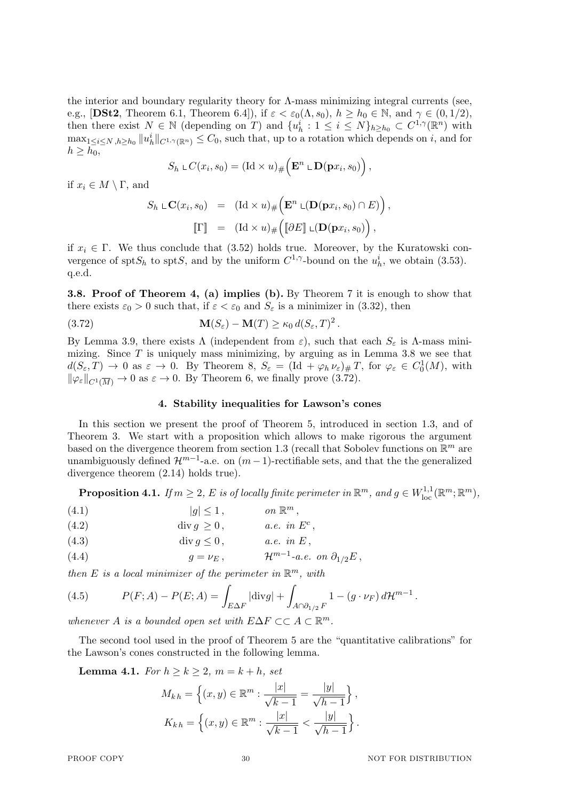the interior and boundary regularity theory for Λ-mass minimizing integral currents (see, e.g., [DSt2, Theorem 6.1, Theorem 6.4]), if  $\varepsilon < \varepsilon_0(\Lambda, s_0)$ ,  $h \ge h_0 \in \mathbb{N}$ , and  $\gamma \in (0, 1/2)$ , then there exist  $N \in \mathbb{N}$  (depending on *T*) and  $\{u_h^i : 1 \leq i \leq N\}_{h \geq h_0} \subset C^{1,\gamma}(\mathbb{R}^n)$  with  $\max_{1 \leq i \leq N, h \geq h_0} ||u^i_h||_{C^{1,\gamma}(\mathbb{R}^n)} \leq C_0$ , such that, up to a rotation which depends on *i*, and for  $h \geq h_0$ ,

$$
S_h \,\mathop{\llcorner} C(x_i,s_0) = (\mathrm{Id} \times u)_\# \Big( \mathbf{E}^n \,\mathop{\llcorner} \mathbf{D}(\mathbf{p} x_i,s_0) \Big) \,,
$$

if  $x_i \in M \setminus \Gamma$ , and

$$
S_h \, \text{L}\mathbf{C}(x_i, s_0) = (\text{Id} \times u)_{\#} \Big( \mathbf{E}^n \, \text{L}(\mathbf{D}(\mathbf{p}x_i, s_0) \cap E) \Big),
$$

$$
[\![\Gamma]\!] = (\text{Id} \times u)_{\#} \Big( [\![\partial E]\!] \, \text{L}(\mathbf{D}(\mathbf{p}x_i, s_0)) \Big),
$$

if  $x_i \in \Gamma$ . We thus conclude that (3.52) holds true. Moreover, by the Kuratowski convergence of spt $S_h$  to spt $S$ , and by the uniform  $C^{1,\gamma}$ -bound on the  $u^i_h$ , we obtain (3.53). q.e.d.

**3.8. Proof of Theorem 4, (a) implies (b).** By Theorem 7 it is enough to show that there exists  $\varepsilon_0 > 0$  such that, if  $\varepsilon < \varepsilon_0$  and  $S_\varepsilon$  is a minimizer in (3.32), then

(3.72) 
$$
\mathbf{M}(S_{\varepsilon}) - \mathbf{M}(T) \geq \kappa_0 d(S_{\varepsilon}, T)^2.
$$

By Lemma 3.9, there exists Λ (independent from  $\varepsilon$ ), such that each  $S_{\varepsilon}$  is Λ-mass minimizing. Since *T* is uniquely mass minimizing, by arguing as in Lemma 3.8 we see that  $d(S_{\varepsilon}, T) \to 0$  as  $\varepsilon \to 0$ . By Theorem 8,  $S_{\varepsilon} = (\text{Id} + \varphi_h \nu_{\varepsilon})_{\#} T$ , for  $\varphi_{\varepsilon} \in C_0^1(M)$ , with  $\|\varphi_{\varepsilon}\|_{C^1(\overline{M})} \to 0$  as  $\varepsilon \to 0$ . By Theorem 6, we finally prove (3.72).

## **4. Stability inequalities for Lawson's cones**

In this section we present the proof of Theorem 5, introduced in section 1.3, and of Theorem 3. We start with a proposition which allows to make rigorous the argument based on the divergence theorem from section 1.3 (recall that Sobolev functions on R *<sup>m</sup>* are unambiguously defined  $\mathcal{H}^{m-1}$ -a.e. on  $(m-1)$ -rectifiable sets, and that the the generalized divergence theorem (2.14) holds true).

 ${\bf Proposition 4.1.} \ \ If \ m\geq 2, \ E \ \ is \ \ of \ locally \ finite \ perimeter \ in \ \mathbb{R}^m, \ and \ g \in W^{1,1}_{\rm loc}(\mathbb{R}^m;\mathbb{R}^m),$ 

$$
(4.1) \t\t |g| \le 1, \t\t on \mathbb{R}^m,
$$

(4.2) 
$$
\operatorname{div} g \ge 0, \qquad a.e. \text{ in } E^c,
$$

(4.3) 
$$
\operatorname{div} g \le 0, \qquad a.e. \text{ in } E,
$$

(4.4) 
$$
g = \nu_E, \qquad \mathcal{H}^{m-1}\text{-}a.e. \text{ on } \partial_{1/2}E,
$$

*then*  $E$  *is a local minimizer of the perimeter in*  $\mathbb{R}^m$ *, with* 

(4.5) 
$$
P(F; A) - P(E; A) = \int_{E \Delta F} |\text{div} g| + \int_{A \cap \partial_{1/2} F} 1 - (g \cdot \nu_F) d\mathcal{H}^{m-1}.
$$

*whenever A is a bounded open set with*  $E\Delta F \subset C \land C \mathbb{R}^m$ .

The second tool used in the proof of Theorem 5 are the "quantitative calibrations" for the Lawson's cones constructed in the following lemma.

**Lemma 4.1.** *For*  $h \geq k \geq 2$ ,  $m = k + h$ , *set* 

$$
M_{kh} = \left\{ (x, y) \in \mathbb{R}^m : \frac{|x|}{\sqrt{k-1}} = \frac{|y|}{\sqrt{h-1}} \right\},\
$$

$$
K_{kh} = \left\{ (x, y) \in \mathbb{R}^m : \frac{|x|}{\sqrt{k-1}} < \frac{|y|}{\sqrt{h-1}} \right\}.
$$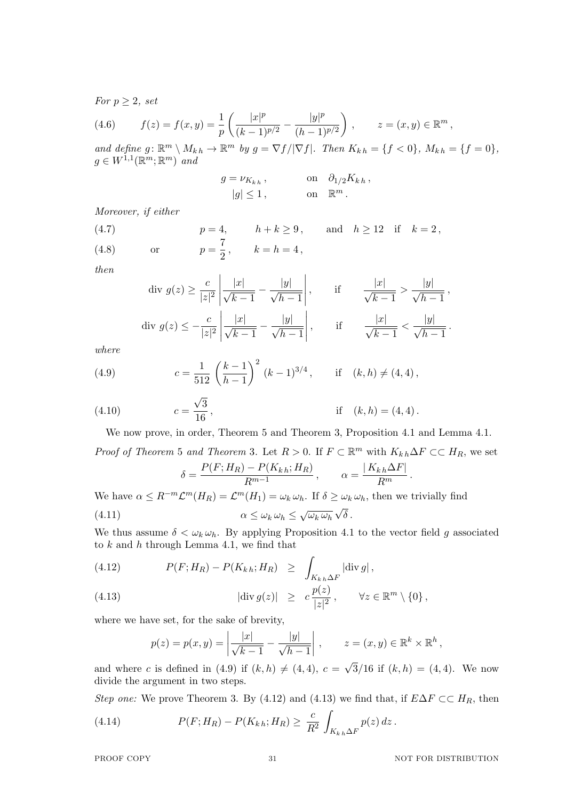*For*  $p > 2$ *, set* 

(4.6) 
$$
f(z) = f(x, y) = \frac{1}{p} \left( \frac{|x|^p}{(k-1)^{p/2}} - \frac{|y|^p}{(h-1)^{p/2}} \right), \qquad z = (x, y) \in \mathbb{R}^m,
$$

and define  $g: \mathbb{R}^m \setminus M_{kh} \to \mathbb{R}^m$  by  $g = \nabla f / |\nabla f|$ . Then  $K_{kh} = \{f < 0\}$ ,  $M_{kh} = \{f = 0\}$ ,  $g \in W^{1,1}(\mathbb{R}^m;\mathbb{R}^m)$  and

$$
g = \nu_{K_{k,h}}, \qquad \text{on} \quad \partial_{1/2} K_{k,h},
$$

$$
|g| \le 1, \qquad \text{on} \quad \mathbb{R}^m.
$$

*Moreover, if either*

(4.7)  $p = 4, \quad h + k \geq 9, \quad \text{and} \quad h \geq 12 \quad \text{if} \quad k = 2,$ 

or  $p = \frac{7}{2}$ (4.8) or  $p = \frac{1}{2}$ ,  $k = h = 4$ ,

*then*

$$
\text{div } g(z) \ge \frac{c}{|z|^2} \left| \frac{|x|}{\sqrt{k-1}} - \frac{|y|}{\sqrt{h-1}} \right|, \qquad \text{if} \qquad \frac{|x|}{\sqrt{k-1}} > \frac{|y|}{\sqrt{h-1}},
$$
\n
$$
\text{div } g(z) \le -\frac{c}{|z|^2} \left| \frac{|x|}{\sqrt{k-1}} - \frac{|y|}{\sqrt{h-1}} \right|, \qquad \text{if} \qquad \frac{|x|}{\sqrt{k-1}} < \frac{|y|}{\sqrt{h-1}}.
$$

*where*

(4.9) 
$$
c = \frac{1}{512} \left( \frac{k-1}{h-1} \right)^2 (k-1)^{3/4}, \quad \text{if } (k,h) \neq (4,4),
$$

(4.10) 
$$
c = \frac{\sqrt{3}}{16}
$$
, if  $(k, h) = (4, 4)$ .

We now prove, in order, Theorem 5 and Theorem 3, Proposition 4.1 and Lemma 4.1.

*Proof of Theorem* 5 *and Theorem* 3. Let  $R > 0$ . If  $F \subset \mathbb{R}^m$  with  $K_{kh} \Delta F \subset \subset H_R$ , we set  $P(F \cdot H_B) - P(K_{h,k} \cdot H_B)$ 

$$
\delta = \frac{P(F; H_R) - P(K_{kh}; H_R)}{R^{m-1}}, \qquad \alpha = \frac{|K_{kh}\Delta F|}{R^m}.
$$

We have  $\alpha \leq R^{-m} \mathcal{L}^m(H_R) = \mathcal{L}^m(H_1) = \omega_k \omega_h$ . If  $\delta \geq \omega_k \omega_h$ , then we trivially find *√*

(4.11) 
$$
\alpha \leq \omega_k \,\omega_h \leq \sqrt{\omega_k \,\omega_h} \,\sqrt{\delta} \,.
$$

We thus assume  $\delta < \omega_k \omega_h$ . By applying Proposition 4.1 to the vector field *g* associated to *k* and *h* through Lemma 4.1, we find that

(4.12) 
$$
P(F;H_R) - P(K_{k,h};H_R) \geq \int_{K_{k,h}\Delta F} |\text{div } g|,
$$

(4.13) 
$$
|\text{div } g(z)| \geq c \frac{p(z)}{|z|^2}, \quad \forall z \in \mathbb{R}^m \setminus \{0\},
$$

where we have set, for the sake of brevity,

$$
p(z) = p(x, y) = \left| \frac{|x|}{\sqrt{k-1}} - \frac{|y|}{\sqrt{h-1}} \right|, \qquad z = (x, y) \in \mathbb{R}^k \times \mathbb{R}^h,
$$

and where *c* is defined in (4.9) if  $(k, h) \neq (4, 4)$ ,  $c =$  $3/16$  if  $(k, h) = (4, 4)$ . We now divide the argument in two steps.

*Step one:* We prove Theorem 3. By (4.12) and (4.13) we find that, if  $E\Delta F \subset F$ <sup>R</sup>, then

(4.14) 
$$
P(F; H_R) - P(K_{k,h}; H_R) \geq \frac{c}{R^2} \int_{K_{k,h}\Delta F} p(z) dz.
$$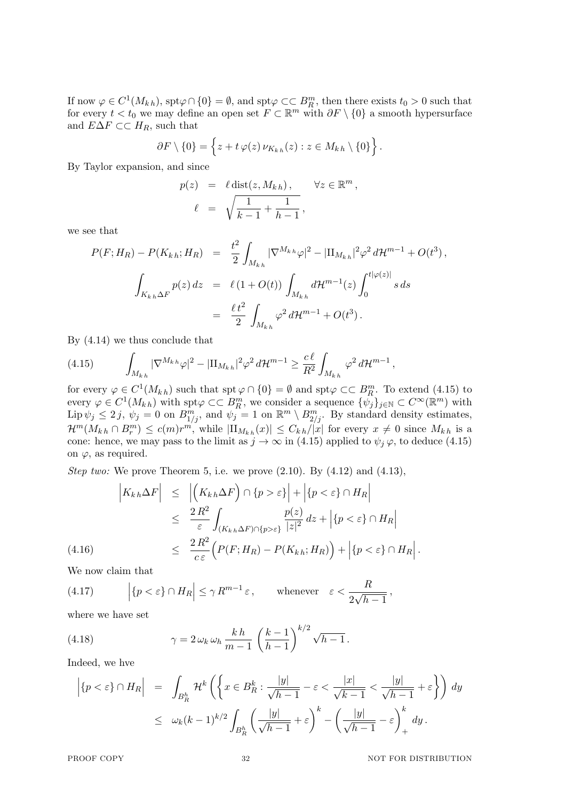If now  $\varphi \in C^1(M_{kh})$ , spt $\varphi \cap \{0\} = \emptyset$ , and spt $\varphi \subset\subset B_R^m$ , then there exists  $t_0 > 0$  such that for every  $t < t_0$  we may define an open set  $F \subset \mathbb{R}^m$  with  $\partial F \setminus \{0\}$  a smooth hypersurface and  $E\Delta F \subset H_R$ , such that

$$
\partial F \setminus \{0\} = \left\{ z + t \varphi(z) \, \nu_{K_{k,h}}(z) : z \in M_{k,h} \setminus \{0\} \right\}.
$$

By Taylor expansion, and since

$$
p(z) = \ell \operatorname{dist}(z, M_{kh}), \quad \forall z \in \mathbb{R}^m,
$$
  

$$
\ell = \sqrt{\frac{1}{k-1} + \frac{1}{h-1}},
$$

we see that

$$
P(F;H_R) - P(K_{k,h};H_R) = \frac{t^2}{2} \int_{M_{k,h}} |\nabla^{M_{k,h}} \varphi|^2 - |\Pi_{M_{k,h}}|^2 \varphi^2 d\mathcal{H}^{m-1} + O(t^3),
$$
  

$$
\int_{K_{k,h}\Delta F} p(z) dz = \ell (1 + O(t)) \int_{M_{k,h}} d\mathcal{H}^{m-1}(z) \int_0^{t|\varphi(z)|} s ds
$$
  

$$
= \frac{\ell t^2}{2} \int_{M_{k,h}} \varphi^2 d\mathcal{H}^{m-1} + O(t^3).
$$

By (4.14) we thus conclude that

(4.15) 
$$
\int_{M_{kh}} |\nabla^{M_{kh}} \varphi|^2 - |\Pi_{M_{kh}}|^2 \varphi^2 d\mathcal{H}^{m-1} \ge \frac{c\ell}{R^2} \int_{M_{kh}} \varphi^2 d\mathcal{H}^{m-1},
$$

for every  $\varphi \in C^1(M_{kh})$  such that  $\text{spt } \varphi \cap \{0\} = \emptyset$  and  $\text{spt } \varphi \subset\subset B_R^m$ . To extend (4.15) to every  $\varphi \in C^1(M_{kh})$  with  $\text{spt}\varphi \subset\subset B_R^m$ , we consider a sequence  $\{\psi_j\}_{j\in\mathbb{N}} \subset C^{\infty}(\mathbb{R}^m)$  with  $\text{Lip } \psi_j \leq 2j, \ \psi_j = 0 \text{ on } B^m_{1/j}, \text{ and } \psi_j = 1 \text{ on } \mathbb{R}^m \setminus B^m_{2/j}.$  By standard density estimates,  $\mathcal{H}^m(M_{k,h}\cap B_r^m) \leq c(m)r^{m'}$ , while  $|\Pi_{M_{k,h}}(x)| \leq C_{k,h}/|x|$  for every  $x \neq 0$  since  $M_{k,h}$  is a cone: hence, we may pass to the limit as  $j \to \infty$  in (4.15) applied to  $\psi_j \varphi$ , to deduce (4.15) on  $\varphi$ , as required.

*Step two:* We prove Theorem 5, i.e. we prove  $(2.10)$ . By  $(4.12)$  and  $(4.13)$ ,

$$
\begin{aligned}\n\left| K_{kh} \Delta F \right| &\leq \left| \left( K_{kh} \Delta F \right) \cap \{ p > \varepsilon \} \right| + \left| \{ p < \varepsilon \} \cap H_R \right| \\
&\leq \frac{2 \, R^2}{\varepsilon} \int_{(K_{kh} \Delta F) \cap \{ p > \varepsilon \}} \frac{p(z)}{|z|^2} \, dz + \left| \{ p < \varepsilon \} \cap H_R \right| \\
&\leq \frac{2 \, R^2}{c \, \varepsilon} \left( P(F; H_R) - P(K_{kh}; H_R) \right) + \left| \{ p < \varepsilon \} \cap H_R \right|.\n\end{aligned}
$$

We now claim that

(4.17) 
$$
\left| \{ p < \varepsilon \} \cap H_R \right| \leq \gamma R^{m-1} \varepsilon, \quad \text{whenever} \quad \varepsilon < \frac{R}{2\sqrt{h-1}},
$$

where we have set

(4.18) 
$$
\gamma = 2 \omega_k \omega_h \frac{k h}{m-1} \left( \frac{k-1}{h-1} \right)^{k/2} \sqrt{h-1}.
$$

Indeed, we hve

$$
\left| \{ p < \varepsilon \} \cap H_R \right| = \int_{B_R^h} \mathcal{H}^k \left( \left\{ x \in B_R^k : \frac{|y|}{\sqrt{h-1}} - \varepsilon < \frac{|x|}{\sqrt{k-1}} < \frac{|y|}{\sqrt{h-1}} + \varepsilon \right\} \right) dy
$$
  

$$
\leq \omega_k (k-1)^{k/2} \int_{B_R^h} \left( \frac{|y|}{\sqrt{h-1}} + \varepsilon \right)^k - \left( \frac{|y|}{\sqrt{h-1}} - \varepsilon \right)^k_+ dy.
$$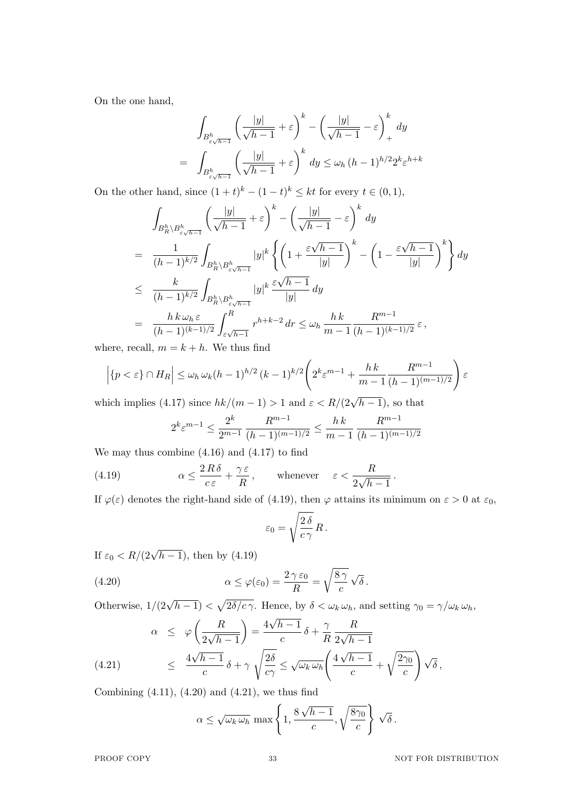On the one hand,

$$
\int_{B_{\varepsilon\sqrt{h-1}}^h} \left(\frac{|y|}{\sqrt{h-1}} + \varepsilon\right)^k - \left(\frac{|y|}{\sqrt{h-1}} - \varepsilon\right)^k + dy
$$
\n
$$
= \int_{B_{\varepsilon\sqrt{h-1}}^h} \left(\frac{|y|}{\sqrt{h-1}} + \varepsilon\right)^k dy \le \omega_h (h-1)^{h/2} 2^k \varepsilon^{h+k}
$$

On the other hand, since  $(1 + t)^k - (1 - t)^k \leq kt$  for every  $t \in (0, 1)$ ,

$$
\int_{B_R^h \backslash B_{\varepsilon\sqrt{h-1}}^h} \left( \frac{|y|}{\sqrt{h-1}} + \varepsilon \right)^k - \left( \frac{|y|}{\sqrt{h-1}} - \varepsilon \right)^k dy
$$
\n
$$
= \frac{1}{(h-1)^{k/2}} \int_{B_R^h \backslash B_{\varepsilon\sqrt{h-1}}^h} |y|^k \left\{ \left( 1 + \frac{\varepsilon\sqrt{h-1}}{|y|} \right)^k - \left( 1 - \frac{\varepsilon\sqrt{h-1}}{|y|} \right)^k \right\} dy
$$
\n
$$
\leq \frac{k}{(h-1)^{k/2}} \int_{B_R^h \backslash B_{\varepsilon\sqrt{h-1}}^h} |y|^k \frac{\varepsilon\sqrt{h-1}}{|y|} dy
$$
\n
$$
= \frac{h \, k \, \omega_h \, \varepsilon}{(h-1)^{(k-1)/2}} \int_{\varepsilon\sqrt{h-1}}^R r^{h+k-2} \, dr \leq \omega_h \, \frac{hk}{m-1} \frac{R^{m-1}}{(h-1)^{(k-1)/2}} \, \varepsilon \,,
$$

where, recall,  $m = k + h$ . We thus find

$$
\left| \{ p < \varepsilon \} \cap H_R \right| \le \omega_h \, \omega_k (h-1)^{h/2} \left( k-1 \right)^{k/2} \left( 2^k \varepsilon^{m-1} + \frac{hk}{m-1} \frac{R^{m-1}}{(h-1)^{(m-1)/2}} \right) \varepsilon
$$

which implies (4.17) since  $hk/(m-1) > 1$  and  $\varepsilon < R/(2\sqrt{h-1})$ , so that

$$
2^{k} \varepsilon^{m-1} \le \frac{2^{k}}{2^{m-1}} \frac{R^{m-1}}{(h-1)^{(m-1)/2}} \le \frac{h \, k}{m-1} \frac{R^{m-1}}{(h-1)^{(m-1)/2}}
$$

We may thus combine (4.16) and (4.17) to find

(4.19) 
$$
\alpha \le \frac{2R\delta}{c\varepsilon} + \frac{\gamma \varepsilon}{R}, \quad \text{whenever} \quad \varepsilon < \frac{R}{2\sqrt{h-1}}.
$$

If  $\varphi(\varepsilon)$  denotes the right-hand side of (4.19), then  $\varphi$  attains its minimum on  $\varepsilon > 0$  at  $\varepsilon_0$ ,

$$
\varepsilon_0 = \sqrt{\frac{2\,\delta}{c\,\gamma}}\,R\,.
$$

If  $\varepsilon_0 < R/(2\sqrt{h-1})$ , then by (4.19)

(4.20) 
$$
\alpha \leq \varphi(\varepsilon_0) = \frac{2 \gamma \varepsilon_0}{R} = \sqrt{\frac{8 \gamma}{c}} \sqrt{\delta}.
$$

Otherwise,  $1/(2\sqrt{h-1}) < \sqrt{2\delta/c\gamma}$ . Hence, by  $\delta < \omega_k \omega_h$ , and setting  $\gamma_0 = \gamma/\omega_k \omega_h$ , *√*

(4.21) 
$$
\alpha \leq \varphi \left( \frac{R}{2\sqrt{h-1}} \right) = \frac{4\sqrt{h-1}}{c} \delta + \frac{\gamma}{R} \frac{R}{2\sqrt{h-1}}
$$

$$
\leq \frac{4\sqrt{h-1}}{c} \delta + \gamma \sqrt{\frac{2\delta}{c\gamma}} \leq \sqrt{\omega_k \omega_h} \left( \frac{4\sqrt{h-1}}{c} + \sqrt{\frac{2\gamma_0}{c}} \right) \sqrt{\delta},
$$

Combining  $(4.11)$ ,  $(4.20)$  and  $(4.21)$ , we thus find

$$
\alpha \leq \sqrt{\omega_k \omega_h} \max \left\{ 1, \frac{8\sqrt{h-1}}{c}, \sqrt{\frac{8\gamma_0}{c}} \right\} \sqrt{\delta}.
$$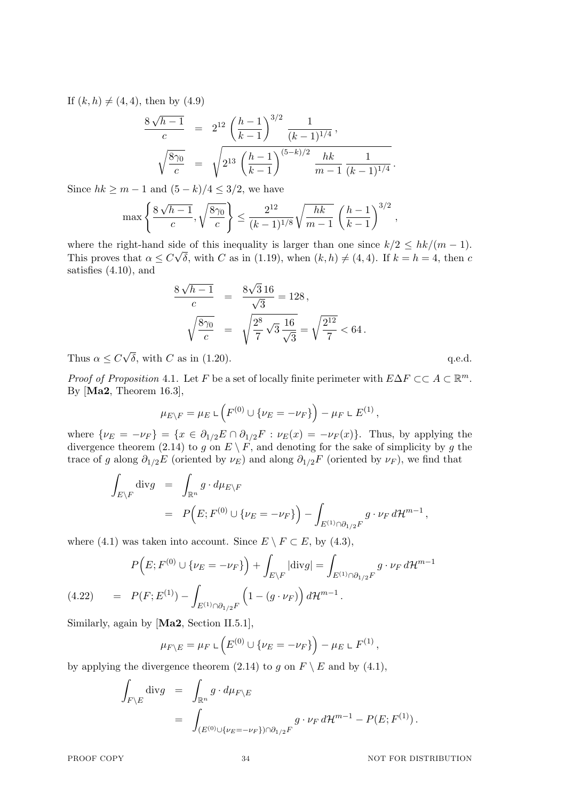If  $(k, h) \neq (4, 4)$ , then by  $(4.9)$ 

$$
\frac{8\sqrt{h-1}}{c} = 2^{12} \left(\frac{h-1}{k-1}\right)^{3/2} \frac{1}{(k-1)^{1/4}},
$$
  

$$
\sqrt{\frac{8\gamma_0}{c}} = \sqrt{2^{13} \left(\frac{h-1}{k-1}\right)^{(5-k)/2} \frac{hk}{m-1} \frac{1}{(k-1)^{1/4}}}.
$$

Since  $hk \geq m-1$  and  $(5-k)/4 \leq 3/2$ , we have

$$
\max\left\{\frac{8\sqrt{h-1}}{c}, \sqrt{\frac{8\gamma_0}{c}}\right\} \le \frac{2^{12}}{(k-1)^{1/8}}\sqrt{\frac{hk}{m-1}} \left(\frac{h-1}{k-1}\right)^{3/2}
$$

where the right-hand side of this inequality is larger than one since  $k/2 \leq hk/(m-1)$ . This proves that  $\alpha \leq C \sqrt{\delta}$ , with *C* as in (1.19), when  $(k, h) \neq (4, 4)$ . If  $k = h = 4$ , then *c* satisfies (4.10), and

$$
\frac{8\sqrt{h-1}}{c} = \frac{8\sqrt{3}16}{\sqrt{3}} = 128,
$$
  

$$
\sqrt{\frac{8\gamma_0}{c}} = \sqrt{\frac{2^8}{7}\sqrt{3}\frac{16}{\sqrt{3}}} = \sqrt{\frac{2^{12}}{7}} < 64.
$$

Thus  $\alpha \leq C$ *√*  $\delta$ , with *C* as in (1.20). q.e.d.

*Proof of Proposition* 4.1. Let *F* be a set of locally finite perimeter with  $E\Delta F \subsetsubset A \subset \mathbb{R}^m$ . By [**Ma2**, Theorem 16.3],

$$
\mu_{E\setminus F} = \mu_E \mathop{\llcorner} \left( F^{(0)} \cup \{ \nu_E = -\nu_F \} \right) - \mu_F \mathop{\llcorner} E^{(1)},
$$

where  $\{\nu_E = -\nu_F\} = \{x \in \partial_{1/2}E \cap \partial_{1/2}F : \nu_E(x) = -\nu_F(x)\}\.$  Thus, by applying the divergence theorem (2.14) to *g* on  $E \setminus F$ , and denoting for the sake of simplicity by *g* the trace of *g* along  $\partial_{1/2}E$  (oriented by  $\nu_E$ ) and along  $\partial_{1/2}F$  (oriented by  $\nu_F$ ), we find that

$$
\int_{E \backslash F} \text{div}g = \int_{\mathbb{R}^n} g \cdot d\mu_{E \backslash F}
$$
\n
$$
= P(E; F^{(0)} \cup \{\nu_E = -\nu_F\}) - \int_{E^{(1)} \cap \partial_{1/2} F} g \cdot \nu_F d\mathcal{H}^{m-1},
$$

where (4.1) was taken into account. Since  $E \setminus F \subset E$ , by (4.3),

$$
P(E; F^{(0)} \cup \{\nu_E = -\nu_F\}) + \int_{E \setminus F} |\text{div} g| = \int_{E^{(1)} \cap \partial_{1/2} F} g \cdot \nu_F d\mathcal{H}^{m-1}
$$
  
(4.22) 
$$
= P(F; E^{(1)}) - \int_{E^{(1)} \cap \partial_{1/2} F} \left(1 - (g \cdot \nu_F)\right) d\mathcal{H}^{m-1}.
$$

Similarly, again by [**Ma2**, Section II.5.1],

$$
\mu_{F \setminus E} = \mu_F \mathop{\llcorner} \left( E^{(0)} \cup \{ \nu_E = -\nu_F \} \right) - \mu_E \mathop{\llcorner} F^{(1)},
$$

by applying the divergence theorem (2.14) to *g* on  $F \setminus E$  and by (4.1),

$$
\int_{F \backslash E} \text{div} g = \int_{\mathbb{R}^n} g \cdot d\mu_{F \backslash E} \n= \int_{(E^{(0)} \cup \{\nu_E = -\nu_F\}) \cap \partial_{1/2} F} g \cdot \nu_F d\mathcal{H}^{m-1} - P(E; F^{(1)}).
$$

*,*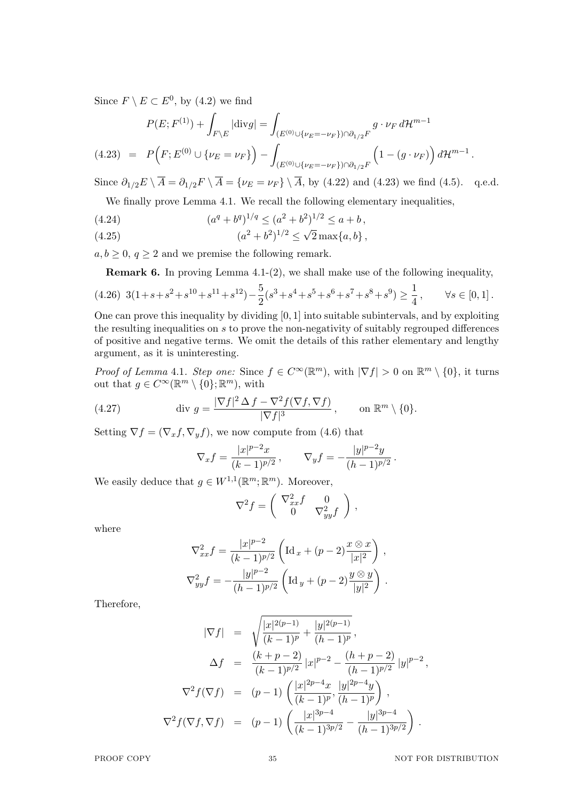Since  $F \setminus E \subset E^0$ , by (4.2) we find

$$
P(E; F^{(1)}) + \int_{F \backslash E} |\text{div} g| = \int_{(E^{(0)} \cup \{\nu_E = -\nu_F\}) \cap \partial_{1/2} F} g \cdot \nu_F d\mathcal{H}^{m-1}
$$
  
(4.23) =  $P(F; E^{(0)} \cup \{\nu_E = \nu_F\}) - \int_{(E^{(0)} \cup \{\nu_E = -\nu_F\}) \cap \partial_{1/2} F} \left(1 - (g \cdot \nu_F)\right) d\mathcal{H}^{m-1}.$ 

Since  $\partial_{1/2}E \setminus \overline{A} = \partial_{1/2}F \setminus \overline{A} = \{\nu_E = \nu_F\} \setminus \overline{A}$ , by (4.22) and (4.23) we find (4.5). q.e.d.

We finally prove Lemma 4.1. We recall the following elementary inequalities,

(4.24) 
$$
(a^q + b^q)^{1/q} \le (a^2 + b^2)^{1/2} \le a + b,
$$

(4.25) 
$$
(a^{2} + b^{2})^{1/2} \leq \sqrt{2} \max\{a, b\},
$$

 $a, b \geq 0, q \geq 2$  and we premise the following remark.

**Remark 6.** In proving Lemma 4.1-(2), we shall make use of the following inequality,

$$
(4.26)\ 3(1+s+s^2+s^{10}+s^{11}+s^{12})-\frac{5}{2}(s^3+s^4+s^5+s^6+s^7+s^8+s^9)\geq \frac{1}{4},\qquad \forall s\in [0,1]\,.
$$

One can prove this inequality by dividing [0*,* 1] into suitable subintervals, and by exploiting the resulting inequalities on *s* to prove the non-negativity of suitably regrouped differences of positive and negative terms. We omit the details of this rather elementary and lengthy argument, as it is uninteresting.

*Proof of Lemma* 4.1*. Step one:* Since  $f \in C^{\infty}(\mathbb{R}^m)$ , with  $|\nabla f| > 0$  on  $\mathbb{R}^m \setminus \{0\}$ , it turns out that  $g \in C^{\infty}(\mathbb{R}^m \setminus \{0\}; \mathbb{R}^m)$ , with

(4.27) 
$$
\operatorname{div} g = \frac{|\nabla f|^2 \Delta f - \nabla^2 f(\nabla f, \nabla f)}{|\nabla f|^3}, \quad \text{on } \mathbb{R}^m \setminus \{0\}.
$$

Setting  $\nabla f = (\nabla_x f, \nabla_y f)$ , we now compute from (4.6) that

$$
\nabla_x f = \frac{|x|^{p-2}x}{(k-1)^{p/2}}, \qquad \nabla_y f = -\frac{|y|^{p-2}y}{(h-1)^{p/2}}.
$$

We easily deduce that  $g \in W^{1,1}(\mathbb{R}^m;\mathbb{R}^m)$ . Moreover,

$$
\nabla^2 f = \begin{pmatrix} \nabla_{xx}^2 f & 0 \\ 0 & \nabla_{yy}^2 f \end{pmatrix},
$$

where

$$
\nabla_{xx}^2 f = \frac{|x|^{p-2}}{(k-1)^{p/2}} \left( \operatorname{Id}_x + (p-2) \frac{x \otimes x}{|x|^2} \right),
$$
  

$$
\nabla_{yy}^2 f = -\frac{|y|^{p-2}}{(h-1)^{p/2}} \left( \operatorname{Id}_y + (p-2) \frac{y \otimes y}{|y|^2} \right).
$$

Therefore,

$$
|\nabla f| = \sqrt{\frac{|x|^{2(p-1)}}{(k-1)^p} + \frac{|y|^{2(p-1)}}{(h-1)^p}},
$$
  
\n
$$
\Delta f = \frac{(k+p-2)}{(k-1)^{p/2}} |x|^{p-2} - \frac{(h+p-2)}{(h-1)^{p/2}} |y|^{p-2},
$$
  
\n
$$
\nabla^2 f(\nabla f) = (p-1) \left( \frac{|x|^{2p-4}x}{(k-1)^p}, \frac{|y|^{2p-4}y}{(h-1)^p} \right),
$$
  
\n
$$
\nabla^2 f(\nabla f, \nabla f) = (p-1) \left( \frac{|x|^{3p-4}}{(k-1)^{3p/2}} - \frac{|y|^{3p-4}}{(h-1)^{3p/2}} \right).
$$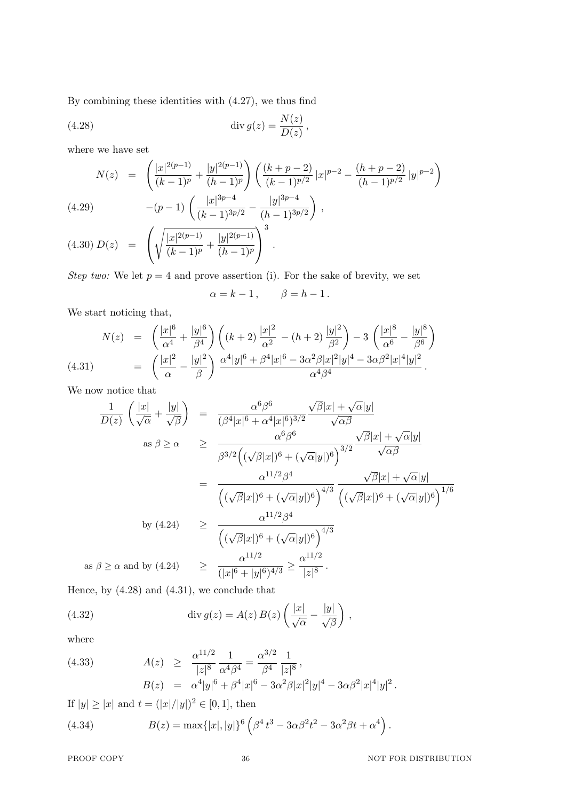By combining these identities with (4.27), we thus find

(4.28) 
$$
\operatorname{div} g(z) = \frac{N(z)}{D(z)},
$$

where we have set

$$
N(z) = \left(\frac{|x|^{2(p-1)}}{(k-1)^p} + \frac{|y|^{2(p-1)}}{(h-1)^p}\right) \left(\frac{(k+p-2)}{(k-1)^{p/2}}|x|^{p-2} - \frac{(h+p-2)}{(h-1)^{p/2}}|y|^{p-2}\right)
$$
  
(4.29)
$$
-(p-1)\left(\frac{|x|^{3p-4}}{(k-1)^{3p/2}} - \frac{|y|^{3p-4}}{(h-1)^{3p/2}}\right),
$$

$$
(4.30) D(z) = \left(\sqrt{\frac{|x|^{2(p-1)}}{(k-1)^p} + \frac{|y|^{2(p-1)}}{(h-1)^p}}\right)^3.
$$

*Step two:* We let  $p = 4$  and prove assertion (i). For the sake of brevity, we set

$$
\alpha = k - 1, \qquad \beta = h - 1.
$$

We start noticing that,

$$
N(z) = \left(\frac{|x|^6}{\alpha^4} + \frac{|y|^6}{\beta^4}\right) \left((k+2)\frac{|x|^2}{\alpha^2} - (h+2)\frac{|y|^2}{\beta^2}\right) - 3\left(\frac{|x|^8}{\alpha^6} - \frac{|y|^8}{\beta^6}\right)
$$
  
(4.31) = 
$$
\left(\frac{|x|^2}{\alpha} - \frac{|y|^2}{\beta}\right) \frac{\alpha^4 |y|^6 + \beta^4 |x|^6 - 3\alpha^2 \beta |x|^2 |y|^4 - 3\alpha \beta^2 |x|^4 |y|^2}{\alpha^4 \beta^4}.
$$

We now notice that

$$
\frac{1}{D(z)} \left( \frac{|x|}{\sqrt{\alpha}} + \frac{|y|}{\sqrt{\beta}} \right) = \frac{\alpha^6 \beta^6}{(\beta^4 |x|^6 + \alpha^4 |x|^6)^{3/2}} \frac{\sqrt{\beta} |x| + \sqrt{\alpha} |y|}{\sqrt{\alpha \beta}}
$$
  
\nas  $\beta \ge \alpha \ge \frac{\alpha^{6} \beta^6}{\beta^{3/2} ((\sqrt{\beta} |x|)^6 + (\sqrt{\alpha} |y|)^6)^{3/2}} \frac{\sqrt{\beta} |x| + \sqrt{\alpha} |y|}{\sqrt{\alpha \beta}}$   
\n
$$
= \frac{\alpha^{11/2} \beta^4}{((\sqrt{\beta} |x|)^6 + (\sqrt{\alpha} |y|)^6)^{4/3}} \frac{\sqrt{\beta} |x| + \sqrt{\alpha} |y|}{((\sqrt{\beta} |x|)^6 + (\sqrt{\alpha} |y|)^6)^{1/6}}
$$
  
\nby (4.24) 
$$
\ge \frac{\alpha^{11/2} \beta^4}{((\sqrt{\beta} |x|)^6 + (\sqrt{\alpha} |y|)^6)^{4/3}}
$$
  
\nas  $\beta \ge \alpha$  and by (4.24) 
$$
\ge \frac{\alpha^{11/2}}{(|x|^6 + |y|^6)^{4/3}} \ge \frac{\alpha^{11/2}}{|z|^8}.
$$
  
\nHence, by (4.28) and (4.31), we conclude that

(4.32) 
$$
\operatorname{div} g(z) = A(z) B(z) \left( \frac{|x|}{\sqrt{\alpha}} - \frac{|y|}{\sqrt{\beta}} \right),
$$

where

(4.33) 
$$
A(z) \geq \frac{\alpha^{11/2}}{|z|^8} \frac{1}{\alpha^4 \beta^4} = \frac{\alpha^{3/2}}{\beta^4} \frac{1}{|z|^8},
$$

$$
B(z) = \alpha^4 |y|^6 + \beta^4 |x|^6 - 3\alpha^2 \beta |x|^2 |y|^4 - 3\alpha \beta^2 |x|^4 |y|^2.
$$

If  $|y| \ge |x|$  and  $t = (|x|/|y|)^2 \in [0, 1]$ , then

(4.34) 
$$
B(z) = \max\{|x|, |y|\}^6 \left(\beta^4 t^3 - 3\alpha \beta^2 t^2 - 3\alpha^2 \beta t + \alpha^4\right).
$$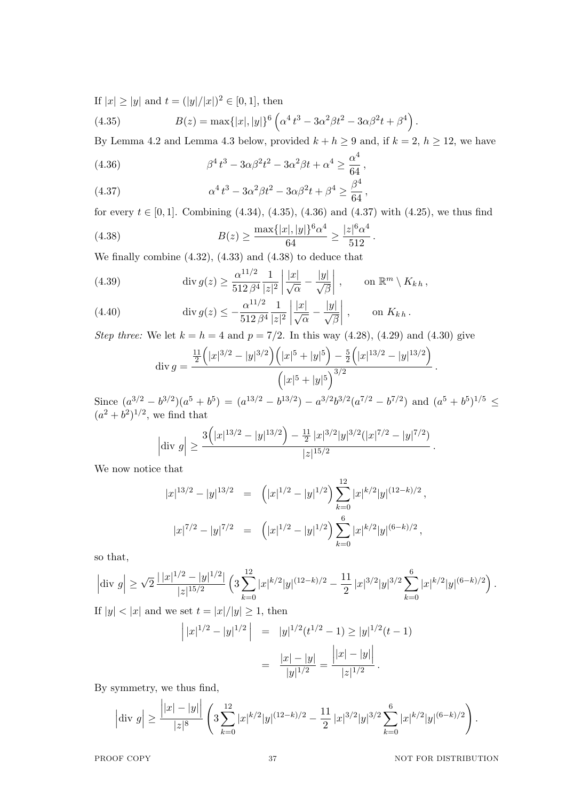If  $|x| \ge |y|$  and  $t = (|y|/|x|)^2 \in [0, 1]$ , then

(4.35) 
$$
B(z) = \max\{|x|, |y|\}^6 \left(\alpha^4 t^3 - 3\alpha^2 \beta t^2 - 3\alpha \beta^2 t + \beta^4\right).
$$

By Lemma 4.2 and Lemma 4.3 below, provided  $k + h \geq 9$  and, if  $k = 2$ ,  $h \geq 12$ , we have

(4.36) 
$$
\beta^4 t^3 - 3\alpha \beta^2 t^2 - 3\alpha^2 \beta t + \alpha^4 \ge \frac{\alpha^4}{64},
$$

(4.37) 
$$
\alpha^4 t^3 - 3\alpha^2 \beta t^2 - 3\alpha \beta^2 t + \beta^4 \ge \frac{\beta^4}{64},
$$

for every  $t \in [0, 1]$ . Combining  $(4.34)$ ,  $(4.35)$ ,  $(4.36)$  and  $(4.37)$  with  $(4.25)$ , we thus find

(4.38) 
$$
B(z) \ge \frac{\max\{|x|, |y|\}^6 \alpha^4}{64} \ge \frac{|z|^6 \alpha^4}{512}.
$$

We finally combine (4.32), (4.33) and (4.38) to deduce that

(4.39) 
$$
\operatorname{div} g(z) \ge \frac{\alpha^{11/2}}{512 \, \beta^4} \frac{1}{|z|^2} \left| \frac{|x|}{\sqrt{\alpha}} - \frac{|y|}{\sqrt{\beta}} \right|, \qquad \text{on } \mathbb{R}^m \setminus K_{kh},
$$

(4.40) 
$$
\operatorname{div} g(z) \le -\frac{\alpha^{11/2}}{512 \, \beta^4} \frac{1}{|z|^2} \left| \frac{|x|}{\sqrt{\alpha}} - \frac{|y|}{\sqrt{\beta}} \right|, \qquad \text{on } K_{k \, h}.
$$

*Step three:* We let  $k = h = 4$  and  $p = 7/2$ . In this way (4.28), (4.29) and (4.30) give

$$
\operatorname{div} g = \frac{\frac{11}{2} \left( |x|^{3/2} - |y|^{3/2} \right) \left( |x|^5 + |y|^5 \right) - \frac{5}{2} \left( |x|^{13/2} - |y|^{13/2} \right)}{\left( |x|^5 + |y|^5 \right)^{3/2}}.
$$

Since  $(a^{3/2} - b^{3/2})(a^5 + b^5) = (a^{13/2} - b^{13/2}) - a^{3/2}b^{3/2}(a^{7/2} - b^{7/2})$  and  $(a^5 + b^5)^{1/5} \le$  $(a^2 + b^2)^{1/2}$ , we find that

$$
\left|\text{div } g\right| \ge \frac{3\left(|x|^{13/2} - |y|^{13/2}\right) - \frac{11}{2}|x|^{3/2}|y|^{3/2}(|x|^{7/2} - |y|^{7/2})}{|z|^{15/2}}.
$$

We now notice that

$$
|x|^{13/2} - |y|^{13/2} = (|x|^{1/2} - |y|^{1/2}) \sum_{k=0}^{12} |x|^{k/2} |y|^{(12-k)/2},
$$
  

$$
|x|^{7/2} - |y|^{7/2} = (|x|^{1/2} - |y|^{1/2}) \sum_{k=0}^{6} |x|^{k/2} |y|^{(6-k)/2},
$$

so that,

$$
\left|\text{div } g\right| \geq \sqrt{2} \, \frac{|\,|x|^{1/2} - |y|^{1/2}|}{|z|^{15/2}} \left(3 \sum_{k=0}^{12} |x|^{k/2} |y|^{(12-k)/2} - \frac{11}{2} \, |x|^{3/2} |y|^{3/2} \sum_{k=0}^{6} |x|^{k/2} |y|^{(6-k)/2}\right).
$$

If  $|y| < |x|$  and we set  $t = |x|/|y| \geq 1$ , then

$$
\left| |x|^{1/2} - |y|^{1/2} \right| = |y|^{1/2} (t^{1/2} - 1) \ge |y|^{1/2} (t - 1)
$$

$$
= \frac{|x| - |y|}{|y|^{1/2}} = \frac{\left| |x| - |y| \right|}{|z|^{1/2}}.
$$

By symmetry, we thus find,

$$
\left|\text{div } g\right| \ge \frac{\left||x|-|y|\right|}{|z|^8} \left(3 \sum_{k=0}^{12} |x|^{k/2} |y|^{(12-k)/2} - \frac{11}{2} |x|^{3/2} |y|^{3/2} \sum_{k=0}^{6} |x|^{k/2} |y|^{(6-k)/2}\right).
$$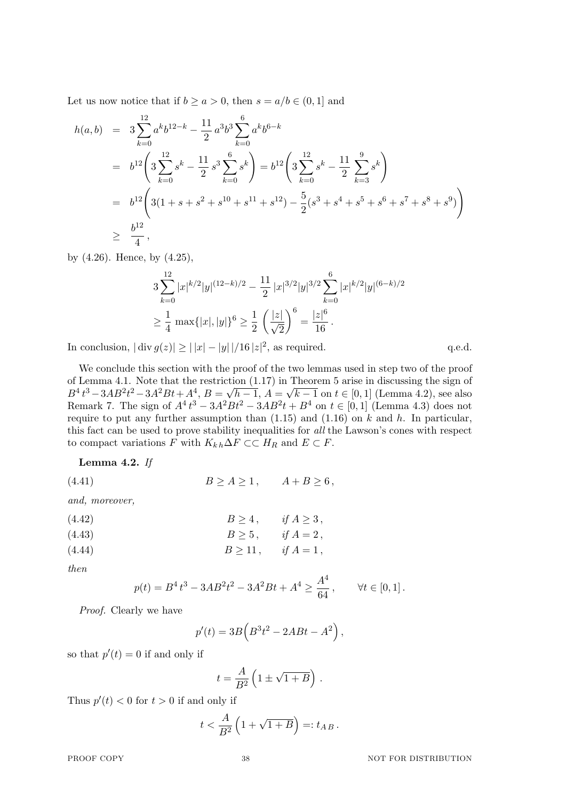Let us now notice that if  $b > a > 0$ , then  $s = a/b \in (0, 1]$  and

$$
h(a,b) = 3 \sum_{k=0}^{12} a^k b^{12-k} - \frac{11}{2} a^3 b^3 \sum_{k=0}^6 a^k b^{6-k}
$$
  
\n
$$
= b^{12} \left( 3 \sum_{k=0}^{12} s^k - \frac{11}{2} s^3 \sum_{k=0}^6 s^k \right) = b^{12} \left( 3 \sum_{k=0}^{12} s^k - \frac{11}{2} \sum_{k=3}^9 s^k \right)
$$
  
\n
$$
= b^{12} \left( 3(1+s+s^2+s^{10}+s^{11}+s^{12}) - \frac{5}{2} (s^3+s^4+s^5+s^6+s^7+s^8+s^9) \right)
$$
  
\n
$$
\geq \frac{b^{12}}{4},
$$

by (4.26). Hence, by (4.25),

$$
3\sum_{k=0}^{12} |x|^{k/2} |y|^{(12-k)/2} - \frac{11}{2} |x|^{3/2} |y|^{3/2} \sum_{k=0}^{6} |x|^{k/2} |y|^{(6-k)/2}
$$
  

$$
\geq \frac{1}{4} \max\{|x|, |y|\}^{6} \geq \frac{1}{2} \left(\frac{|z|}{\sqrt{2}}\right)^{6} = \frac{|z|^{6}}{16}.
$$

In conclusion,  $|\text{div } g(z)| \ge ||x| - |y|| / 16 |z|^2$ , as required. q.e.d.

We conclude this section with the proof of the two lemmas used in step two of the proof of Lemma 4.1. Note that the restriction (1.17) in Theorem 5 arise in discussing the sign of  $B^4 t^3 - 3AB^2 t^2 - 3A^2 B t + A^4$ ,  $B =$ *√*  $h-1, A =$ *√ k −* 1 on *t ∈* [0*,* 1] (Lemma 4.2), see also Remark 7. The sign of  $A^4 t^3 − 3A^2 B t^2 − 3AB^2 t + B^4$  on  $t ∈ [0, 1]$  (Lemma 4.3) does not require to put any further assumption than (1.15) and (1.16) on *k* and *h*. In particular, this fact can be used to prove stability inequalities for *all* the Lawson's cones with respect to compact variations *F* with  $K_{k,h} \Delta F \subset \subset H_R$  and  $E \subset F$ .

**Lemma 4.2.** *If*

(4.41)  $B \ge A \ge 1, \quad A + B \ge 6,$ 

*and, moreover,*

| (4.42) | $B\geq 4$ , | if $A \geq 3$ ,           |
|--------|-------------|---------------------------|
| (4.43) |             | $B\geq 5$ , if $A=2$ ,    |
| (4.44) |             | $B \ge 11$ , if $A = 1$ , |

*then*

$$
p(t) = B4 t3 - 3AB2 t2 - 3A2 Bt + A4 \ge \frac{A4}{64}, \qquad \forall t \in [0, 1].
$$

*Proof.* Clearly we have

$$
p'(t) = 3B\left(B^3t^2 - 2ABt - A^2\right),
$$

so that  $p'(t) = 0$  if and only if

$$
t = \frac{A}{B^2} \left( 1 \pm \sqrt{1+B} \right) \, .
$$

Thus  $p'(t) < 0$  for  $t > 0$  if and only if

$$
t < \frac{A}{B^2} \left( 1 + \sqrt{1+B} \right) =: t_{AB} \, .
$$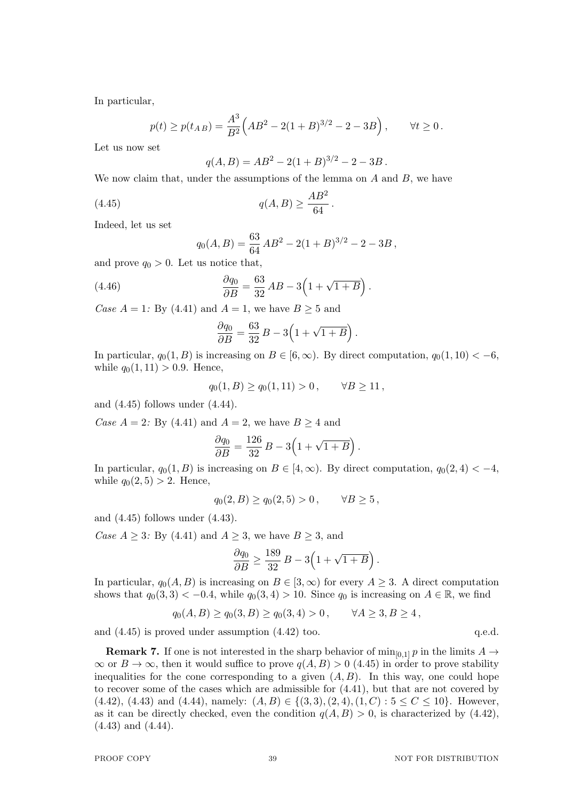In particular,

$$
p(t) \ge p(t_{AB}) = \frac{A^3}{B^2} \left( AB^2 - 2(1+B)^{3/2} - 2 - 3B \right), \quad \forall t \ge 0.
$$

Let us now set

$$
q(A, B) = AB^2 - 2(1 + B)^{3/2} - 2 - 3B.
$$

We now claim that, under the assumptions of the lemma on *A* and *B*, we have

(4.45) 
$$
q(A, B) \ge \frac{AB^2}{64}.
$$

Indeed, let us set

$$
q_0(A, B) = \frac{63}{64} AB^2 - 2(1+B)^{3/2} - 2 - 3B,
$$

and prove  $q_0 > 0$ . Let us notice that,

(4.46) 
$$
\frac{\partial q_0}{\partial B} = \frac{63}{32} AB - 3\left(1 + \sqrt{1 + B}\right).
$$

*Case*  $A = 1$ *:* By (4.41) and  $A = 1$ , we have  $B \ge 5$  and

$$
\frac{\partial q_0}{\partial B} = \frac{63}{32} B - 3\left(1 + \sqrt{1 + B}\right).
$$

In particular,  $q_0(1, B)$  is increasing on  $B \in [6, \infty)$ . By direct computation,  $q_0(1, 10) < -6$ , while  $q_0(1, 11) > 0.9$ . Hence,

$$
q_0(1, B) \ge q_0(1, 11) > 0, \quad \forall B \ge 11,
$$

and (4.45) follows under (4.44).

*Case*  $A = 2$ *:* By (4.41) and  $A = 2$ , we have  $B \ge 4$  and

$$
\frac{\partial q_0}{\partial B} = \frac{126}{32} B - 3\left(1+\sqrt{1+B}\right).
$$

In particular,  $q_0(1, B)$  is increasing on  $B \in [4, \infty)$ . By direct computation,  $q_0(2, 4) < -4$ , while  $q_0(2, 5) > 2$ . Hence,

$$
q_0(2, B) \ge q_0(2, 5) > 0
$$
,  $\forall B \ge 5$ ,

and (4.45) follows under (4.43).

*Case*  $A \geq 3$ *:* By (4.41) and  $A \geq 3$ , we have  $B \geq 3$ , and

$$
\frac{\partial q_0}{\partial B} \ge \frac{189}{32} B - 3\left(1 + \sqrt{1 + B}\right).
$$

In particular,  $q_0(A, B)$  is increasing on  $B \in [3, \infty)$  for every  $A \geq 3$ . A direct computation shows that  $q_0(3,3) < -0.4$ , while  $q_0(3,4) > 10$ . Since  $q_0$  is increasing on  $A \in \mathbb{R}$ , we find

$$
q_0(A, B) \ge q_0(3, B) \ge q_0(3, 4) > 0, \qquad \forall A \ge 3, B \ge 4,
$$

and  $(4.45)$  is proved under assumption  $(4.42)$  too. q.e.d.

**Remark 7.** If one is not interested in the sharp behavior of  $\min_{[0,1]} p$  in the limits  $A \rightarrow$  $\infty$  or *B* →  $\infty$ , then it would suffice to prove *q*(*A, B*) > 0 (4.45) in order to prove stability inequalities for the cone corresponding to a given  $(A, B)$ . In this way, one could hope to recover some of the cases which are admissible for (4.41), but that are not covered by (4.42), (4.43) and (4.44), namely:  $(A, B) \in \{(3, 3), (2, 4), (1, C) : 5 \le C \le 10\}$ . However, as it can be directly checked, even the condition  $q(A, B) > 0$ , is characterized by (4.42), (4.43) and (4.44).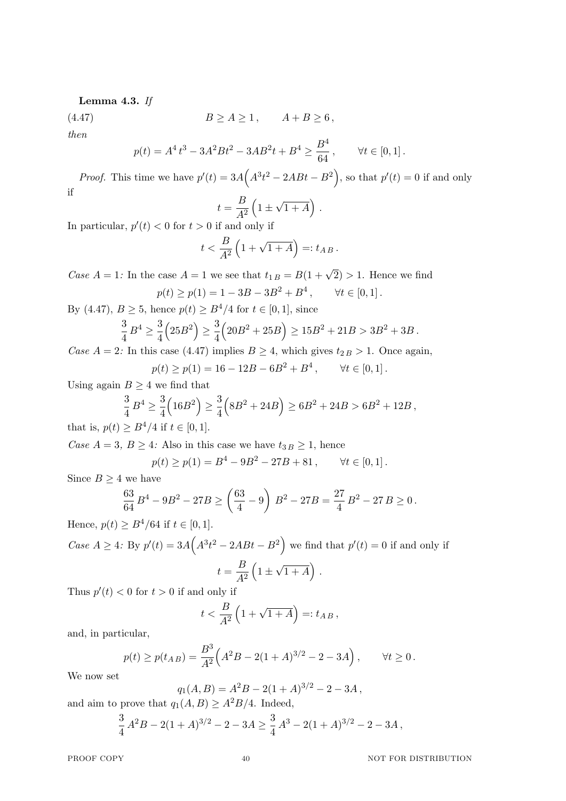# **Lemma 4.3.** *If*

$$
(4.47) \t\t B \ge A \ge 1, \t A + B \ge 6,
$$

*then*

$$
p(t) = A4 t3 - 3A2 Bt2 - 3AB2t + B4 \ge \frac{B4}{64}, \qquad \forall t \in [0, 1].
$$

*Proof.* This time we have  $p'(t) = 3A(A^3t^2 - 2ABt - B^2)$ , so that  $p'(t) = 0$  if and only if

$$
t = \frac{B}{A^2} \left( 1 \pm \sqrt{1 + A} \right) \, .
$$

In particular,  $p'(t) < 0$  for  $t > 0$  if and only if

$$
t < \frac{B}{A^2} \left( 1 + \sqrt{1 + A} \right) =: t_{AB}.
$$

*Case*  $A = 1$ : In the case  $A = 1$  we see that  $t_{1B} = B(1 + \sqrt{2}) > 1$ . Hence we find  $p(t) \geq p(1) = 1 - 3B - 3B^2 + B^4$  $\forall t \in [0, 1]$ .

By (4.47),  $B > 5$ , hence  $p(t) > B^4/4$  for  $t \in [0, 1]$ , since

$$
\frac{3}{4}B^4 \ge \frac{3}{4}\left(25B^2\right) \ge \frac{3}{4}\left(20B^2 + 25B\right) \ge 15B^2 + 21B > 3B^2 + 3B.
$$

*Case*  $A = 2$ : In this case (4.47) implies  $B \ge 4$ , which gives  $t_{2B} > 1$ . Once again,  $p(t) \geq p(1) = 16 - 12B - 6B^2 + B^4$  $\forall t \in [0, 1]$ .

$$
p(\iota) \ge p(1) - 10 - 12D - 0D + D ,
$$

Using again  $B \geq 4$  we find that

$$
\frac{3}{4}B^4 \ge \frac{3}{4}\left(16B^2\right) \ge \frac{3}{4}\left(8B^2 + 24B\right) \ge 6B^2 + 24B > 6B^2 + 12B,
$$
  

$$
\ge B^4 + 12B \le 5B + 12B
$$

that is,  $p(t) \geq B^4/4$  if  $t \in [0, 1]$ .

*Case*  $A = 3$ ,  $B \geq 4$ *:* Also in this case we have  $t_{3, B} \geq 1$ , hence  $p(t) \geq p(1) = B^4 - 9B^2 - 27B + 81, \quad \forall t \in [0, 1].$ 

Since  $B \geq 4$  we have

$$
\frac{63}{64}B^4 - 9B^2 - 27B \ge \left(\frac{63}{4} - 9\right)B^2 - 27B = \frac{27}{4}B^2 - 27B \ge 0.
$$

Hence,  $p(t)$  ≥  $B^4/64$  if  $t \in [0, 1]$ .

*Case*  $A \geq 4$ *:* By  $p'(t) = 3A(A^3t^2 - 2ABt - B^2)$  we find that  $p'(t) = 0$  if and only if  $t = \frac{B}{A^2}$ *A*<sup>2</sup>  $(1 \pm$ *√*  $\overline{1+A}$ ).

Thus  $p'(t) < 0$  for  $t > 0$  if and only if

$$
t < \frac{B}{A^2} \left( 1 + \sqrt{1 + A} \right) =: t_{AB},
$$

and, in particular,

$$
p(t) \ge p(t_{AB}) = \frac{B^3}{A^2} \Big( A^2 B - 2(1+A)^{3/2} - 2 - 3A \Big) , \qquad \forall t \ge 0.
$$

We now set

$$
q_1(A, B) = A^2 B - 2(1 + A)^{3/2} - 2 - 3A,
$$

and aim to prove that  $q_1(A, B) \geq A^2B/4$ . Indeed,

$$
\frac{3}{4}A^2B - 2(1+A)^{3/2} - 2 - 3A \ge \frac{3}{4}A^3 - 2(1+A)^{3/2} - 2 - 3A,
$$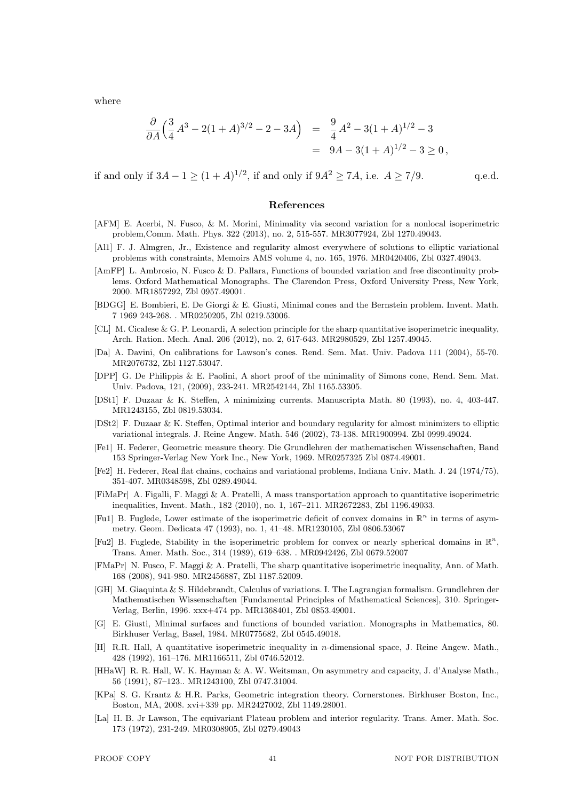where

$$
\frac{\partial}{\partial A} \left( \frac{3}{4} A^3 - 2(1+A)^{3/2} - 2 - 3A \right) = \frac{9}{4} A^2 - 3(1+A)^{1/2} - 3
$$
  
= 9A - 3(1+A)^{1/2} - 3 \ge 0,

if and only if  $3A - 1 \ge (1 + A)^{1/2}$ , if and only if  $9A^2 \ge 7A$ , i.e.  $A \ge 7/9$ . q.e.d.

## **References**

- [AFM] E. Acerbi, N. Fusco, & M. Morini, Minimality via second variation for a nonlocal isoperimetric problem,Comm. Math. Phys. 322 (2013), no. 2, 515-557. MR3077924, Zbl 1270.49043.
- [Al1] F. J. Almgren, Jr., Existence and regularity almost everywhere of solutions to elliptic variational problems with constraints, Memoirs AMS volume 4, no. 165, 1976. MR0420406, Zbl 0327.49043.
- [AmFP] L. Ambrosio, N. Fusco & D. Pallara, Functions of bounded variation and free discontinuity problems. Oxford Mathematical Monographs. The Clarendon Press, Oxford University Press, New York, 2000. MR1857292, Zbl 0957.49001.
- [BDGG] E. Bombieri, E. De Giorgi & E. Giusti, Minimal cones and the Bernstein problem. Invent. Math. 7 1969 243-268. . MR0250205, Zbl 0219.53006.
- [CL] M. Cicalese & G. P. Leonardi, A selection principle for the sharp quantitative isoperimetric inequality, Arch. Ration. Mech. Anal. 206 (2012), no. 2, 617-643. MR2980529, Zbl 1257.49045.
- [Da] A. Davini, On calibrations for Lawson's cones. Rend. Sem. Mat. Univ. Padova 111 (2004), 55-70. MR2076732, Zbl 1127.53047.
- [DPP] G. De Philippis & E. Paolini, A short proof of the minimality of Simons cone, Rend. Sem. Mat. Univ. Padova, 121, (2009), 233-241. MR2542144, Zbl 1165.53305.
- [DSt1] F. Duzaar & K. Steffen, *λ* minimizing currents. Manuscripta Math. 80 (1993), no. 4, 403-447. MR1243155, Zbl 0819.53034.
- [DSt2] F. Duzaar & K. Steffen, Optimal interior and boundary regularity for almost minimizers to elliptic variational integrals. J. Reine Angew. Math. 546 (2002), 73-138. MR1900994. Zbl 0999.49024.
- [Fe1] H. Federer, Geometric measure theory. Die Grundlehren der mathematischen Wissenschaften, Band 153 Springer-Verlag New York Inc., New York, 1969. MR0257325 Zbl 0874.49001.
- [Fe2] H. Federer, Real flat chains, cochains and variational problems, Indiana Univ. Math. J. 24 (1974/75), 351-407. MR0348598, Zbl 0289.49044.
- [FiMaPr] A. Figalli, F. Maggi & A. Pratelli, A mass transportation approach to quantitative isoperimetric inequalities, Invent. Math., 182 (2010), no. 1, 167–211. MR2672283, Zbl 1196.49033.
- [Fu1] B. Fuglede, Lower estimate of the isoperimetric deficit of convex domains in  $\mathbb{R}^n$  in terms of asymmetry. Geom. Dedicata 47 (1993), no. 1, 41–48. MR1230105, Zbl 0806.53067
- [Fu2] B. Fuglede, Stability in the isoperimetric problem for convex or nearly spherical domains in R *n* , Trans. Amer. Math. Soc., 314 (1989), 619–638. . MR0942426, Zbl 0679.52007
- [FMaPr] N. Fusco, F. Maggi & A. Pratelli, The sharp quantitative isoperimetric inequality, Ann. of Math. 168 (2008), 941-980. MR2456887, Zbl 1187.52009.
- [GH] M. Giaquinta & S. Hildebrandt, Calculus of variations. I. The Lagrangian formalism. Grundlehren der Mathematischen Wissenschaften [Fundamental Principles of Mathematical Sciences], 310. Springer-Verlag, Berlin, 1996. xxx+474 pp. MR1368401, Zbl 0853.49001.
- [G] E. Giusti, Minimal surfaces and functions of bounded variation. Monographs in Mathematics, 80. Birkhuser Verlag, Basel, 1984. MR0775682, Zbl 0545.49018.
- [H] R.R. Hall, A quantitative isoperimetric inequality in *n*-dimensional space, J. Reine Angew. Math., 428 (1992), 161–176. MR1166511, Zbl 0746.52012.
- [HHaW] R. R. Hall, W. K. Hayman & A. W. Weitsman, On asymmetry and capacity, J. d'Analyse Math., 56 (1991), 87–123.. MR1243100, Zbl 0747.31004.
- [KPa] S. G. Krantz & H.R. Parks, Geometric integration theory. Cornerstones. Birkhuser Boston, Inc., Boston, MA, 2008. xvi+339 pp. MR2427002, Zbl 1149.28001.
- [La] H. B. Jr Lawson, The equivariant Plateau problem and interior regularity. Trans. Amer. Math. Soc. 173 (1972), 231-249. MR0308905, Zbl 0279.49043